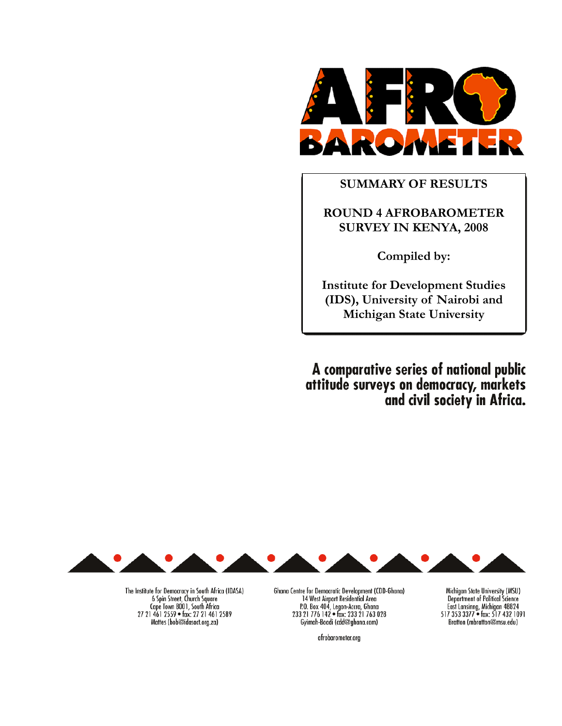

# **SUMMARY OF RESULTS**

# **ROUND 4 AFROBAROMETER SURVEY IN KENYA, 2008**

**Compiled by:** 

**Institute for Development Studies (IDS), University of Nairobi and Michigan State University** 

A comparative series of national public attitude surveys on democracy, markets and civil society in Africa.



The Institute for Democracy in South Africa (IDASA) 6 Spin Street, Church Square<br>Cape Town 8001, South Africa 27 21 461 2559 · fax: 27 21 461 2589 Mattes (bob@idasact.org.za)

Ghana Centre for Democratic Development (CDD-Ghana) 14 West Airport Residential Area<br>
P.O. Box 404, Legon-Accra, Ghana<br>
233 21 776 142 • fax: 233 21 763 028 Gyimah-Boadi (cdd@ghana.com)

afrobarometer.org

Michigan State University (MSU) **Department of Political Science** East Lansinng, Michigan 48824<br>517 353 3377 • fax: 517 432 1091 Bratton (mbratton@msu.edu)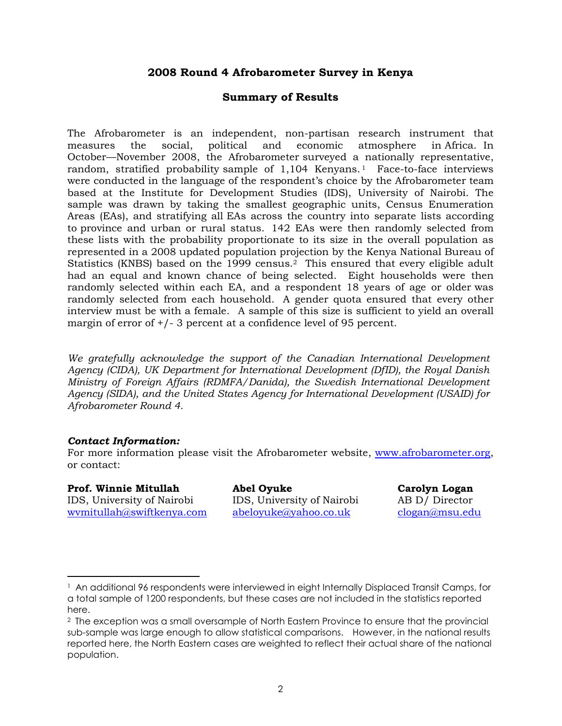## **2008 Round 4 Afrobarometer Survey in Kenya**

## **Summary of Results**

The Afrobarometer is an independent, non-partisan research instrument that measures the social, political and economic atmosphere in Africa. In October—November 2008, the Afrobarometer surveyed a nationally representative, random, stratified probability sample of 1,104 Kenyans. <sup>1</sup> Face-to-face interviews were conducted in the language of the respondent's choice by the Afrobarometer team based at the Institute for Development Studies (IDS), University of Nairobi. The sample was drawn by taking the smallest geographic units, Census Enumeration Areas (EAs), and stratifying all EAs across the country into separate lists according to province and urban or rural status. 142 EAs were then randomly selected from these lists with the probability proportionate to its size in the overall population as represented in a 2008 updated population projection by the Kenya National Bureau of Statistics (KNBS) based on the 1999 census.2 This ensured that every eligible adult had an equal and known chance of being selected. Eight households were then randomly selected within each EA, and a respondent 18 years of age or older was randomly selected from each household. A gender quota ensured that every other interview must be with a female. A sample of this size is sufficient to yield an overall margin of error of  $+/-$  3 percent at a confidence level of 95 percent.

*We gratefully acknowledge the support of the Canadian International Development Agency (CIDA), UK Department for International Development (DfID), the Royal Danish Ministry of Foreign Affairs (RDMFA/Danida), the Swedish International Development Agency (SIDA), and the United States Agency for International Development (USAID) for Afrobarometer Round 4.* 

## *Contact Information:*

For more information please visit the Afrobarometer website, www.afrobarometer.org, or contact:

## Prof. Winnie Mitullah Abel Oyuke **Carolyn Logan**

<u>.</u>

IDS, University of Nairobi IDS, University of Nairobi AB D/ Director wvmitullah@swiftkenya.com abeloyuke@yahoo.co.uk clogan@msu.edu

<sup>1</sup> An additional 96 respondents were interviewed in eight Internally Displaced Transit Camps, for a total sample of 1200 respondents, but these cases are not included in the statistics reported here.

<sup>2</sup> The exception was a small oversample of North Eastern Province to ensure that the provincial sub-sample was large enough to allow statistical comparisons. However, in the national results reported here, the North Eastern cases are weighted to reflect their actual share of the national population.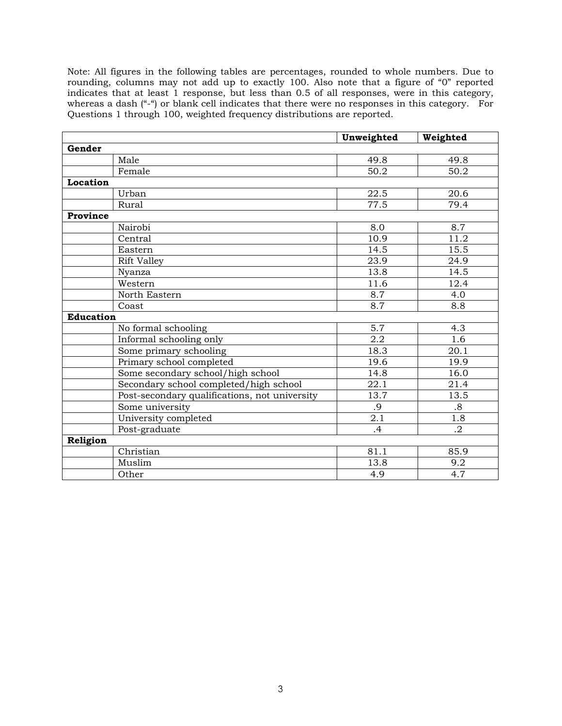Note: All figures in the following tables are percentages, rounded to whole numbers. Due to rounding, columns may not add up to exactly 100. Also note that a figure of "0" reported indicates that at least 1 response, but less than 0.5 of all responses, were in this category, whereas a dash ("-") or blank cell indicates that there were no responses in this category. For Questions 1 through 100, weighted frequency distributions are reported.

|                  |                                               | Unweighted | Weighted          |
|------------------|-----------------------------------------------|------------|-------------------|
| Gender           |                                               |            |                   |
|                  | Male                                          | 49.8       | 49.8              |
|                  | Female                                        | 50.2       | 50.2              |
| Location         |                                               |            |                   |
|                  | Urban                                         | 22.5       | 20.6              |
|                  | Rural                                         | 77.5       | 79.4              |
| Province         |                                               |            |                   |
|                  | Nairobi                                       | 8.0        | 8.7               |
|                  | Central                                       | 10.9       | 11.2              |
|                  | Eastern                                       | 14.5       | 15.5              |
|                  | <b>Rift Valley</b>                            | 23.9       | $\overline{24.9}$ |
|                  | Nyanza                                        | 13.8       | 14.5              |
|                  | Western                                       | 11.6       | 12.4              |
|                  | North Eastern                                 | 8.7        | 4.0               |
|                  | Coast                                         | 8.7        | 8.8               |
| <b>Education</b> |                                               |            |                   |
|                  | No formal schooling                           | 5.7        | 4.3               |
|                  | Informal schooling only                       | 2.2        | 1.6               |
|                  | Some primary schooling                        | 18.3       | $\overline{20.1}$ |
|                  | Primary school completed                      | 19.6       | 19.9              |
|                  | Some secondary school/high school             | 14.8       | 16.0              |
|                  | Secondary school completed/high school        | 22.1       | 21.4              |
|                  | Post-secondary qualifications, not university | 13.7       | 13.5              |
|                  | Some university                               | .9         | .8                |
|                  | University completed                          | 2.1        | $\overline{1.8}$  |
|                  | Post-graduate                                 | .4         | $\cdot$           |
| Religion         |                                               |            |                   |
|                  | Christian                                     | 81.1       | 85.9              |
|                  | Muslim                                        | 13.8       | 9.2               |
|                  | Other                                         | 4.9        | 4.7               |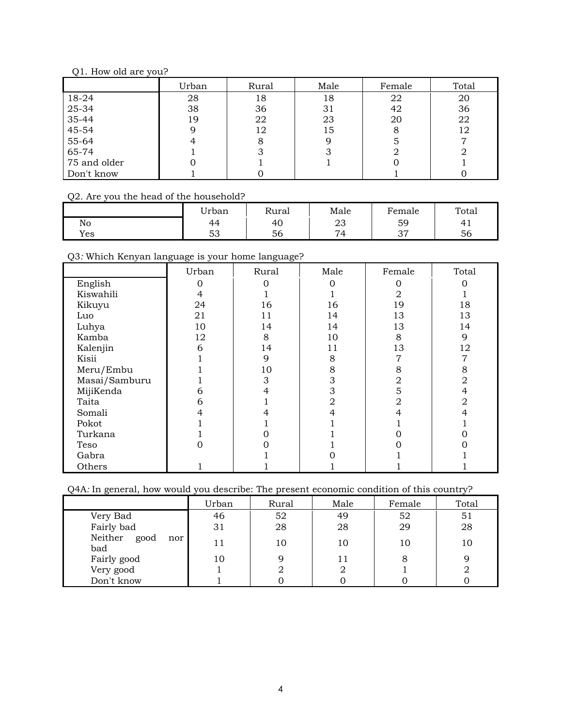## Q1. How old are you?

|              | Urban | Rural | Male | Female | Total |
|--------------|-------|-------|------|--------|-------|
| 18-24        | 28    | 18    | 18   | 22     | 20    |
| 25-34        | 38    | 36    | 31   | 42     | 36    |
| 35-44        | 19    | 22    | 23   | 20     | 22    |
| 45-54        |       | 12    | 15   |        | 12    |
| 55-64        |       | 8     |      |        |       |
| 65-74        |       |       |      |        |       |
| 75 and older |       |       |      |        |       |
| Don't know   |       |       |      |        |       |

## Q2. Are you the head of the household?

|     | <sup>T</sup> rban       | Rural | Male     | Female      | Total |
|-----|-------------------------|-------|----------|-------------|-------|
| No  | 44                      | 40    | ∠⊾       | 59          | ட     |
| Yes | $\mathsf{r}$<br>∽<br>აა | 56    | $\Delta$ | $\sim$<br>ັ | 56    |

## Q3*:* Which Kenyan language is your home language?

|               | Urban | Rural | Male | Female | Total |
|---------------|-------|-------|------|--------|-------|
| English       |       |       |      |        |       |
| Kiswahili     |       |       |      |        |       |
| Kikuyu        | 24    | 16    | 16   | 19     | 18    |
| Luo           | 21    | 11    | 14   | 13     | 13    |
| Luhya         | 10    | 14    | 14   | 13     | 14    |
| Kamba         | 12    | 8     | 10   | 8      | 9     |
| Kalenjin      | 6     | 14    | 11   | 13     | 12    |
| Kisii         |       | 9     | 8    |        | 7     |
| Meru/Embu     |       | 10    | 8    | 8      | 8     |
| Masai/Samburu |       | 3     | 3    | 2      | 2     |
| MijiKenda     | h     |       | 3    |        |       |
| Taita         | h     |       | 2    |        | 2     |
| Somali        |       |       |      |        |       |
| Pokot         |       |       |      |        |       |
| Turkana       |       |       |      |        |       |
| Teso          |       |       |      |        |       |
| Gabra         |       |       |      |        |       |
| Others        |       |       |      |        |       |

Q4A*:* In general, how would you describe: The present economic condition of this country?

|                            | Urban | Rural | Male | Female | Total |
|----------------------------|-------|-------|------|--------|-------|
| Very Bad                   | 46    | 52    | 49   | 52     | 51    |
| Fairly bad                 | 31    | 28    | 28   | 29     | 28    |
| Neither good<br>nor<br>bad |       | 10    | 10   | 10     | 10    |
| Fairly good                | 10    |       |      |        |       |
| Very good                  |       |       |      |        |       |
| Don't know                 |       |       |      |        |       |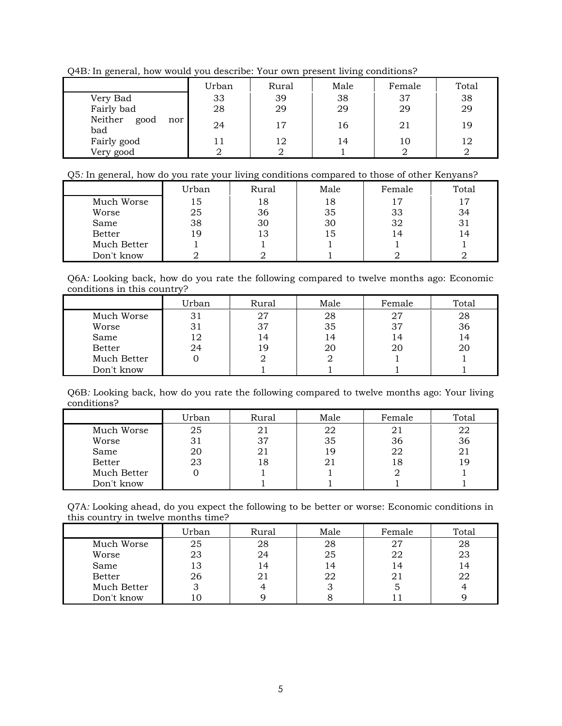Q4B*:* In general, how would you describe: Your own present living conditions?

|                               | Urban | Rural | Male | Female | Total |
|-------------------------------|-------|-------|------|--------|-------|
| Very Bad                      | 33    | 39    | 38   | 37     | 38    |
| Fairly bad                    | 28    | 29    | 29   | 29     | 29    |
| Neither<br>good<br>nor<br>bad | 24    | 17    | 16   | 21     | 19    |
| Fairly good                   | 11    | 12    | 14   | 10     | 12    |
| Very good                     |       |       |      |        |       |

## Q5*:* In general, how do you rate your living conditions compared to those of other Kenyans?

|               | Urban | Rural | Male | Female | Total |
|---------------|-------|-------|------|--------|-------|
| Much Worse    | 15    | 18    | 18   | 17     |       |
| Worse         | 25    | 36    | 35   | 33     | 34    |
| Same          | 38    | 30    | 30   | 32     |       |
| <b>Better</b> | 19    | 13    | 15   | 14     | 14    |
| Much Better   |       |       |      |        |       |
| Don't know    |       |       |      |        |       |

Q6A*:* Looking back, how do you rate the following compared to twelve months ago: Economic conditions in this country?

|               | Urban | Rural | Male | Female | Total |
|---------------|-------|-------|------|--------|-------|
| Much Worse    | 31    | 27    | 28   | 27     | 28    |
| Worse         | 31    | 37    | 35   | 37     | 36    |
| Same          | 12    | 14    | 14   | 14     | 14    |
| <b>Better</b> | 24    | 19    | 20   | 20     | 20    |
| Much Better   |       |       |      |        |       |
| Don't know    |       |       |      |        |       |

Q6B*:* Looking back, how do you rate the following compared to twelve months ago: Your living conditions?

|               | Urban | Rural | Male | Female | Total |
|---------------|-------|-------|------|--------|-------|
| Much Worse    | 25    | 21    | 22   | 21     | 22    |
| Worse         | 31    | 37    | 35   | 36     | 36    |
| Same          | 20    | 21    | 19   | 22     |       |
| <b>Better</b> | 23    | 18    |      | 18     | l g   |
| Much Better   |       |       |      |        |       |
| Don't know    |       |       |      |        |       |

Q7A*:* Looking ahead, do you expect the following to be better or worse: Economic conditions in this country in twelve months time?

|               | Urban | Rural | Male | Female | Total |
|---------------|-------|-------|------|--------|-------|
| Much Worse    | 25    | 28    | 28   | 27     | 28    |
| Worse         | 23    | 24    | 25   | 22     | 23    |
| Same          | 13    | 14    | 14   | 4      | 14    |
| <b>Better</b> | 26    | 21    | 22   | 21     | 22    |
| Much Better   |       |       |      |        |       |
| Don't know    |       |       |      |        |       |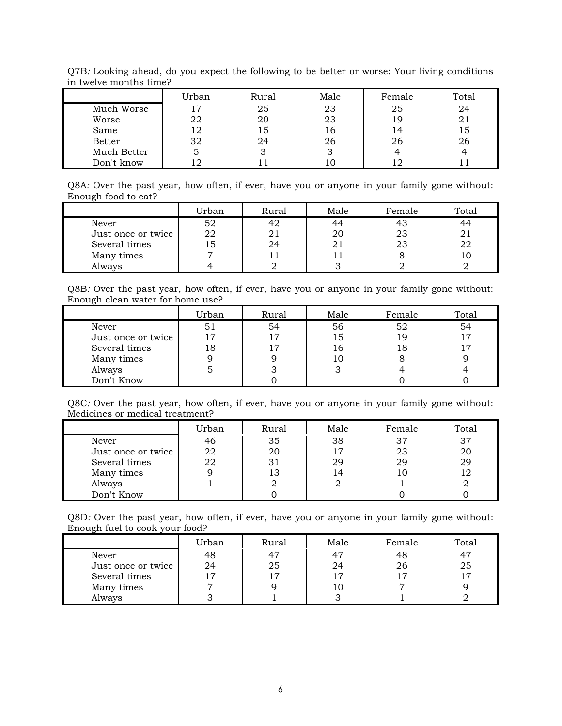|               | Urban | Rural | Male | Female | Total |
|---------------|-------|-------|------|--------|-------|
| Much Worse    | 17    | 25    | 23   | 25     | 24    |
| Worse         | 22    | 20    | 23   | 19     | 21    |
| Same          | 12    | 15    | 16   | 14     | 15    |
| <b>Better</b> | 32    | 24    | 26   | 26     | 26    |
| Much Better   | 5     | З     |      |        |       |
| Don't know    |       |       |      | 12     |       |

Q7B*:* Looking ahead, do you expect the following to be better or worse: Your living conditions in twelve months time?

Q8A*:* Over the past year, how often, if ever, have you or anyone in your family gone without: Enough food to eat?

|                    | Urban | Rural | Male | Female | Total |
|--------------------|-------|-------|------|--------|-------|
| Never              | 52    | 42    |      | 43     |       |
| Just once or twice | 22    | 21    | 20   | 23     |       |
| Several times      | L J   | 24    |      | 23     |       |
| Many times         |       |       |      |        |       |
| Always             |       |       |      |        |       |

Q8B*:* Over the past year, how often, if ever, have you or anyone in your family gone without: Enough clean water for home use?

|                    | Urban | Rural | Male | Female | Total |
|--------------------|-------|-------|------|--------|-------|
| Never              | 51    | 54    | 56   | 52     | 54    |
| Just once or twice |       | 17    | 15   | 19     |       |
| Several times      | 18    | 17    | 16   | 18     |       |
| Many times         |       |       | 10   |        |       |
| Always             |       |       |      |        |       |
| Don't Know         |       |       |      |        |       |

Q8C*:* Over the past year, how often, if ever, have you or anyone in your family gone without: Medicines or medical treatment?

|                    | Urban | Rural | Male | Female | Total |
|--------------------|-------|-------|------|--------|-------|
| Never              | 46    | 35    | 38   | 37     | 37    |
| Just once or twice | 22    | 20    | 17   | 23     | 20    |
| Several times      | 22    | 31    | 29   | 29     | 29    |
| Many times         |       | 13    | 14   | 10     |       |
| Always             |       |       |      |        |       |
| Don't Know         |       |       |      |        |       |

Q8D*:* Over the past year, how often, if ever, have you or anyone in your family gone without: Enough fuel to cook your food?

|                    | Urban | Rural | Male | Female | Total |
|--------------------|-------|-------|------|--------|-------|
| Never              | 48    | 47    | 47   | 48     |       |
| Just once or twice | 24    | 25    | 24   | 26     | 25    |
| Several times      |       |       |      | 17     |       |
| Many times         |       |       |      |        |       |
| Always             |       |       |      |        |       |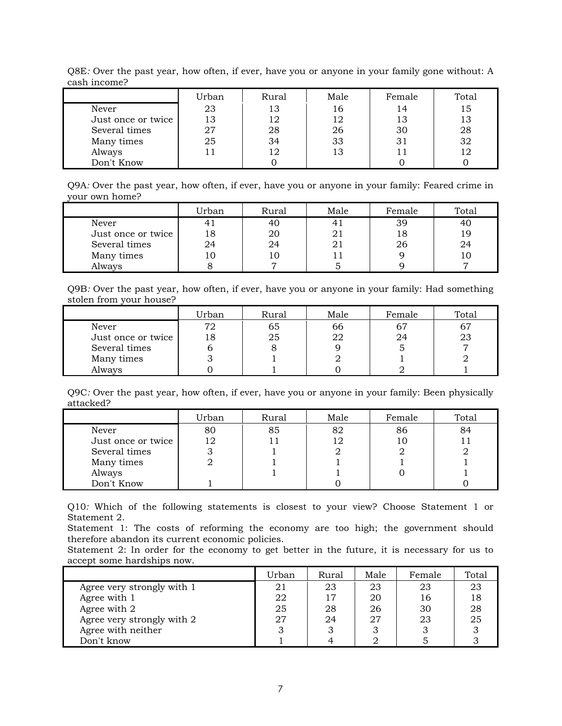| --------------     |       |       |      |        |       |
|--------------------|-------|-------|------|--------|-------|
|                    | Urban | Rural | Male | Female | Total |
| Never              | 23    | 13    | 16   | 14     | 15    |
| Just once or twice | 13    | 12    | 12   | 13     | 13    |
| Several times      | 27    | 28    | 26   | 30     | 28    |
| Many times         | 25    | 34    | 33   | 31     | 32    |
| Always             |       | 12    | 13   |        |       |
| Don't Know         |       |       |      |        |       |

Q8E*:* Over the past year, how often, if ever, have you or anyone in your family gone without: A cash income?

Q9A*:* Over the past year, how often, if ever, have you or anyone in your family: Feared crime in your own home?

|                    | Urban | Rural | Male | Female | Total |
|--------------------|-------|-------|------|--------|-------|
| Never              |       | 40    |      | 39     |       |
| Just once or twice |       | 20    |      | 18     | , q   |
| Several times      | 24    | 24    |      | 26     |       |
| Many times         |       | 10    |      |        |       |
| Always             |       |       |      |        |       |

Q9B*:* Over the past year, how often, if ever, have you or anyone in your family: Had something stolen from your house?

|                    | Urban | Rural | Male | Female | Total |
|--------------------|-------|-------|------|--------|-------|
| Never              | 72    | 65    | 66   | 67     |       |
| Just once or twice | 18    | 25    |      | 24     | 23    |
| Several times      |       |       |      |        |       |
| Many times         |       |       |      |        |       |
| Always             |       |       |      |        |       |

Q9C*:* Over the past year, how often, if ever, have you or anyone in your family: Been physically attacked?

|                    | Urban | Rural | Male | Female | Total |
|--------------------|-------|-------|------|--------|-------|
| Never              | 80    | 85    | 82   | 86     | 84    |
| Just once or twice | ר ו   |       |      | 10     |       |
| Several times      |       |       |      |        |       |
| Many times         |       |       |      |        |       |
| Always             |       |       |      |        |       |
| Don't Know         |       |       |      |        |       |

Q10*:* Which of the following statements is closest to your view? Choose Statement 1 or Statement 2.

Statement 1: The costs of reforming the economy are too high; the government should therefore abandon its current economic policies.

Statement 2: In order for the economy to get better in the future, it is necessary for us to accept some hardships now.

|                            | Urban | Rural | Male | Female | Total |
|----------------------------|-------|-------|------|--------|-------|
| Agree very strongly with 1 | 21    | 23    | 23   | 23     | 23    |
| Agree with 1               | 22    | 17    | 20   | 16     | 18    |
| Agree with 2               | 25    | 28    | 26   | 30     | 28    |
| Agree very strongly with 2 | 27    | 24    | 27   | 23     | 25    |
| Agree with neither         |       |       |      |        |       |
| Don't know                 |       |       |      |        |       |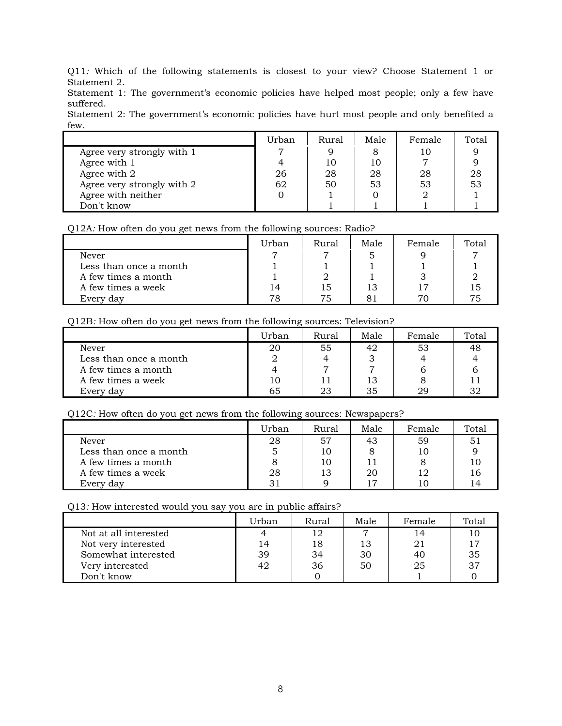Q11*:* Which of the following statements is closest to your view? Choose Statement 1 or Statement 2.

Statement 1: The government's economic policies have helped most people; only a few have suffered.

Statement 2: The government's economic policies have hurt most people and only benefited a few.

|                            | Urban | Rural | Male | Female | Total |
|----------------------------|-------|-------|------|--------|-------|
| Agree very strongly with 1 |       |       |      | 10     |       |
| Agree with 1               |       | 10    | 10   |        |       |
| Agree with 2               | 26    | 28    | 28   | 28     | 28    |
| Agree very strongly with 2 | 62    | 50    | 53   | 53     | 53    |
| Agree with neither         |       |       |      |        |       |
| Don't know                 |       |       |      |        |       |

#### Q12A*:* How often do you get news from the following sources: Radio?

|                        | Urban | Rural | Male | Female          | Total |
|------------------------|-------|-------|------|-----------------|-------|
| <b>Never</b>           |       |       |      |                 |       |
| Less than once a month |       |       |      |                 |       |
| A few times a month    |       |       |      |                 |       |
| A few times a week     | 14    | ם 1   |      | $\overline{17}$ |       |
| Every day              | 78    |       |      |                 |       |

Q12B*:* How often do you get news from the following sources: Television?

|                        | Urban | <b>Rural</b> | Male | Female | Total |
|------------------------|-------|--------------|------|--------|-------|
| Never                  | 20    | 55           | 42   | 53     |       |
| Less than once a month |       |              |      |        |       |
| A few times a month    |       |              |      |        |       |
| A few times a week     | 10    |              |      |        |       |
| Every day              | 65    |              | 35   | 29     |       |

Q12C*:* How often do you get news from the following sources: Newspapers?

|                        | Urban | Rural | Male | Female | Total |
|------------------------|-------|-------|------|--------|-------|
| Never                  | 28    | 57    | 43   | 59     | 51    |
| Less than once a month |       | 10    |      |        |       |
| A few times a month    |       | 10    |      |        |       |
| A few times a week     | 28    | 13    | 20   | 12     | 16    |
| Every day              |       |       |      |        | 14    |

#### Q13*:* How interested would you say you are in public affairs?

|                       | Urban | Rural | Male | Female | Total |
|-----------------------|-------|-------|------|--------|-------|
| Not at all interested |       | 12    |      | 14     |       |
| Not very interested   | 14    | 18    | 13   |        |       |
| Somewhat interested   | 39    | 34    | 30   | 40     | 35    |
| Very interested       | 42    | 36    | 50   | 25     | 37    |
| Don't know            |       |       |      |        |       |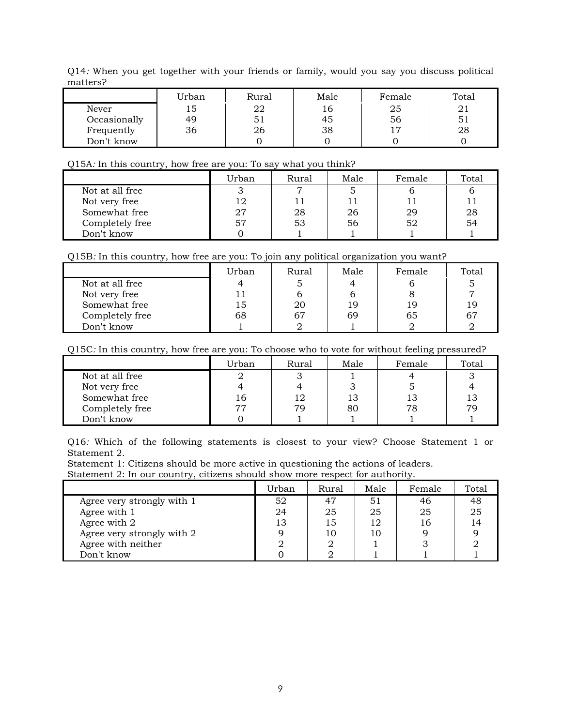Q14*:* When you get together with your friends or family, would you say you discuss political matters?

|              | Urban | Rural | Male | Female | Total |
|--------------|-------|-------|------|--------|-------|
| Never        | 15    | 22    | 16   | 25     |       |
| Occasionally | 49    | 51    | 45   | 56     | 51    |
| Frequently   | 36    | 26    | 38   | יי     | 28    |
| Don't know   |       |       |      |        |       |

#### Q15A*:* In this country, how free are you: To say what you think?

|                 | Urban | Rural | Male | Female | Total |
|-----------------|-------|-------|------|--------|-------|
| Not at all free |       | −     |      |        |       |
| Not very free   | 12    |       |      |        |       |
| Somewhat free   | 27    | 28    | 26   | 29     | 28    |
| Completely free | 57    | 53    | 56   | 52     | 54    |
| Don't know      |       |       |      |        |       |

|                 | Urban | Rural | Male | Female | Total |
|-----------------|-------|-------|------|--------|-------|
| Not at all free |       |       |      |        |       |
| Not very free   |       |       |      |        |       |
| Somewhat free   | 15    | 20    | 19   | 19     | 19    |
| Completely free | 68    |       | 69   | 65     | 67    |
| Don't know      |       |       |      |        |       |

Q15C*:* In this country, how free are you: To choose who to vote for without feeling pressured?

|                 | Urban | Rural | Male | Female | Total |
|-----------------|-------|-------|------|--------|-------|
| Not at all free |       |       |      |        |       |
| Not very free   |       |       |      |        |       |
| Somewhat free   | 16    | 12    | 13   | 13     | 13    |
| Completely free | 77    | 70    | 80   | 78     | 79    |
| Don't know      |       |       |      |        |       |

Q16*:* Which of the following statements is closest to your view? Choose Statement 1 or Statement 2.

Statement 1: Citizens should be more active in questioning the actions of leaders.

Statement 2: In our country, citizens should show more respect for authority.

|                            | Urban | Rural | Male | Female | Total |
|----------------------------|-------|-------|------|--------|-------|
| Agree very strongly with 1 | 52    | 47    | 51   | 46     | 48    |
| Agree with 1               | 24    | 25    | 25   | 25     | 25    |
| Agree with 2               | 13    | 15    | 12   | 16     | 14    |
| Agree very strongly with 2 |       | 10    | 10   |        |       |
| Agree with neither         |       |       |      |        |       |
| Don't know                 |       |       |      |        |       |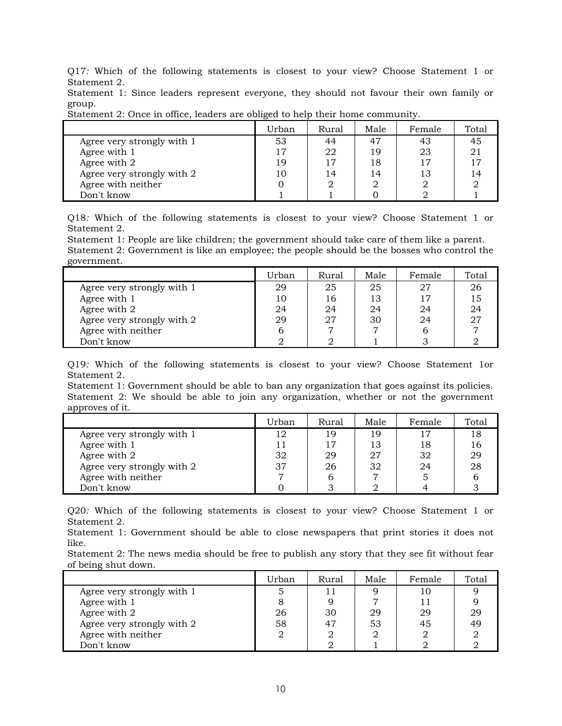Q17*:* Which of the following statements is closest to your view? Choose Statement 1 or Statement 2.

Statement 1: Since leaders represent everyone, they should not favour their own family or group.

|                            | Urban | Rural | Male | Female | Total          |
|----------------------------|-------|-------|------|--------|----------------|
| Agree very strongly with 1 | 53    | 44    | 47   | 43     | 45             |
| Agree with 1               | 17    | 22    | 19   | 23     | 2 <sup>1</sup> |
| Agree with 2               | 19    | 17    | 18   | 17     |                |
| Agree very strongly with 2 | 10    | 14    | 14   | 13     |                |
| Agree with neither         |       |       |      |        |                |
| Don't know                 |       |       |      |        |                |

Statement 2: Once in office, leaders are obliged to help their home community.

Q18*:* Which of the following statements is closest to your view? Choose Statement 1 or Statement 2.

Statement 1: People are like children; the government should take care of them like a parent. Statement 2: Government is like an employee; the people should be the bosses who control the government.

|                            | Urban | Rural | Male | Female | Total |
|----------------------------|-------|-------|------|--------|-------|
| Agree very strongly with 1 | 29    | 25    | 25   | 27     | 26    |
| Agree with 1               | 10    | 16    | 13   | 17     |       |
| Agree with 2               | 24    | 24    | 24   | 24     |       |
| Agree very strongly with 2 | 29    | 27    | 30   | 24     |       |
| Agree with neither         |       |       |      | b      |       |
| Don't know                 |       |       |      |        |       |

Q19*:* Which of the following statements is closest to your view? Choose Statement 1or Statement 2.

Statement 1: Government should be able to ban any organization that goes against its policies. Statement 2: We should be able to join any organization, whether or not the government approves of it.

|                            | Urban | Rural | Male | Female | Total |
|----------------------------|-------|-------|------|--------|-------|
| Agree very strongly with 1 | 12    | 19    | 19   | 17     | 18    |
| Agree with 1               |       | 17    | 13   | 18     |       |
| Agree with 2               | 32    | 29    | 27   | 32     | 29    |
| Agree very strongly with 2 | 37    | 26    | 32   | 24     | 28    |
| Agree with neither         |       |       |      |        |       |
| Don't know                 |       |       |      |        |       |

Q20*:* Which of the following statements is closest to your view? Choose Statement 1 or Statement 2.

Statement 1: Government should be able to close newspapers that print stories it does not like.

Statement 2: The news media should be free to publish any story that they see fit without fear of being shut down.

|                            | Urban | Rural | Male | Female | Total |
|----------------------------|-------|-------|------|--------|-------|
| Agree very strongly with 1 |       |       |      | 10     |       |
| Agree with 1               |       |       |      | 11     |       |
| Agree with 2               | 26    | 30    | 29   | 29     | 29    |
| Agree very strongly with 2 | 58    | 47    | 53   | 45     | 49    |
| Agree with neither         |       |       |      |        |       |
| Don't know                 |       |       |      |        |       |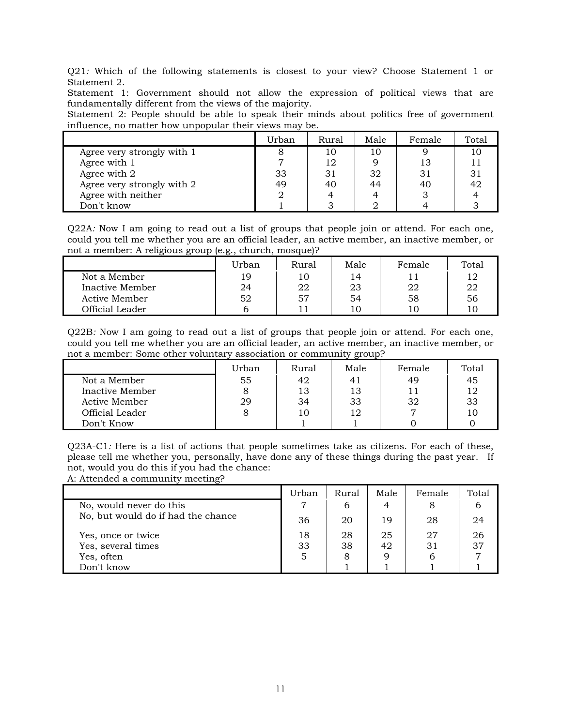Q21*:* Which of the following statements is closest to your view? Choose Statement 1 or Statement 2.

Statement 1: Government should not allow the expression of political views that are fundamentally different from the views of the majority.

Statement 2: People should be able to speak their minds about politics free of government influence, no matter how unpopular their views may be.

|                            | Urban | Rural | Male | Female | Total |
|----------------------------|-------|-------|------|--------|-------|
| Agree very strongly with 1 |       | 10    | 10   |        |       |
| Agree with 1               |       | 12    |      | 13     |       |
| Agree with 2               | 33    | 31    | 32   | 31     | 31    |
| Agree very strongly with 2 | 49    | 40    | 44   | 40     | 42    |
| Agree with neither         |       |       |      |        |       |
| Don't know                 |       |       |      |        |       |

Q22A*:* Now I am going to read out a list of groups that people join or attend. For each one, could you tell me whether you are an official leader, an active member, an inactive member, or not a member: A religious group (e.g., church, mosque)?

|                  | Urban | Rural | Male | Female | Total |
|------------------|-------|-------|------|--------|-------|
| Not a Member     | 19    | 10    | 14   |        | 12    |
| Inactive Member  | 24    | 22    | 23   | 22     | 22    |
| Active Member    | 52    | 57    | 54   | 58     | 56    |
| Official Leader- |       |       | 10   |        |       |

Q22B*:* Now I am going to read out a list of groups that people join or attend. For each one, could you tell me whether you are an official leader, an active member, an inactive member, or not a member: Some other voluntary association or community group?

|                 | Urban | Rural | Male | Female | Total |
|-----------------|-------|-------|------|--------|-------|
| Not a Member    | 55    | 42    | 41   | 49     | 45    |
| Inactive Member |       | 13    | 13   |        | 12    |
| Active Member   | 29    | 34    | 33   | 32     | 33    |
| Official Leader |       | 10    | 12   |        | 10    |
| Don't Know      |       |       |      |        |       |

Q23A-C1*:* Here is a list of actions that people sometimes take as citizens. For each of these, please tell me whether you, personally, have done any of these things during the past year. If not, would you do this if you had the chance:

A: Attended a community meeting?

|                                    | Urban | <b>Rural</b> | Male | Female | Total |
|------------------------------------|-------|--------------|------|--------|-------|
| No, would never do this            |       | 6            |      | 8      | b     |
| No, but would do if had the chance | 36    | 20           | 19   | 28     | 24    |
| Yes, once or twice                 | 18    | 28           | 25   | 27     | 26    |
| Yes, several times                 | 33    | 38           | 42   | 31     | 37    |
| Yes, often                         |       | 8            |      |        |       |
| Don't know                         |       |              |      |        |       |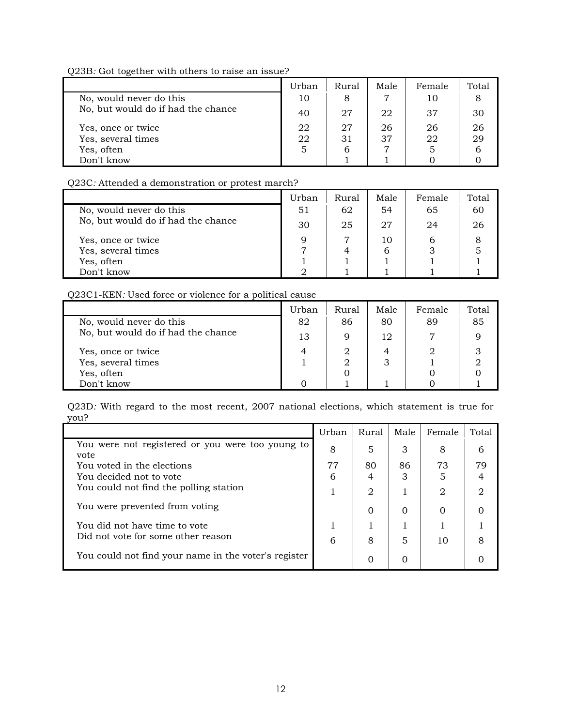Q23B*:* Got together with others to raise an issue?

|                                    | Urban | Rural | Male | Female | Total |
|------------------------------------|-------|-------|------|--------|-------|
| No, would never do this            | 10    | 8     | 7    | 10     |       |
| No, but would do if had the chance | 40    | 27    | 22   | 37     | 30    |
| Yes, once or twice                 | 22    | 27    | 26   | 26     | 26    |
| Yes, several times                 | 22    | 31    | 37   | 22     | 29    |
| Yes, often                         | 5     | b     | ⇁    |        |       |
| Don't know                         |       |       |      |        |       |

Q23C*:* Attended a demonstration or protest march?

|                                    | Urban | <b>Rural</b> | Male | Female | Total |
|------------------------------------|-------|--------------|------|--------|-------|
| No, would never do this            | 51    | 62           | 54   | 65     | 60    |
| No, but would do if had the chance | 30    | 25           | 27   | 24     | 26    |
| Yes, once or twice                 | a     | די           | 10   |        |       |
| Yes, several times                 |       |              | 6    |        |       |
| Yes, often                         |       |              |      |        |       |
| Don't know                         |       |              |      |        |       |

Q23C1-KEN*:* Used force or violence for a political cause

|                                    | Urban | Rural | Male | Female | Total |
|------------------------------------|-------|-------|------|--------|-------|
| No, would never do this            | 82    | 86    | 80   | 89     | 85    |
| No, but would do if had the chance | 13    | 9     | 12   |        |       |
| Yes, once or twice                 | 4     | 2     | 4    |        |       |
| Yes, several times                 |       |       |      |        |       |
| Yes, often                         |       |       |      |        |       |
| Don't know                         |       |       |      |        |       |

Q23D*:* With regard to the most recent, 2007 national elections, which statement is true for you?

|                                                          | Urban | Rural    | Male | Female                      | Total                       |
|----------------------------------------------------------|-------|----------|------|-----------------------------|-----------------------------|
| You were not registered or you were too young to<br>vote | 8     | 5        | 3    | 8                           | 6                           |
| You voted in the elections                               | 77    | 80       | 86   | 73                          | 79                          |
| You decided not to vote                                  | 6     | 4        | 3    |                             |                             |
| You could not find the polling station                   |       | 2        |      | $\mathcal{D}_{\mathcal{L}}$ | $\mathcal{D}_{\mathcal{L}}$ |
| You were prevented from voting                           |       | $\Omega$ | 0    | $\Omega$                    |                             |
| You did not have time to vote                            |       |          |      |                             |                             |
| Did not vote for some other reason                       | 6     | 8        | 5    | 10                          | 8                           |
| You could not find your name in the voter's register     |       |          |      |                             |                             |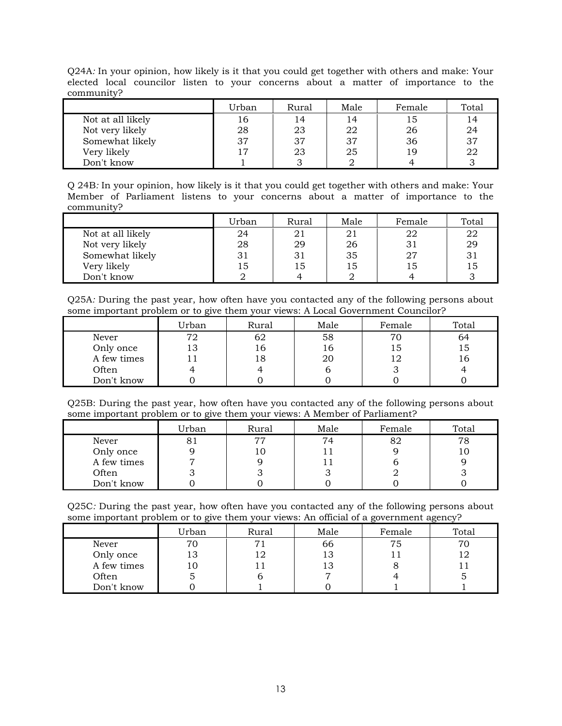|            |  |  |  |  |  | Q24A: In your opinion, how likely is it that you could get together with others and make: Your |  |
|------------|--|--|--|--|--|------------------------------------------------------------------------------------------------|--|
|            |  |  |  |  |  | elected local councilor listen to your concerns about a matter of importance to the            |  |
| community? |  |  |  |  |  |                                                                                                |  |

|                   | Urban | Rural | Male | Female | Total |
|-------------------|-------|-------|------|--------|-------|
| Not at all likely | 16    | 14    | 14   | 15     | 14    |
| Not very likely   | 28    | 23    | 22   | 26     | 24    |
| Somewhat likely   | 37    | 37    | 37   | 36     | 37    |
| Very likely       | 17    | 23    | 25   | 19     | 22    |
| Don't know        |       |       |      |        |       |

Q 24B*:* In your opinion, how likely is it that you could get together with others and make: Your Member of Parliament listens to your concerns about a matter of importance to the community?

|                   | Urban | Rural | Male | Female | Total |
|-------------------|-------|-------|------|--------|-------|
| Not at all likely | 24    | 21    | 21   | 22     | 22    |
| Not very likely   | 28    | 29    | 26   | 31     | 29    |
| Somewhat likely   | 31    | 31    | 35   | 27     | 31    |
| Very likely       | 15    | 15    | 15   | 15     | 15    |
| Don't know        |       |       |      |        |       |

Q25A*:* During the past year, how often have you contacted any of the following persons about some important problem or to give them your views: A Local Government Councilor?

|             | Urban | Rural | Male | Female | Total |
|-------------|-------|-------|------|--------|-------|
| Never       | 72    | 62    | 58   | 70     | 64    |
| Only once   | 13    | 16    | 16   | 15     | 15    |
| A few times |       | 18    | 20   |        | 16    |
| Often       |       |       |      |        |       |
| Don't know  |       |       |      |        |       |

Q25B: During the past year, how often have you contacted any of the following persons about some important problem or to give them your views: A Member of Parliament?

|             | Urban | Rural | Male | Female | Total |
|-------------|-------|-------|------|--------|-------|
| Never       |       | 77    | 74   | 82     | 78    |
| Only once   |       | 10    |      |        |       |
| A few times |       |       |      |        |       |
| Often       |       |       |      |        |       |
| Don't know  |       |       |      |        |       |

Q25C*:* During the past year, how often have you contacted any of the following persons about some important problem or to give them your views: An official of a government agency?

|             | Urban | Rural | Male | Female | Total |
|-------------|-------|-------|------|--------|-------|
| Never       | 70    |       | 66   | 75     | 70    |
| Only once   | 13    | 12    | 13   |        |       |
| A few times | 10    |       |      |        |       |
| Often       |       |       |      |        |       |
| Don't know  |       |       |      |        |       |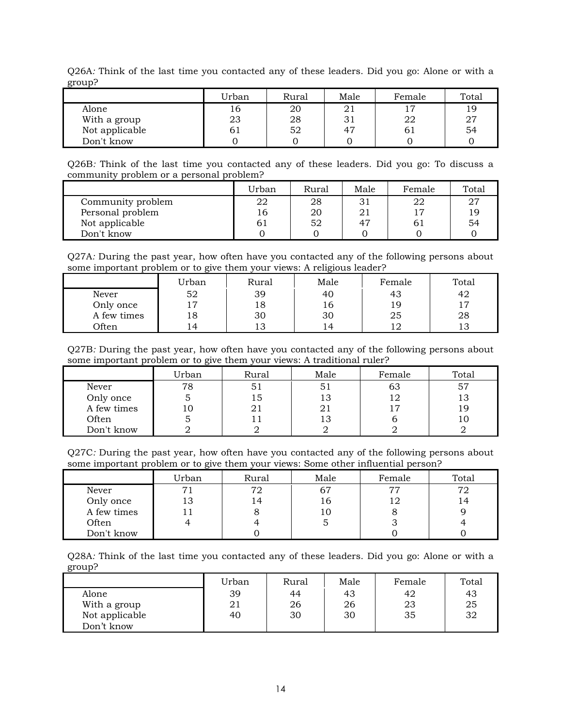| giuup:         |       |       |      |        |       |
|----------------|-------|-------|------|--------|-------|
|                | Urban | Rural | Male | Female | Total |
| Alone          | 16    | 20    | 21   | 17     | 19    |
| With a group   | 23    | 28    | 31   | 22     | 27    |
| Not applicable | 61    | 52    | 47   | 61     | 54    |
| Don't know     |       |       |      |        |       |

Q26A*:* Think of the last time you contacted any of these leaders. Did you go: Alone or with a  $g_{\rm{r} \alpha \nu}$ 

Q26B*:* Think of the last time you contacted any of these leaders. Did you go: To discuss a community problem or a personal problem?

|                   | Urban | Rural | Male | Female | Total |
|-------------------|-------|-------|------|--------|-------|
| Community problem | 22    | 28    | 31   |        | 27    |
| Personal problem  | 16    | 20    | 21   |        | 1 C   |
| Not applicable    | 61    | 52    | 47   |        | 54    |
| Don't know        |       |       |      |        |       |

Q27A*:* During the past year, how often have you contacted any of the following persons about some important problem or to give them your views: A religious leader?

|              | Urban          | Rural | Male           | Female       | Total |
|--------------|----------------|-------|----------------|--------------|-------|
| Never        | 52             | 39    | 40             | 43           | 42    |
| Only once    | $\overline{z}$ | 18    | 10             | <sub>Q</sub> |       |
| A few times  | 18             | 30    | 30             | 25           | 28    |
| <b>Often</b> | 4              | 13    | $\overline{4}$ |              | ⊥◡    |

Q27B*:* During the past year, how often have you contacted any of the following persons about some important problem or to give them your views: A traditional ruler?

|             | Urban | Rural | Male | Female | Total |
|-------------|-------|-------|------|--------|-------|
| Never       | 78    | Ы     | 51   | 63     | 57    |
| Only once   |       | 15    | 13   | 12     | 13    |
| A few times |       |       | 21   |        | 19    |
| Often       |       |       | 13   |        |       |
| Don't know  |       |       |      |        |       |

Q27C*:* During the past year, how often have you contacted any of the following persons about some important problem or to give them your views: Some other influential person?

|             | Urban | Rural | Male | Female | Total |
|-------------|-------|-------|------|--------|-------|
| Never       | 71    | 72    | 67   | 77     | 72    |
| Only once   | 13    | 14    | 16.  |        |       |
| A few times |       |       | 10   |        |       |
| Often       |       |       |      |        |       |
| Don't know  |       |       |      |        |       |

Q28A*:* Think of the last time you contacted any of these leaders. Did you go: Alone or with a group?

|                | Urban | Rural | Male | Female | Total |
|----------------|-------|-------|------|--------|-------|
| Alone          | 39    | 44    | 43   | 42     | 43    |
| With a group   | 21    | 26    | 26   | 23     | 25    |
| Not applicable | 40    | 30    | 30   | 35     | 32    |
| Don't know     |       |       |      |        |       |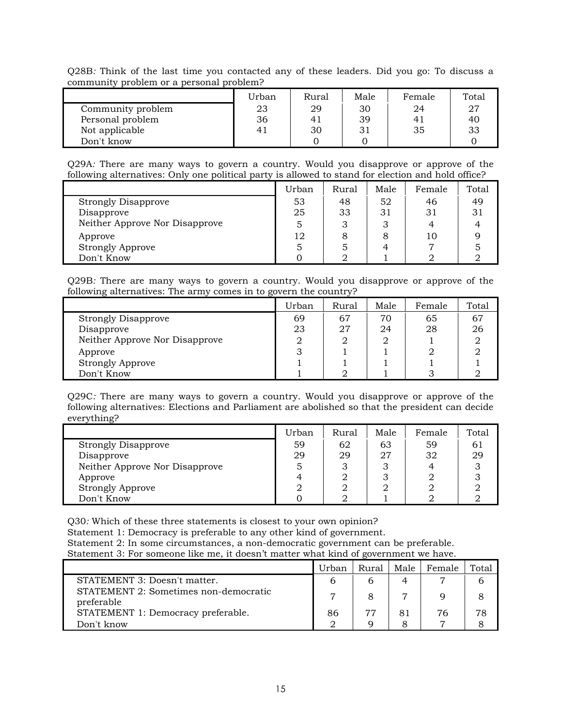Q28B*:* Think of the last time you contacted any of these leaders. Did you go: To discuss a community problem or a personal problem?

|                   | Urban | Rural | Male | Female | Total |
|-------------------|-------|-------|------|--------|-------|
| Community problem | 23    | 29    | 30   | 24     | 27    |
| Personal problem  | 36    | 41    | 39   | 4      | 40    |
| Not applicable    | 41    | 30    |      | 35     | 33    |
| Don't know        |       |       |      |        |       |

Q29A*:* There are many ways to govern a country. Would you disapprove or approve of the following alternatives: Only one political party is allowed to stand for election and hold office?

|                                | Urban | Rural | Male | Female | Total |
|--------------------------------|-------|-------|------|--------|-------|
| <b>Strongly Disapprove</b>     | 53    | 48    | 52   | 46     | 49    |
| Disapprove                     | 25    | 33    | 31   | 31     |       |
| Neither Approve Nor Disapprove | 5     | З     |      |        |       |
| Approve                        | 12    |       |      | 10     |       |
| <b>Strongly Approve</b>        |       |       |      |        |       |
| Don't Know                     |       |       |      |        |       |

Q29B*:* There are many ways to govern a country. Would you disapprove or approve of the following alternatives: The army comes in to govern the country?

|                                | Urban | Rural | Male | Female | Total |
|--------------------------------|-------|-------|------|--------|-------|
| <b>Strongly Disapprove</b>     | 69    | 67    | 70   | 65     | 67    |
| Disapprove                     | 23    | 27    | 24   | 28     | 26    |
| Neither Approve Nor Disapprove | 2     |       | റ    |        |       |
| Approve                        |       |       |      |        |       |
| <b>Strongly Approve</b>        |       |       |      |        |       |
| Don't Know                     |       |       |      |        |       |

Q29C*:* There are many ways to govern a country. Would you disapprove or approve of the following alternatives: Elections and Parliament are abolished so that the president can decide everything?

|                                | Urban | Rural | Male | Female | Total |
|--------------------------------|-------|-------|------|--------|-------|
| <b>Strongly Disapprove</b>     | 59    | 62    | 63   | 59     | 61    |
| Disapprove                     | 29    | 29    | 27   | 32     | 29    |
| Neither Approve Nor Disapprove | 5     |       |      |        |       |
| Approve                        | 4     |       |      |        |       |
| <b>Strongly Approve</b>        |       |       |      |        |       |
| Don't Know                     |       |       |      |        |       |

Q30*:* Which of these three statements is closest to your own opinion? Statement 1: Democracy is preferable to any other kind of government. Statement 2: In some circumstances, a non-democratic government can be preferable. Statement 3: For someone like me, it doesn't matter what kind of government we have.

|                                                     | Urban | Rural | Male | Female | Total |
|-----------------------------------------------------|-------|-------|------|--------|-------|
| STATEMENT 3: Doesn't matter.                        |       |       |      |        | b     |
| STATEMENT 2: Sometimes non-democratic<br>preferable |       |       |      |        |       |
| STATEMENT 1: Democracy preferable.                  | 86    |       |      | 76     | 78    |
| Don't know                                          |       |       |      |        |       |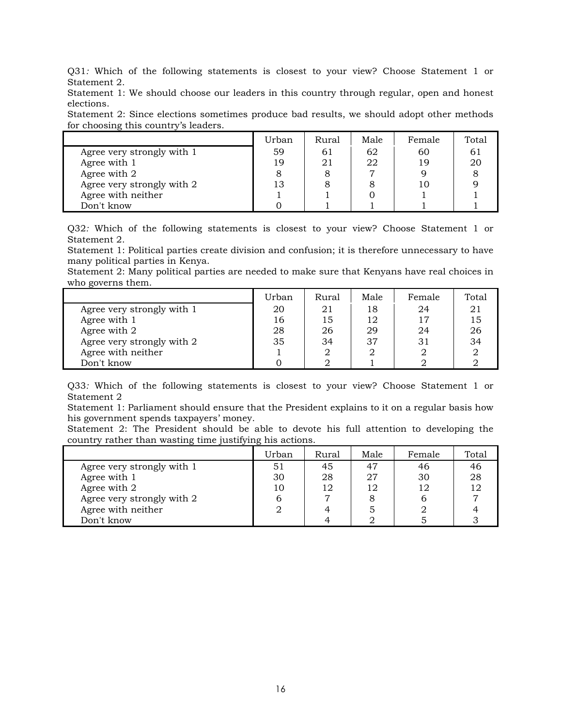Q31*:* Which of the following statements is closest to your view? Choose Statement 1 or Statement 2.

Statement 1: We should choose our leaders in this country through regular, open and honest elections.

Statement 2: Since elections sometimes produce bad results, we should adopt other methods for choosing this country's leaders.

|                            | Urban | Rural | Male | Female | Total |
|----------------------------|-------|-------|------|--------|-------|
| Agree very strongly with 1 | 59    | 61    | 62   | 60     | 61    |
| Agree with 1               | 19    |       | 22   | 19     | 20    |
| Agree with 2               |       |       |      |        |       |
| Agree very strongly with 2 | 13    |       |      | 10     |       |
| Agree with neither         |       |       |      |        |       |
| Don't know                 |       |       |      |        |       |

Q32*:* Which of the following statements is closest to your view? Choose Statement 1 or Statement 2.

Statement 1: Political parties create division and confusion; it is therefore unnecessary to have many political parties in Kenya.

Statement 2: Many political parties are needed to make sure that Kenyans have real choices in who governs them.

|                            | Urban | Rural | Male | Female | Total |
|----------------------------|-------|-------|------|--------|-------|
| Agree very strongly with 1 | 20    | 21    | 18   | 24     |       |
| Agree with 1               | 16    | 15    | 12   | 17     | 15    |
| Agree with 2               | 28    | 26    | 29   | 24     | 26    |
| Agree very strongly with 2 | 35    | 34    | 37   | 31     | 34    |
| Agree with neither         |       |       |      |        |       |
| Don't know                 |       |       |      |        |       |

Q33*:* Which of the following statements is closest to your view? Choose Statement 1 or Statement 2

Statement 1: Parliament should ensure that the President explains to it on a regular basis how his government spends taxpayers' money.

Statement 2: The President should be able to devote his full attention to developing the country rather than wasting time justifying his actions.

|                            | Urban | Rural | Male | Female | Total |
|----------------------------|-------|-------|------|--------|-------|
| Agree very strongly with 1 | 51    | 45    | 47   | 46     | 46    |
| Agree with 1               | 30    | 28    | 77   | 30     | 28    |
| Agree with 2               | 10    | 12    | 12   | 12     | 12    |
| Agree very strongly with 2 |       |       |      |        |       |
| Agree with neither         |       |       |      |        |       |
| Don't know                 |       |       |      |        |       |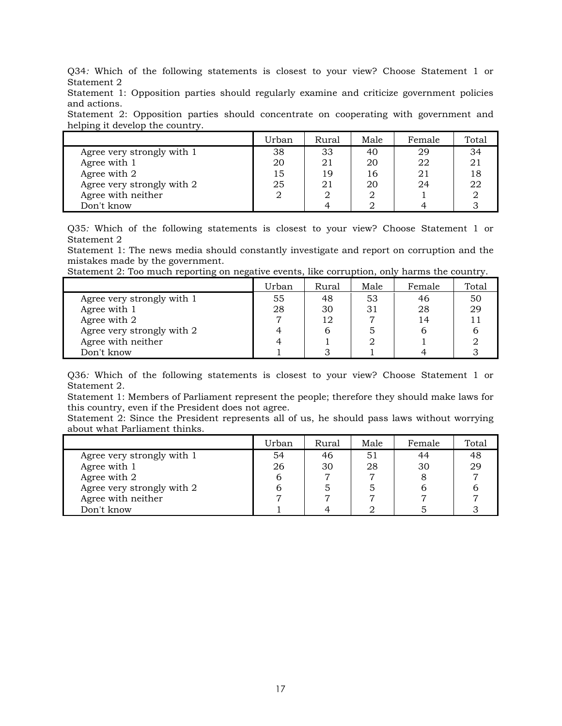Q34*:* Which of the following statements is closest to your view? Choose Statement 1 or Statement 2

Statement 1: Opposition parties should regularly examine and criticize government policies and actions.

Statement 2: Opposition parties should concentrate on cooperating with government and helping it develop the country.

|                            | Urban | Rural | Male | Female | Total |
|----------------------------|-------|-------|------|--------|-------|
| Agree very strongly with 1 | 38    | 33    | 40   | 29     | 34    |
| Agree with 1               | 20    | 21    | 20   | 22     |       |
| Agree with 2               | 15    | 19    | 16   | 21     |       |
| Agree very strongly with 2 | 25    |       | 20   | 24     | 22    |
| Agree with neither         |       |       |      |        |       |
| Don't know                 |       |       |      |        |       |

Q35*:* Which of the following statements is closest to your view? Choose Statement 1 or Statement 2

Statement 1: The news media should constantly investigate and report on corruption and the mistakes made by the government.

Statement 2: Too much reporting on negative events, like corruption, only harms the country.

|                            | Urban | Rural | Male | Female | Total |
|----------------------------|-------|-------|------|--------|-------|
| Agree very strongly with 1 | 55    | 48    | 53   | 46     | 50    |
| Agree with 1               | 28    | 30    |      | 28     | 29    |
| Agree with 2               |       |       |      | 14     |       |
| Agree very strongly with 2 | 4     |       |      |        |       |
| Agree with neither         | 4     |       |      |        |       |
| Don't know                 |       |       |      |        |       |

Q36*:* Which of the following statements is closest to your view? Choose Statement 1 or Statement 2.

Statement 1: Members of Parliament represent the people; therefore they should make laws for this country, even if the President does not agree.

Statement 2: Since the President represents all of us, he should pass laws without worrying about what Parliament thinks.

|                            | Urban | Rural | Male | Female | Total |
|----------------------------|-------|-------|------|--------|-------|
| Agree very strongly with 1 | 54    | 46    |      | 44     | 48    |
| Agree with 1               | 26    | 30    | 28   | 30     | 29    |
| Agree with 2               |       |       |      |        |       |
| Agree very strongly with 2 |       |       |      |        |       |
| Agree with neither         |       |       |      |        |       |
| Don't know                 |       |       |      |        |       |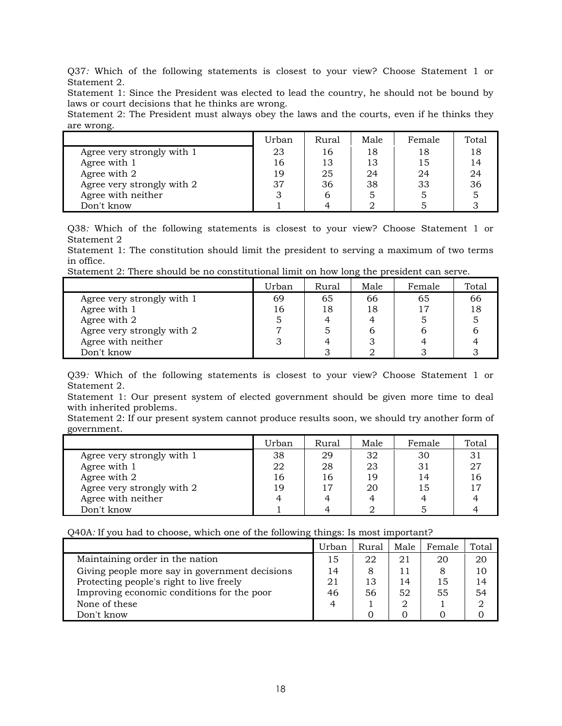Q37*:* Which of the following statements is closest to your view? Choose Statement 1 or Statement 2.

Statement 1: Since the President was elected to lead the country, he should not be bound by laws or court decisions that he thinks are wrong.

Statement 2: The President must always obey the laws and the courts, even if he thinks they are wrong.

|                            | Urban | Rural | Male | Female | Total |
|----------------------------|-------|-------|------|--------|-------|
| Agree very strongly with 1 | 23    | 16    | 18   | 18     | 18    |
| Agree with 1               | 16    | 13    | 13   | 15     | 14    |
| Agree with 2               | 19    | 25    | 24   | 24     | 24    |
| Agree very strongly with 2 | 37    | 36    | 38   | 33     | 36    |
| Agree with neither         |       |       |      |        |       |
| Don't know                 |       |       |      |        |       |

Q38*:* Which of the following statements is closest to your view? Choose Statement 1 or Statement 2

Statement 1: The constitution should limit the president to serving a maximum of two terms in office.

Statement 2: There should be no constitutional limit on how long the president can serve.

|                            | Urban | Rural | Male | Female | Total |
|----------------------------|-------|-------|------|--------|-------|
| Agree very strongly with 1 | 69    | 65    | 66   | 65     | 66    |
| Agree with 1               | 16    | 18    | 18   | 17     | 18    |
| Agree with 2               |       |       |      |        |       |
| Agree very strongly with 2 |       |       |      |        |       |
| Agree with neither         |       |       |      |        |       |
| Don't know                 |       |       |      |        |       |

Q39*:* Which of the following statements is closest to your view? Choose Statement 1 or Statement 2.

Statement 1: Our present system of elected government should be given more time to deal with inherited problems.

Statement 2: If our present system cannot produce results soon, we should try another form of government.

|                            | Urban | Rural | Male | Female | Total |
|----------------------------|-------|-------|------|--------|-------|
| Agree very strongly with 1 | 38    | 29    | 32   | 30     | 31    |
| Agree with 1               | 22    | 28    | 23   | 31     | 27    |
| Agree with 2               | 16    | 16    | 19   | 14     |       |
| Agree very strongly with 2 | 19    |       | 20   | 15     |       |
| Agree with neither         | 4     |       |      |        |       |
| Don't know                 |       |       |      |        |       |

Q40A*:* If you had to choose, which one of the following things: Is most important?

|                                                | Urban | Rural | Male | Female | Total                       |
|------------------------------------------------|-------|-------|------|--------|-----------------------------|
| Maintaining order in the nation                | 15    | 22    | 21   | 20     | 20                          |
| Giving people more say in government decisions | 14    |       |      |        | 10                          |
| Protecting people's right to live freely       | 21    | 13    | 14   | 15     | 14                          |
| Improving economic conditions for the poor     | 46    | 56    | 52   | 55     | 54                          |
| None of these                                  | 4     |       |      |        | $\mathcal{D}_{\mathcal{L}}$ |
| Don't know                                     |       |       |      |        |                             |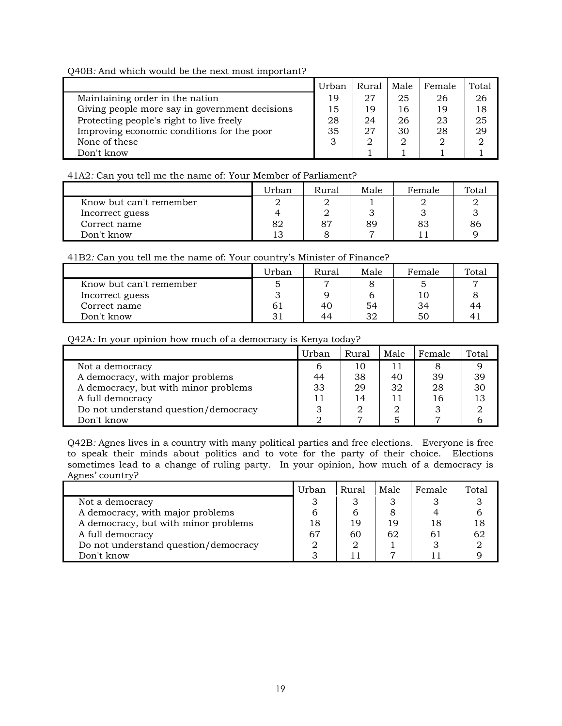Q40B*:* And which would be the next most important?

|                                                | Urban | Rural | Male | Female | Total         |
|------------------------------------------------|-------|-------|------|--------|---------------|
| Maintaining order in the nation                | 19    | 27    | 25   | 26     | 26            |
| Giving people more say in government decisions | 15    | 19    | 16   | 19     | 18            |
| Protecting people's right to live freely       | 28    | 24    | 26   | 23     | 25            |
| Improving economic conditions for the poor     | 35    | 27    | 30   | 28     | 29            |
| None of these                                  | 3     |       | 2    |        | $\mathcal{D}$ |
| Don't know                                     |       |       |      |        |               |

## 41A2*:* Can you tell me the name of: Your Member of Parliament?

|                         | Urban        | Rural | Male | Female | Total |
|-------------------------|--------------|-------|------|--------|-------|
| Know but can't remember |              |       |      |        |       |
| Incorrect guess         |              |       |      |        |       |
| Correct name            | 82           | 87    | 89   | 83     | 86    |
| Don't know              | ר 1<br>1 v i |       |      |        |       |

## 41B2*:* Can you tell me the name of: Your country's Minister of Finance?

|                         | Urban | Rural | Male | Female | Total |
|-------------------------|-------|-------|------|--------|-------|
| Know but can't remember |       |       |      | ∽      |       |
| Incorrect guess         |       |       |      | 10     |       |
| Correct name            | -61   | 40    | 54   | 34     | 44    |
| Don't know              |       | 44    | 32   | 50     |       |

#### Q42A*:* In your opinion how much of a democracy is Kenya today?

|                                      | Urban | Rural | Male | Female | Total |
|--------------------------------------|-------|-------|------|--------|-------|
| Not a democracy                      |       | 10    | 11   |        |       |
| A democracy, with major problems     | 44    | 38    | 40   | 39     | 39    |
| A democracy, but with minor problems | 33    | 29    | 32   | 28     | 30    |
| A full democracy                     | 11    | 4     |      | 16     | 13    |
| Do not understand question/democracy |       |       |      |        |       |
| Don't know                           |       |       |      |        |       |

Q42B*:* Agnes lives in a country with many political parties and free elections. Everyone is free to speak their minds about politics and to vote for the party of their choice. Elections sometimes lead to a change of ruling party. In your opinion, how much of a democracy is Agnes' country?

|                                      | Urban | Rural | Male | Female | Total |
|--------------------------------------|-------|-------|------|--------|-------|
| Not a democracy                      |       |       |      |        |       |
| A democracy, with major problems     |       |       |      |        |       |
| A democracy, but with minor problems | 18    | 19    | 19   | 18     |       |
| A full democracy                     | 67    | 60    | 62   | 61     |       |
| Do not understand question/democracy |       |       |      |        |       |
| Don't know                           |       | ו ו   |      |        |       |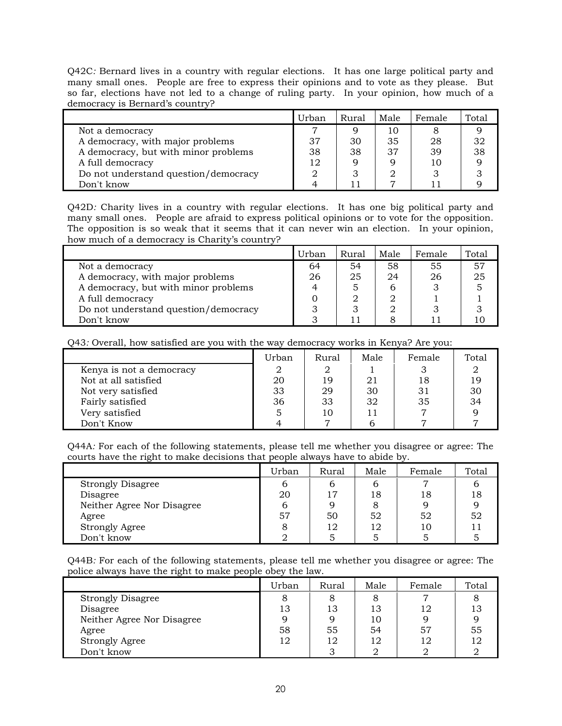Q42C*:* Bernard lives in a country with regular elections. It has one large political party and many small ones. People are free to express their opinions and to vote as they please. But so far, elections have not led to a change of ruling party. In your opinion, how much of a democracy is Bernard's country?

|                                      | Urban | Rural | Male           | Female | Total |
|--------------------------------------|-------|-------|----------------|--------|-------|
| Not a democracy                      |       |       | 10             |        |       |
| A democracy, with major problems     | 37    | 30    | 35             | 28     | 32    |
| A democracy, but with minor problems | 38    | 38    | 37             | 39     | 38    |
| A full democracy                     | 12    | 9     |                | 10     |       |
| Do not understand question/democracy |       |       |                |        |       |
| Don't know                           |       |       | $\overline{ }$ |        |       |

Q42D*:* Charity lives in a country with regular elections. It has one big political party and many small ones. People are afraid to express political opinions or to vote for the opposition. The opposition is so weak that it seems that it can never win an election. In your opinion, how much of a democracy is Charity's country?

|                                      | Urban | Rural | Male | Female | Total |
|--------------------------------------|-------|-------|------|--------|-------|
| Not a democracy                      | 64    | 54    | 58   | 55     | 57    |
| A democracy, with major problems     | 26    | 25    | 24   | 26     | 25    |
| A democracy, but with minor problems |       | 5     | n    |        |       |
| A full democracy                     |       | 2     |      |        |       |
| Do not understand question/democracy |       |       |      |        |       |
| Don't know                           |       |       |      |        |       |

Q43*:* Overall, how satisfied are you with the way democracy works in Kenya? Are you:

|                          | Urban | Rural | Male | Female | Total |
|--------------------------|-------|-------|------|--------|-------|
| Kenya is not a democracy |       |       |      |        |       |
| Not at all satisfied     | 20    | 19    | 21   | 18     |       |
| Not very satisfied       | 33    | 29    | 30   | 31     | 30    |
| Fairly satisfied         | 36    | 33    | 32   | 35     | 34    |
| Very satisfied           |       | 10    |      |        |       |
| Don't Know               |       |       |      |        |       |

Q44A*:* For each of the following statements, please tell me whether you disagree or agree: The courts have the right to make decisions that people always have to abide by.

|                            | Urban | Rural | Male | Female | Total |
|----------------------------|-------|-------|------|--------|-------|
| <b>Strongly Disagree</b>   | 6     |       |      | 7      |       |
| Disagree                   | 20    | 17    | 18   | 18     |       |
| Neither Agree Nor Disagree | b     | Q     |      |        |       |
| Agree                      | 57    | 50    | 52   | 52     | 52    |
| <b>Strongly Agree</b>      |       | 12    | 12   | 10     |       |
| Don't know                 |       |       |      |        |       |

Q44B*:* For each of the following statements, please tell me whether you disagree or agree: The police always have the right to make people obey the law.

|                            | Urban | Rural | Male | Female | Total |
|----------------------------|-------|-------|------|--------|-------|
| <b>Strongly Disagree</b>   | 8     | 8     |      | ⇁      |       |
| Disagree                   | 13    | 13    | 13   | 12     |       |
| Neither Agree Nor Disagree |       | q     | 10   |        |       |
| Agree                      | 58    | 55    | 54   | 57     | ხხ    |
| <b>Strongly Agree</b>      | 12    | 12    | 12   | 12     |       |
| Don't know                 |       | ာ     |      |        |       |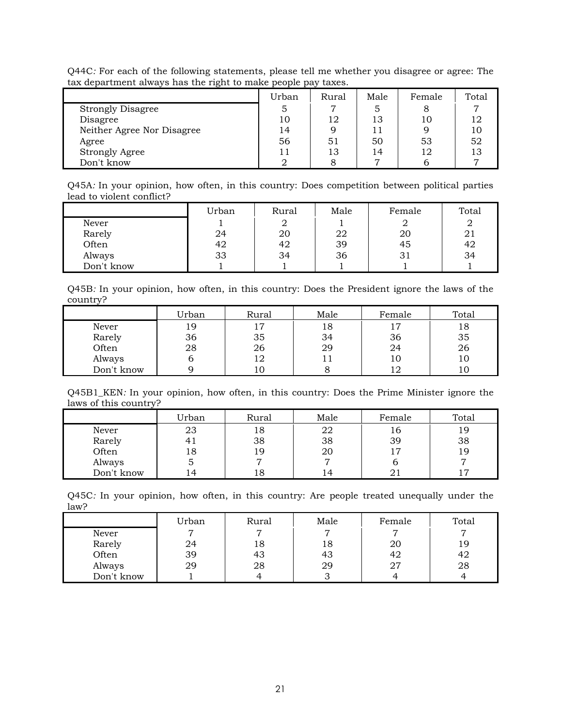| Q44C: For each of the following statements, please tell me whether you disagree or agree: The |  |  |  |
|-----------------------------------------------------------------------------------------------|--|--|--|
| tax department always has the right to make people pay taxes.                                 |  |  |  |

|                            | Urban | Rural | Male | Female | Total |
|----------------------------|-------|-------|------|--------|-------|
| <b>Strongly Disagree</b>   |       | ⇁     | 5    | 8      |       |
| Disagree                   | 10    | 12    | 13   | 10     |       |
| Neither Agree Nor Disagree | 14    | 9     | 11   |        |       |
| Agree                      | 56    | 51    | 50   | 53     | 52    |
| <b>Strongly Agree</b>      |       | 13    | 14   | 12     | 13    |
| Don't know                 |       |       |      |        |       |

Q45A*:* In your opinion, how often, in this country: Does competition between political parties lead to violent conflict?

|            | Urban | Rural | Male | Female | Total |
|------------|-------|-------|------|--------|-------|
| Never      |       |       |      |        |       |
| Rarely     | 24    | 20    | 22   | 20     | 21    |
| Often      | 42    | 42    | 39   | 45     | 42    |
| Always     | 33    | 34    | 36   | 31     | 34    |
| Don't know |       |       |      |        |       |

Q45B*:* In your opinion, how often, in this country: Does the President ignore the laws of the country?

|            | Urban | Rural | Male | Female | Total |
|------------|-------|-------|------|--------|-------|
| Never      | 19    | 17    | 18   | ר ו    | 18    |
| Rarely     | 36    | 35    | 34   | 36     | 35    |
| Often      | 28    | 26    | 29   | 24     | 26    |
| Always     |       | 12    |      | 10     | 10    |
| Don't know |       | 10    |      |        | 10    |

Q45B1\_KEN*:* In your opinion, how often, in this country: Does the Prime Minister ignore the laws of this country?

|            | Urban | Rural | Male           | Female | Total |
|------------|-------|-------|----------------|--------|-------|
| Never      | 23    | 18    | 22             | 16     | 19    |
| Rarely     |       | 38    | 38             | 39     | 38    |
| Often      | 18    | 19    | 20             |        | 19    |
| Always     | G     |       |                |        |       |
| Don't know | 4     | 18    | $\overline{4}$ |        |       |

Q45C*:* In your opinion, how often, in this country: Are people treated unequally under the law?

|            | Urban | Rural | Male | Female | Total |
|------------|-------|-------|------|--------|-------|
| Never      |       |       |      |        |       |
| Rarely     | 24    | 18    | 18   | 20     | 19    |
| Often      | 39    | 43    | 43   | 42     | 42    |
| Always     | 29    | 28    | 29   | 27     | 28    |
| Don't know |       |       |      |        |       |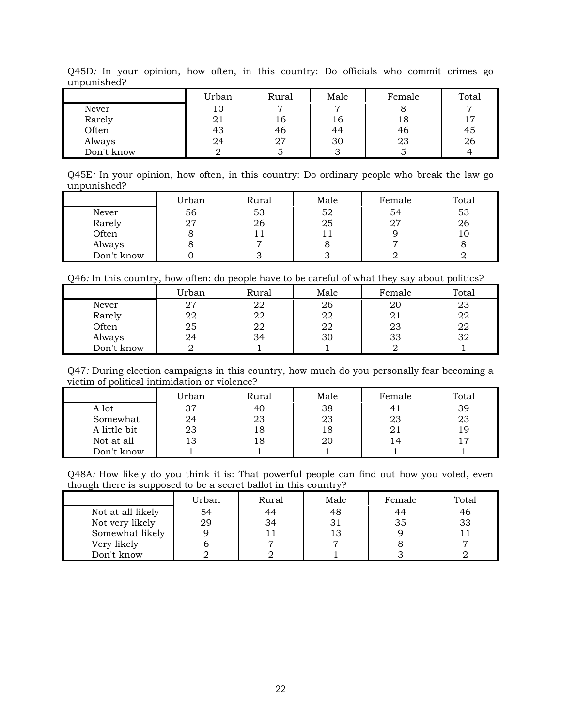|            | Urban | Rural | Male | Female | Total |
|------------|-------|-------|------|--------|-------|
| Never      | 10    |       |      |        |       |
| Rarely     | 21    | 16    | 16   | 18     | 17    |
| Often      | 43    | 46    | 44   | 46     | 45    |
| Always     | 24    | 27    | 30   | 23     | 26    |
| Don't know |       |       |      |        |       |

Q45D*:* In your opinion, how often, in this country: Do officials who commit crimes go unpunished?

Q45E*:* In your opinion, how often, in this country: Do ordinary people who break the law go unpunished?

|            | Urban | Rural | Male | Female | Total |
|------------|-------|-------|------|--------|-------|
| Never      | 56    | 53    | 52   | 54     | 53    |
| Rarely     | 27    | 26    | 25   | רמ     | 26    |
| Often      |       |       |      |        | TÛ    |
| Always     |       |       |      |        |       |
| Don't know |       |       |      |        |       |

Q46*:* In this country, how often: do people have to be careful of what they say about politics?

|            | Urban | Rural | Male | Female | Total |
|------------|-------|-------|------|--------|-------|
| Never      | 27    | 22    | 26   | 20     | 23    |
| Rarely     | 22    | 22    | 22   |        | 22    |
| Often      | 25    | 22    | 22   | 23     | 22    |
| Always     | 24    | 34    | 30   | 33     | 32    |
| Don't know |       |       |      |        |       |

Q47*:* During election campaigns in this country, how much do you personally fear becoming a victim of political intimidation or violence?

|              | Jrban | Rural | Male | Female | Total |
|--------------|-------|-------|------|--------|-------|
| A lot        | 37    | 40    | 38   |        | 39    |
| Somewhat     | 24    | 23    | 23   | 23     | 23    |
| A little bit | 23    | 18    | l8   |        | 19    |
| Not at all   | 13    | 18    | 20   |        |       |
| Don't know   |       |       |      |        |       |

Q48A*:* How likely do you think it is: That powerful people can find out how you voted, even though there is supposed to be a secret ballot in this country?

|                   | Urban | Rural | Male | Female | Total |
|-------------------|-------|-------|------|--------|-------|
| Not at all likely | 54    | 44    | 48   | 44     | 46    |
| Not very likely   | 29    | 34    |      | 35     | 33    |
| Somewhat likely   |       |       | 13   |        |       |
| Very likely       |       |       |      |        |       |
| Don't know        |       |       |      |        |       |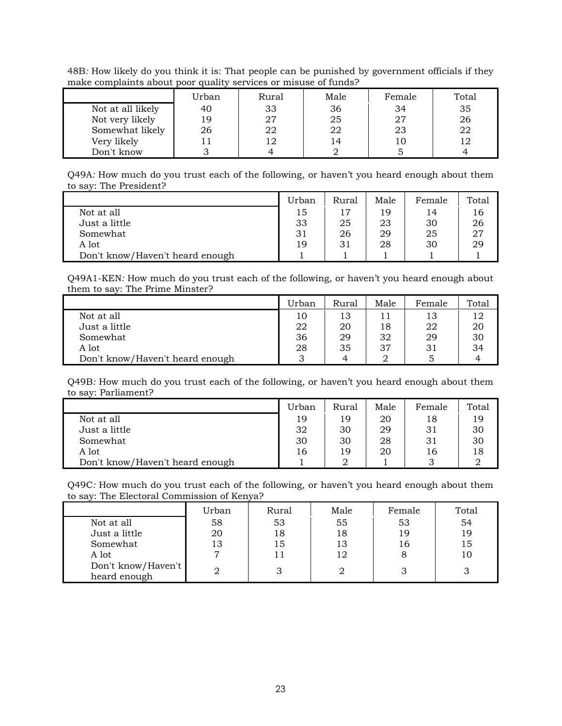48B*:* How likely do you think it is: That people can be punished by government officials if they make complaints about poor quality services or misuse of funds?

|                   | Urban | Rural | Male | Female | Total |
|-------------------|-------|-------|------|--------|-------|
| Not at all likely | 40    | 33    | 36   | 34     | 35    |
| Not very likely   | 19    | 27    | 25   | 27     | 26    |
| Somewhat likely   | 26    | 22    | 22   | 23     | 22    |
| Very likely       |       |       | 14   | 10     |       |
| Don't know        |       |       |      |        |       |

Q49A*:* How much do you trust each of the following, or haven't you heard enough about them to say: The President?

|                                 | Urban | Rural | Male | Female | Total |
|---------------------------------|-------|-------|------|--------|-------|
| Not at all                      | 15    |       | 19   | 14     | 16    |
| Just a little                   | 33    | 25    | 23   | 30     | 26    |
| Somewhat                        | 31    | 26    | 29   | 25     | 27    |
| A lot                           | 19    | 31    | 28   | 30     | 29    |
| Don't know/Haven't heard enough |       |       |      |        |       |

Q49A1-KEN*:* How much do you trust each of the following, or haven't you heard enough about them to say: The Prime Minster?

|                                 | Urban | Rural | Male | Female | Total |
|---------------------------------|-------|-------|------|--------|-------|
| Not at all                      | 10    | 13    |      | 13     | 12    |
| Just a little                   | 22    | 20    | 18   | 22     | 20    |
| Somewhat                        | 36    | 29    | 32   | 29     | 30    |
| A lot                           | 28    | 35    | 37   | 31     | 34    |
| Don't know/Haven't heard enough |       |       |      |        |       |

Q49B*:* How much do you trust each of the following, or haven't you heard enough about them to say: Parliament?

|                                 | Urban | Rural | Male | Female | Total |
|---------------------------------|-------|-------|------|--------|-------|
| Not at all                      | 19    | 19    | 20   | 18     | 19    |
| Just a little                   | 32    | 30    | 29   | 31     | 30    |
| Somewhat                        | 30    | 30    | 28   | 31     | 30    |
| A lot                           | 16    | 19    | 20   | 16     | 18    |
| Don't know/Haven't heard enough |       |       |      |        |       |

Q49C*:* How much do you trust each of the following, or haven't you heard enough about them to say: The Electoral Commission of Kenya?

|                    | Urban | Rural | Male | Female | Total |
|--------------------|-------|-------|------|--------|-------|
| Not at all         | 58    | 53    | 55   | 53     | 54    |
| Just a little      | 20    | 18    | 18   | 19     | 19    |
| Somewhat           | 13    | 15    | 13   | 16     | 15    |
| A lot              | ┍     |       | 12   | 8      | 10    |
| Don't know/Haven't |       |       |      |        |       |
| heard enough       |       |       |      |        |       |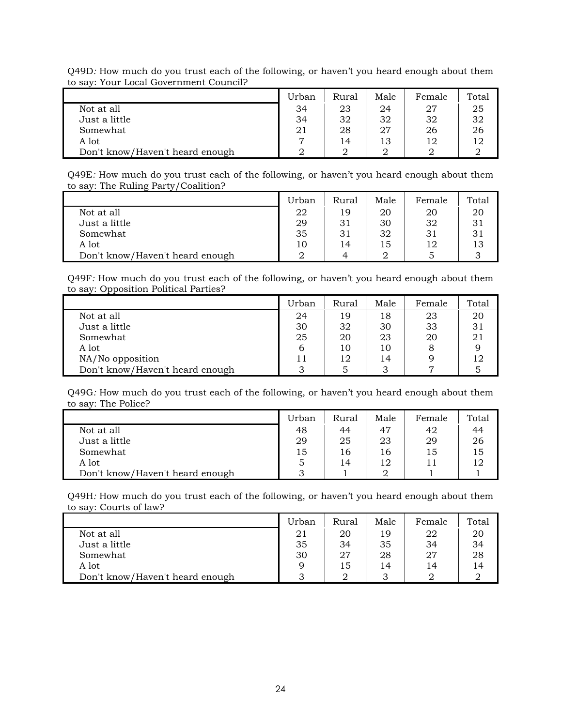| to say, Tour Local Government Council: |       |       |      |        |       |
|----------------------------------------|-------|-------|------|--------|-------|
|                                        | Urban | Rural | Male | Female | Total |
| Not at all                             | 34    | 23    | 24   | 27     | 25    |
| Just a little                          | 34    | 32    | 32   | 32     | 32    |
| Somewhat                               | 21    | 28    | 27   | 26     | 26    |
| A lot                                  |       | 14    | 13   | 12     | 12    |
| Don't know/Haven't heard enough        |       |       |      |        |       |

Q49D*:* How much do you trust each of the following, or haven't you heard enough about them to say: Your Local Government Council?

Q49E*:* How much do you trust each of the following, or haven't you heard enough about them to say: The Ruling Party/Coalition?

|                                 | Urban | Rural | Male | Female | Total |
|---------------------------------|-------|-------|------|--------|-------|
| Not at all                      | 22    | 19    | 20   | 20     | 20    |
| Just a little                   | 29    | 31    | 30   | 32     |       |
| Somewhat                        | 35    | 31    | 32   | 31     |       |
| A lot                           | 10    | 14    | 15   | 12     | 13    |
| Don't know/Haven't heard enough |       | 4     |      |        |       |

Q49F*:* How much do you trust each of the following, or haven't you heard enough about them to say: Opposition Political Parties?

|                                 | Urban | Rural | Male | Female | Total |
|---------------------------------|-------|-------|------|--------|-------|
| Not at all                      | 24    | 19    | 18   | 23     | 20    |
| Just a little                   | 30    | 32    | 30   | 33     | 31    |
| Somewhat                        | 25    | 20    | 23   | 20     | 21    |
| A lot                           | b     | 10    | 10   |        |       |
| NA/No opposition                |       | 12    | 14   |        | 12    |
| Don't know/Haven't heard enough |       |       |      |        |       |

Q49G*:* How much do you trust each of the following, or haven't you heard enough about them to say: The Police?

|                                 | Urban | Rural | Male | Female | Total |
|---------------------------------|-------|-------|------|--------|-------|
| Not at all                      | 48    | 44    | 47   | 42     | 44    |
| Just a little                   | 29    | 25    | 23   | 29     | 26    |
| Somewhat                        | 15    | 16    | 16   | 15     | 15    |
| A lot                           | 5     | 14    | 12   |        | 12    |
| Don't know/Haven't heard enough |       |       |      |        |       |

Q49H*:* How much do you trust each of the following, or haven't you heard enough about them to say: Courts of law?

|                                 | Urban | Rural | Male | Female | Total |
|---------------------------------|-------|-------|------|--------|-------|
| Not at all                      | 21    | 20    | 19   | 22     | 20    |
| Just a little                   | 35    | 34    | 35   | 34     | 34    |
| Somewhat                        | 30    | 27    | 28   | 27     | 28    |
| A lot                           |       | 15    | 14   | 14     | 14    |
| Don't know/Haven't heard enough |       |       |      |        |       |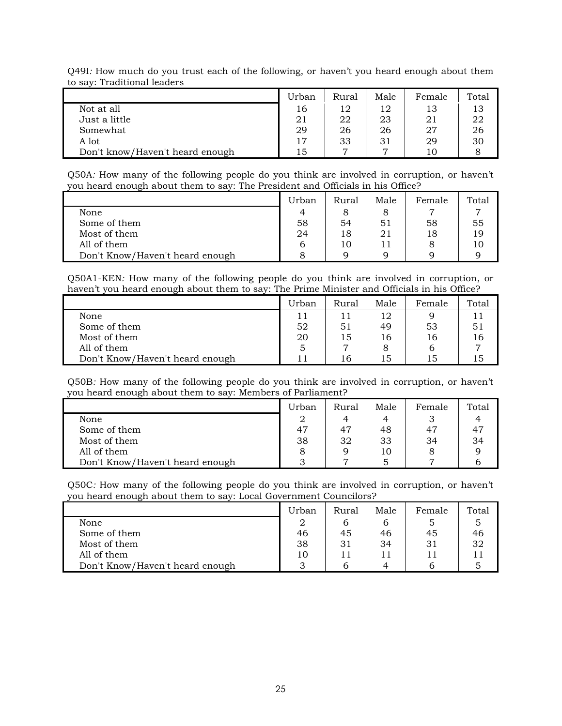|                                 | Urban | Rural          | Male | Female | Total |
|---------------------------------|-------|----------------|------|--------|-------|
| Not at all                      | 16    | 12             | 12   | 13     | 13    |
| Just a little                   | 21    | 22             | 23   | 21     | 22    |
| Somewhat                        | 29    | 26             | 26   | 27     | 26    |
| A lot                           | 17    | 33             | 31   | 29     | 30    |
| Don't know/Haven't heard enough | 15    | $\overline{ }$ |      | 10     |       |

Q49I*:* How much do you trust each of the following, or haven't you heard enough about them to say: Traditional leaders

Q50A*:* How many of the following people do you think are involved in corruption, or haven't you heard enough about them to say: The President and Officials in his Office?

|                                 | Urban | Rural | Male | Female | Total |
|---------------------------------|-------|-------|------|--------|-------|
| None                            | 4     |       |      |        |       |
| Some of them                    | 58    | 54    | 51   | 58     | 55    |
| Most of them                    | 24    | 18    | 21   | 18     | 19    |
| All of them                     |       | 10    | 11   |        | 10    |
| Don't Know/Haven't heard enough |       | Q     |      |        |       |

Q50A1-KEN*:* How many of the following people do you think are involved in corruption, or haven't you heard enough about them to say: The Prime Minister and Officials in his Office?

|                                 | Urban | Rural | Male | Female | Total |
|---------------------------------|-------|-------|------|--------|-------|
| None                            |       |       | 12   |        | 11    |
| Some of them                    | 52    | 51    | 49   | 53     | 51    |
| Most of them                    | 20    | 15    | 16   | 16     | 16    |
| All of them                     |       |       |      |        |       |
| Don't Know/Haven't heard enough |       | 16    | 15   | 15     | ۱5    |

Q50B*:* How many of the following people do you think are involved in corruption, or haven't you heard enough about them to say: Members of Parliament?

|                                 | Urban | Rural | Male | Female | Total |
|---------------------------------|-------|-------|------|--------|-------|
| None                            |       |       |      |        |       |
| Some of them                    | 47    | 47    | 48   | 47     |       |
| Most of them                    | 38    | 32    | 33   | 34     | 34    |
| All of them                     |       |       | 10   |        |       |
| Don't Know/Haven't heard enough |       | −     |      |        |       |

Q50C*:* How many of the following people do you think are involved in corruption, or haven't you heard enough about them to say: Local Government Councilors?

|                                 | Urban | Rural | Male | Female | Total |
|---------------------------------|-------|-------|------|--------|-------|
| None                            |       |       |      |        |       |
| Some of them                    | 46    | 45    | 46   | 45     | 46    |
| Most of them                    | 38    | 31    | 34   | 31     | 32    |
| All of them                     | 10    |       |      |        |       |
| Don't Know/Haven't heard enough |       |       |      |        |       |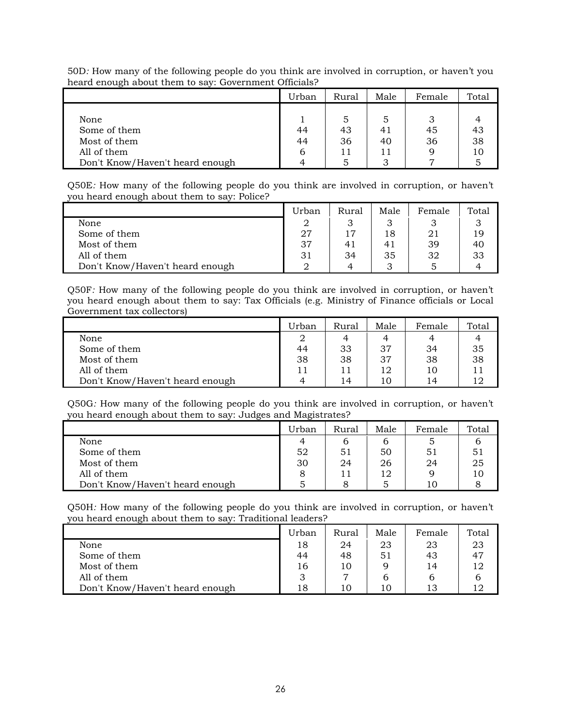|                                 | Urban | Rural | Male | Female | Total |
|---------------------------------|-------|-------|------|--------|-------|
|                                 |       |       |      |        |       |
| None                            |       | 5     |      |        |       |
| Some of them                    | 44    | 43    | 41   | 45     | 43    |
| Most of them                    | 44    | 36    | 40   | 36     | 38    |
| All of them                     | b     | 11    | 11   |        | 10    |
| Don't Know/Haven't heard enough |       |       |      |        |       |

50D*:* How many of the following people do you think are involved in corruption, or haven't you heard enough about them to say: Government Officials?

Q50E*:* How many of the following people do you think are involved in corruption, or haven't you heard enough about them to say: Police?

|                                 | Urban | Rural | Male | Female | Total |
|---------------------------------|-------|-------|------|--------|-------|
| None                            |       |       |      |        |       |
| Some of them                    | 27    | 17    | 18   | 21     | 19    |
| Most of them                    | 37    |       | 41   | 39     | 40    |
| All of them                     | 31    | 34    | 35   | 32     | 33    |
| Don't Know/Haven't heard enough |       |       |      |        |       |

Q50F*:* How many of the following people do you think are involved in corruption, or haven't you heard enough about them to say: Tax Officials (e.g. Ministry of Finance officials or Local Government tax collectors)

|                                 | Urban | Rural | Male | Female | Total |
|---------------------------------|-------|-------|------|--------|-------|
| None                            | 2     | 4     |      |        |       |
| Some of them                    | 44    | 33    | 37   | 34     | 35    |
| Most of them                    | 38    | 38    | 37   | 38     | 38    |
| All of them                     |       |       | 12   | 10     |       |
| Don't Know/Haven't heard enough |       | 1⊿    | 10   | 14     |       |

Q50G*:* How many of the following people do you think are involved in corruption, or haven't you heard enough about them to say: Judges and Magistrates?

|                                 | Urban | Rural | Male | Female | Total |
|---------------------------------|-------|-------|------|--------|-------|
| None                            |       |       |      |        |       |
| Some of them                    | 52    | 51    | 50   | 51     |       |
| Most of them                    | 30    | 24    | 26   | 24     | 25    |
| All of them                     |       |       | 12   |        | 10    |
| Don't Know/Haven't heard enough |       |       |      | 10     |       |

Q50H*:* How many of the following people do you think are involved in corruption, or haven't you heard enough about them to say: Traditional leaders?

|                                 | Urban | Rural          | Male | Female | Total |
|---------------------------------|-------|----------------|------|--------|-------|
| None                            | 18    | 24             | 23   | 23     | 23    |
| Some of them                    | 44    | 48             | 51   | 43     |       |
| Most of them                    | 16    | 10             |      | 14     | 12    |
| All of them                     |       | $\overline{ }$ |      |        |       |
| Don't Know/Haven't heard enough | 18    | 10             | 10   | 13     |       |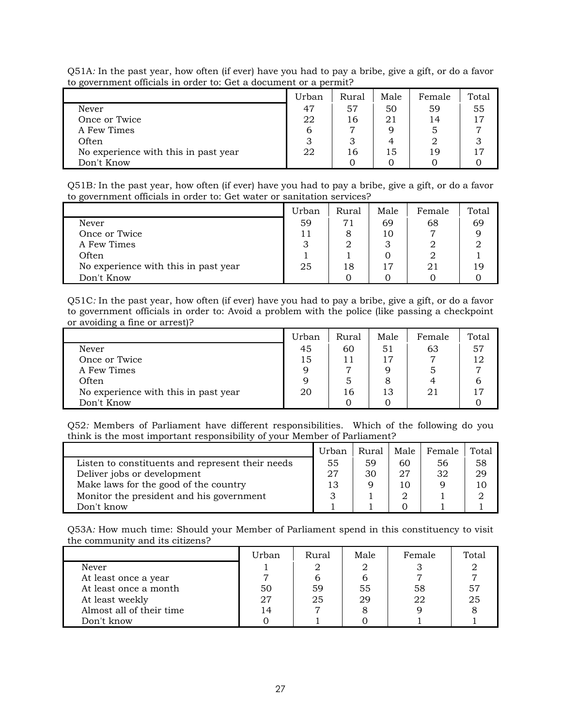| to government omelals in order to, the a document or a permit. |       |       |      |        |       |  |  |  |
|----------------------------------------------------------------|-------|-------|------|--------|-------|--|--|--|
|                                                                | Urban | Rural | Male | Female | Total |  |  |  |
| Never                                                          | 47    | 57    | 50   | 59     | 55    |  |  |  |
| Once or Twice                                                  | 22    | 16    | 21   | 14     | 17    |  |  |  |
| A Few Times                                                    | b     |       |      |        |       |  |  |  |
| Often                                                          |       |       |      |        |       |  |  |  |
| No experience with this in past year                           | 22    | 16    | 15   | 19     | 17    |  |  |  |
| Don't Know                                                     |       |       |      |        |       |  |  |  |

Q51A*:* In the past year, how often (if ever) have you had to pay a bribe, give a gift, or do a favor to government officials in order to: Get a document or a permit?

Q51B*:* In the past year, how often (if ever) have you had to pay a bribe, give a gift, or do a favor to government officials in order to: Get water or sanitation services?

|                                      | Urban | Rural | Male | Female | Total |
|--------------------------------------|-------|-------|------|--------|-------|
| Never                                | 59    | 71    | 69   | 68     | 69    |
| Once or Twice                        |       |       | 10   |        |       |
| A Few Times                          | 3     |       |      |        |       |
| Often                                |       |       |      |        |       |
| No experience with this in past year | 25    | 18    | 17   | 21     | 19    |
| Don't Know                           |       |       |      |        |       |

Q51C*:* In the past year, how often (if ever) have you had to pay a bribe, give a gift, or do a favor to government officials in order to: Avoid a problem with the police (like passing a checkpoint or avoiding a fine or arrest)?

|                                      | Urban | Rural | Male | Female | Total |
|--------------------------------------|-------|-------|------|--------|-------|
| Never                                | 45    | 60    | 51   | 63     | 57    |
| Once or Twice                        | 15    |       | 17   | ⇁      | 12    |
| A Few Times                          | 9     |       |      |        |       |
| Often                                | 9     |       |      |        |       |
| No experience with this in past year | 20    | 16.   | 13   | 21     | 17    |
| Don't Know                           |       |       |      |        |       |

Q52*:* Members of Parliament have different responsibilities. Which of the following do you think is the most important responsibility of your Member of Parliament?

|                                                  | Urban | <b>Rural</b> | Male | Female | Total |
|--------------------------------------------------|-------|--------------|------|--------|-------|
| Listen to constituents and represent their needs | 55    | 59           | 60   | 56     | 58    |
| Deliver jobs or development                      | 27    | 30           | 27   | 32     | 29    |
| Make laws for the good of the country            | 13    |              |      |        | 10    |
| Monitor the president and his government         |       |              |      |        |       |
| Don't know                                       |       |              |      |        |       |

Q53A*:* How much time: Should your Member of Parliament spend in this constituency to visit the community and its citizens?

|                          | Urban | Rural | Male | Female | Total |
|--------------------------|-------|-------|------|--------|-------|
| Never                    |       |       |      |        |       |
| At least once a year     |       |       |      |        |       |
| At least once a month    | 50    | 59    | 55   | 58     | 57    |
| At least weekly          | 27    | 25    | 29   | 22     | 25    |
| Almost all of their time | 14    |       |      |        |       |
| Don't know               |       |       |      |        |       |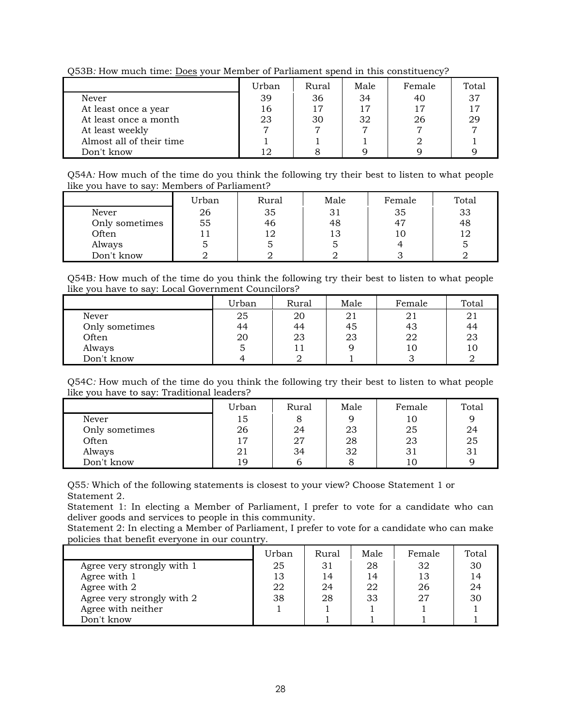Urban Rural Male Female Total Never 39 36 34 40 37 At least once a year 16 16 17 17 17 17 17 17

Q53B*:* How much time: Does your Member of Parliament spend in this constituency?

At least weekly  $\begin{array}{ccc} 7 & 7 & 7 & 7 \\ 1 & 1 & 1 & 2 \end{array}$ 

Don't know  $12 \t 3$ 

Q54A*:* How much of the time do you think the following try their best to listen to what people like you have to say: Members of Parliament?

At least once a month 23 30 32 26 29

Almost all of their time<br>  $\begin{array}{c|c|c|c|c|c} & 1 & 1 & 1 & 2 & 1 \ \hline 12 & 8 & 9 & 9 & 9 \end{array}$ 

|                | Urban | Rural | Male | Female | Total |
|----------------|-------|-------|------|--------|-------|
| Never          | 26    | 35    | 31   | 35     | 33    |
| Only sometimes | 55    | 46    | 48   | 47     | 48    |
| Often          |       | ∣∩    | 13   | 10     |       |
| Always         |       |       |      |        |       |
| Don't know     |       |       |      |        |       |

Q54B*:* How much of the time do you think the following try their best to listen to what people like you have to say: Local Government Councilors?

|                | Urban | Rural | Male | Female | Total |
|----------------|-------|-------|------|--------|-------|
| Never          | 25    | 20    | 21   | 21     | 21    |
| Only sometimes | 44    | 44    | 45   | 43     | 44    |
| Often          | 20    | 23    | 23   | 22     | 23    |
| Always         |       |       |      | 10     | 10    |
| Don't know     | 4     |       |      |        |       |

Q54C*:* How much of the time do you think the following try their best to listen to what people like you have to say: Traditional leaders?

|                | Urban | Rural | Male | Female | Total |
|----------------|-------|-------|------|--------|-------|
| Never          | 15    |       |      | 10     |       |
| Only sometimes | 26    | 24    | 23   | 25     | 24    |
| Often          | 17    | 27    | 28   | 23     | 25    |
| Always         | 21    | 34    | 32   | 31     | 31    |
| Don't know     | 19    |       |      | 1 C    |       |

Q55*:* Which of the following statements is closest to your view? Choose Statement 1 or Statement 2.

Statement 1: In electing a Member of Parliament, I prefer to vote for a candidate who can deliver goods and services to people in this community.

Statement 2: In electing a Member of Parliament, I prefer to vote for a candidate who can make policies that benefit everyone in our country.

|                            | Urban | Rural | Male | Female | Total |
|----------------------------|-------|-------|------|--------|-------|
| Agree very strongly with 1 | 25    | 31    | 28   | 32     | 30    |
| Agree with 1               | 13    | 14    | 14   | 13     | 14    |
| Agree with 2               | 22    | 24    | 22   | 26     | 24    |
| Agree very strongly with 2 | 38    | 28    | 33   | 27     | 30    |
| Agree with neither         |       |       |      |        |       |
| Don't know                 |       |       |      |        |       |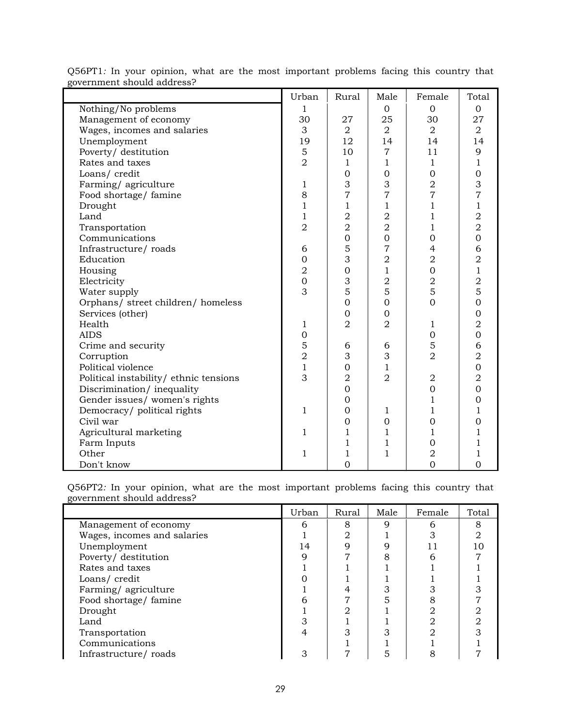|                                        | Urban          | Rural          | Male           | Female         | Total          |
|----------------------------------------|----------------|----------------|----------------|----------------|----------------|
| Nothing/No problems                    | 1              |                | $\Omega$       | $\Omega$       | $\Omega$       |
| Management of economy                  | 30             | 27             | 25             | 30             | 27             |
| Wages, incomes and salaries            | 3              | $\overline{2}$ | $\overline{2}$ | $\overline{2}$ | 2              |
| Unemployment                           | 19             | 12             | 14             | 14             | 14             |
| Poverty/ destitution                   | 5              | 10             | $\overline{7}$ | 11             | 9              |
| Rates and taxes                        | $\overline{2}$ | $\mathbf{1}$   | $\mathbf{1}$   | $\mathbf{1}$   | $\mathbf{1}$   |
| Loans/credit                           |                | $\overline{0}$ | $\overline{0}$ | $\overline{0}$ | $\mathbf 0$    |
| Farming/agriculture                    | 1              | 3              | 3              | $\overline{2}$ | 3              |
| Food shortage/famine                   | 8              | $\overline{7}$ | 7              | $\overline{7}$ | 7              |
| Drought                                | $\mathbf{1}$   | $\mathbf{1}$   | $\mathbf{1}$   | 1              | $\mathbf{1}$   |
| Land                                   | $\mathbf{1}$   | $\overline{2}$ | $\overline{2}$ | $\mathbf{1}$   | $\overline{2}$ |
| Transportation                         | $\overline{2}$ | $\overline{2}$ | $\overline{2}$ | 1              | $\overline{2}$ |
| Communications                         |                | $\overline{0}$ | $\overline{0}$ | $\mathbf{0}$   | $\overline{0}$ |
| Infrastructure/roads                   | 6              | 5              | $\overline{7}$ | $\overline{4}$ | 6              |
| Education                              | $\mathbf 0$    | 3              | $\overline{2}$ | $\overline{2}$ | $\overline{2}$ |
| Housing                                | $\overline{2}$ | $\overline{0}$ | $\mathbf{1}$   | $\mathbf 0$    | $\mathbf{1}$   |
| Electricity                            | $\overline{0}$ | 3              | $\overline{2}$ | $\overline{2}$ | $\overline{2}$ |
| Water supply                           | 3              | 5              | 5              | 5              | 5              |
| Orphans/ street children/ homeless     |                | $\overline{0}$ | $\overline{0}$ | $\Omega$       | $\overline{0}$ |
| Services (other)                       |                | 0              | $\overline{0}$ |                | $\mathbf 0$    |
| Health                                 | 1              | $\overline{2}$ | $\overline{2}$ | 1              | $\overline{2}$ |
| <b>AIDS</b>                            | $\overline{0}$ |                |                | $\mathbf{0}$   | $\overline{0}$ |
| Crime and security                     | 5              | 6              | 6              | 5              | 6              |
| Corruption                             | $\overline{2}$ | 3              | 3              | $\overline{2}$ | $\overline{2}$ |
| Political violence                     | $\mathbf{1}$   | $\overline{0}$ | $\mathbf{1}$   |                | $\overline{0}$ |
| Political instability/ ethnic tensions | 3              | $\overline{2}$ | $\overline{2}$ | 2              | $\overline{2}$ |
| Discrimination/inequality              |                | $\Omega$       |                | $\overline{0}$ | $\overline{0}$ |
| Gender issues/ women's rights          |                | 0              |                | 1              | $\Omega$       |
| Democracy/ political rights            | $\mathbf{1}$   | 0              | 1              | $\mathbf{1}$   | 1              |
| Civil war                              |                | $\overline{0}$ | $\overline{0}$ | $\overline{0}$ | $\overline{0}$ |
| Agricultural marketing                 | 1              | $\mathbf 1$    | $\mathbf{1}$   | 1              | 1              |
| Farm Inputs                            |                | 1              | 1              | $\Omega$       | 1              |
| Other                                  | 1              | 1              | $\mathbf{1}$   | $\overline{2}$ | 1              |
| Don't know                             |                | $\overline{0}$ |                | $\overline{0}$ | $\overline{0}$ |

Q56PT1*:* In your opinion, what are the most important problems facing this country that government should address?

Q56PT2*:* In your opinion, what are the most important problems facing this country that government should address?

|                             | Urban | <b>Rural</b> | Male | Female | Total |
|-----------------------------|-------|--------------|------|--------|-------|
| Management of economy       |       | 8            |      |        |       |
| Wages, incomes and salaries |       |              |      |        |       |
| Unemployment                | 14    |              |      |        |       |
| Poverty/ destitution        |       |              |      |        |       |
| Rates and taxes             |       |              |      |        |       |
| Loans/credit                |       |              |      |        |       |
| Farming/agriculture         |       |              |      |        |       |
| Food shortage/ famine       |       |              |      |        |       |
| Drought                     |       |              |      |        |       |
| Land                        |       |              |      |        |       |
| Transportation              |       |              |      |        |       |
| Communications              |       |              |      |        |       |
| Infrastructure/roads        |       |              |      |        |       |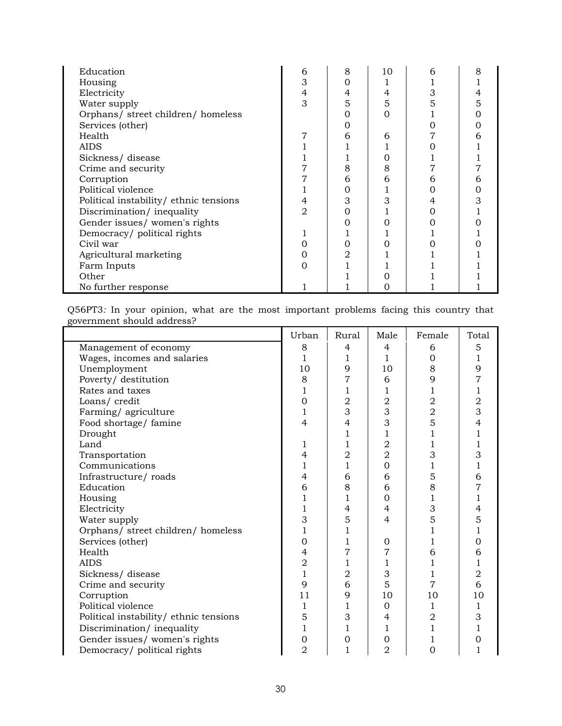| Education                              | 6 | 8 | 10 |  |
|----------------------------------------|---|---|----|--|
| Housing                                | З |   |    |  |
| Electricity                            | 4 | 4 |    |  |
| Water supply                           | 3 | 5 | 5  |  |
| Orphans/ street children/ homeless     |   |   |    |  |
| Services (other)                       |   |   |    |  |
| Health                                 |   |   |    |  |
| <b>AIDS</b>                            |   |   |    |  |
| Sickness/disease                       |   |   |    |  |
| Crime and security                     |   | 8 |    |  |
| Corruption                             |   | 6 |    |  |
| Political violence                     |   |   |    |  |
| Political instability/ ethnic tensions |   | З |    |  |
| Discrimination/inequality              |   |   |    |  |
| Gender issues/women's rights           |   |   |    |  |
| Democracy/ political rights            |   |   |    |  |
| Civil war                              |   |   |    |  |
| Agricultural marketing                 |   |   |    |  |
| Farm Inputs                            |   |   |    |  |
| Other                                  |   |   |    |  |
| No further response                    |   |   |    |  |

Q56PT3*:* In your opinion, what are the most important problems facing this country that government should address?

|                                        | Urban          | Rural          | Male           | Female         | Total          |
|----------------------------------------|----------------|----------------|----------------|----------------|----------------|
| Management of economy                  | 8              | 4              | 4              | 6              | 5              |
| Wages, incomes and salaries            | 1              | 1              | 1              | $\Omega$       | 1              |
| Unemployment                           | 10             | 9              | 10             | 8              | 9              |
| Poverty/ destitution                   | 8              | 7              | 6              | 9              | 7              |
| Rates and taxes                        | 1              | 1              | 1              | 1              | 1              |
| Loans/credit                           | 0              | $\mathbf 2$    | $\overline{2}$ | $\overline{2}$ | 2              |
| Farming/agriculture                    | 1              | 3              | 3              | $\overline{2}$ | 3              |
| Food shortage/ famine                  | 4              | $\overline{4}$ | 3              | 5              | 4              |
| Drought                                |                | 1              | 1              | $\mathbf{1}$   | 1              |
| Land                                   | 1              | $\mathbf{1}$   | $\overline{2}$ | 1              |                |
| Transportation                         | 4              | $\overline{2}$ | $\overline{2}$ | 3              | 3              |
| Communications                         | 1              | $\mathbf{1}$   | $\overline{0}$ | 1              | 1              |
| Infrastructure/roads                   | 4              | 6              | 6              | 5              | 6              |
| Education                              | 6              | 8              | 6              | 8              | 7              |
| Housing                                | 1              | 1              | $\Omega$       | 1              | 1              |
| Electricity                            | 1              | $\overline{4}$ | 4              | 3              | 4              |
| Water supply                           | 3              | 5              | $\overline{4}$ | 5              | 5              |
| Orphans/ street children/ homeless     | $\mathbf 1$    | 1              |                | 1              | 1              |
| Services (other)                       | $\mathbf 0$    | 1              | $\Omega$       | 1              | Ω              |
| Health                                 | 4              | 7              | 7              | 6              | 6              |
| <b>AIDS</b>                            | $\overline{2}$ | 1              | 1              | 1              | 1              |
| Sickness/disease                       | $\mathbf{1}$   | $\overline{2}$ | 3              | 1              | $\overline{2}$ |
| Crime and security                     | 9              | 6              | 5              | 7              | 6              |
| Corruption                             | 11             | 9              | 10             | 10             | 10             |
| Political violence                     | 1              | 1              | $\mathbf{0}$   | 1              | 1              |
| Political instability/ ethnic tensions | 5              | 3              | 4              | $\overline{2}$ | 3              |
| Discrimination/inequality              | 1              | 1              | 1              | 1              | ı              |
| Gender issues/ women's rights          | $\mathbf 0$    | 0              | $\Omega$       | 1              | 0              |
| Democracy/ political rights            | $\overline{2}$ | $\mathbf{1}$   | $\overline{2}$ | $\Omega$       | 1              |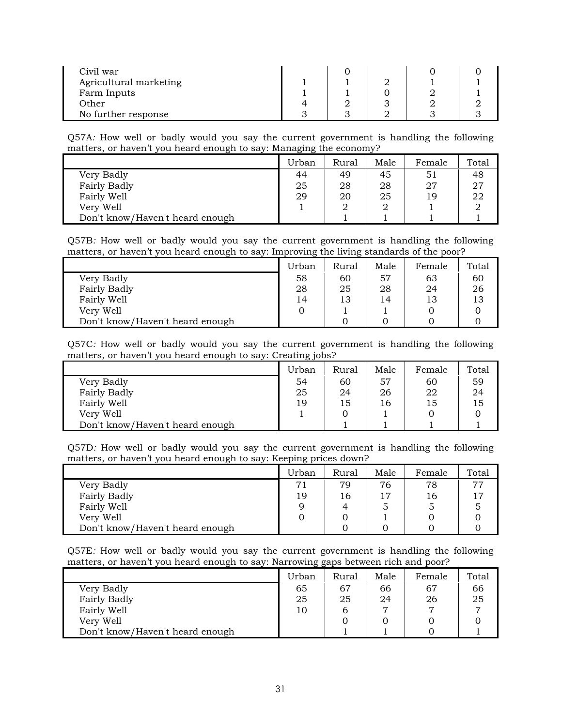| Civil war              |  |  |  |
|------------------------|--|--|--|
| Agricultural marketing |  |  |  |
| Farm Inputs            |  |  |  |
| Other                  |  |  |  |
| No further response    |  |  |  |

Q57A*:* How well or badly would you say the current government is handling the following matters, or haven't you heard enough to say: Managing the economy?

|                                 | Urban | Rural | Male | Female | Total |
|---------------------------------|-------|-------|------|--------|-------|
| Very Badly                      | 44    | 49    | 45   | 51     | 48    |
| Fairly Badly                    | 25    | 28    | 28   | 27     | 27    |
| Fairly Well                     | 29    | 20    | 25   | 19     | 22    |
| Very Well                       |       |       |      |        |       |
| Don't know/Haven't heard enough |       |       |      |        |       |

Q57B*:* How well or badly would you say the current government is handling the following matters, or haven't you heard enough to say: Improving the living standards of the poor?

|                                 | Urban | Rural | Male | Female | Total |
|---------------------------------|-------|-------|------|--------|-------|
| Very Badly                      | 58    | 60    | 57   | 63     | 60    |
| <b>Fairly Badly</b>             | 28    | 25    | 28   | 24     | 26    |
| Fairly Well                     | 14    | 13    | 14   | 13     | 13    |
| Very Well                       |       |       |      |        |       |
| Don't know/Haven't heard enough |       |       |      |        |       |

Q57C*:* How well or badly would you say the current government is handling the following matters, or haven't you heard enough to say: Creating jobs?

|                                 | Urban | Rural | Male | Female | Total |
|---------------------------------|-------|-------|------|--------|-------|
| Very Badly                      | 54    | 60    | 57   | 60     | 59    |
| Fairly Badly                    | 25    | 24    | 26   | 22     | 24    |
| Fairly Well                     | 19    | 15    | 16   | 15     | 15    |
| Very Well                       |       |       |      |        |       |
| Don't know/Haven't heard enough |       |       |      |        |       |

Q57D*:* How well or badly would you say the current government is handling the following matters, or haven't you heard enough to say: Keeping prices down?

|                                 | Urban | Rural | Male | Female | Total |
|---------------------------------|-------|-------|------|--------|-------|
| Very Badly                      | 71    | 79    | 76   | 78     | 77    |
| Fairly Badly                    | 19    | 16    |      | 16     | 17    |
| Fairly Well                     |       | 4     |      |        |       |
| Very Well                       |       |       |      |        |       |
| Don't know/Haven't heard enough |       |       |      |        |       |

Q57E*:* How well or badly would you say the current government is handling the following matters, or haven't you heard enough to say: Narrowing gaps between rich and poor?

|                                 | Urban | Rural | Male | Female | Total          |
|---------------------------------|-------|-------|------|--------|----------------|
| Very Badly                      | 65    | 67    | 66   | 67     | 66             |
| <b>Fairly Badly</b>             | 25    | 25    | 24   | 26     | 25             |
| Fairly Well                     | 10    |       |      |        | $\overline{ }$ |
| Very Well                       |       |       |      |        |                |
| Don't know/Haven't heard enough |       |       |      |        |                |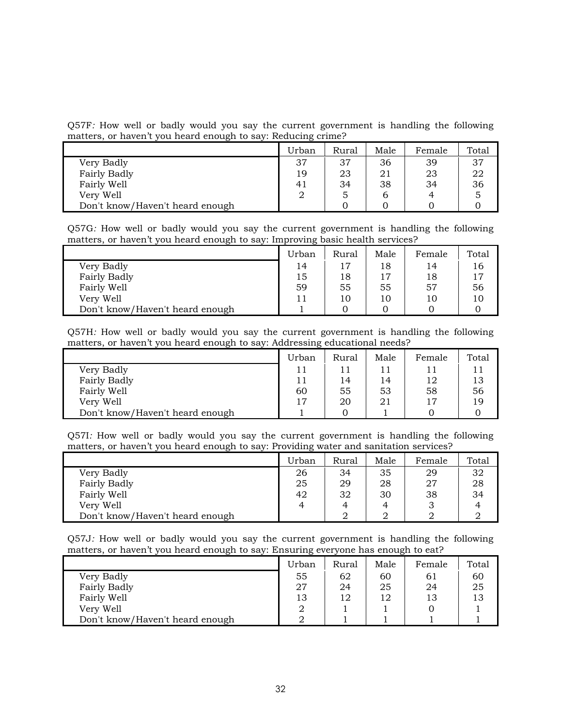Q57F*:* How well or badly would you say the current government is handling the following matters, or haven't you heard enough to say: Reducing crime?

|                                 | Urban          | Rural | Male | Female | Total |
|---------------------------------|----------------|-------|------|--------|-------|
| Very Badly                      | 37             | 37    | 36   | 39     | 37    |
| Fairly Badly                    | 19             | 23    | 21   | 23     | 22    |
| Fairly Well                     | 4 <sub>1</sub> | 34    | 38   | 34     | 36    |
| Very Well                       |                | 5     | b    |        | 5     |
| Don't know/Haven't heard enough |                |       |      |        |       |

Q57G*:* How well or badly would you say the current government is handling the following matters, or haven't you heard enough to say: Improving basic health services?

|                                 | Urban | Rural          | Male | Female | Total |
|---------------------------------|-------|----------------|------|--------|-------|
| Very Badly                      | 14    | $\overline{1}$ | 18   | 14     | 16    |
| Fairly Badly                    | 15    | 18             | 17   | 18     |       |
| Fairly Well                     | 59    | 55             | 55   | 57     | 56    |
| Very Well                       |       |                | 10   | 10     | 10    |
| Don't know/Haven't heard enough |       |                |      |        |       |

Q57H*:* How well or badly would you say the current government is handling the following matters, or haven't you heard enough to say: Addressing educational needs?

|                                 | Urban | Rural | Male | Female | Total |
|---------------------------------|-------|-------|------|--------|-------|
| Very Badly                      |       |       | 11   |        | 11    |
| Fairly Badly                    |       | 14    | 14   | 12     | 13    |
| Fairly Well                     | 60    | 55    | 53   | 58     | 56    |
| Very Well                       | 17    | 20    | 21   | 17     | 19    |
| Don't know/Haven't heard enough |       |       |      |        |       |

Q57I*:* How well or badly would you say the current government is handling the following matters, or haven't you heard enough to say: Providing water and sanitation services?

|                                 | Urban | Rural | Male | Female | Total |
|---------------------------------|-------|-------|------|--------|-------|
| Very Badly                      | 26    | 34    | 35   | 29     | 32    |
| Fairly Badly                    | 25    | 29    | 28   | 27     | 28    |
| Fairly Well                     | 42    | 32    | 30   | 38     | 34    |
| Very Well                       |       |       | 4    |        |       |
| Don't know/Haven't heard enough |       |       |      |        |       |

Q57J*:* How well or badly would you say the current government is handling the following matters, or haven't you heard enough to say: Ensuring everyone has enough to eat?

|                                 | Urban | Rural | Male | Female | Total |
|---------------------------------|-------|-------|------|--------|-------|
| Very Badly                      | 55    | 62    | 60   | 61     | 60    |
| Fairly Badly                    | -27   | 24    | 25   | 24     | 25    |
| Fairly Well                     | 13    | 12    | 12   | 13     | 13    |
| Very Well                       |       |       |      |        |       |
| Don't know/Haven't heard enough |       |       |      |        |       |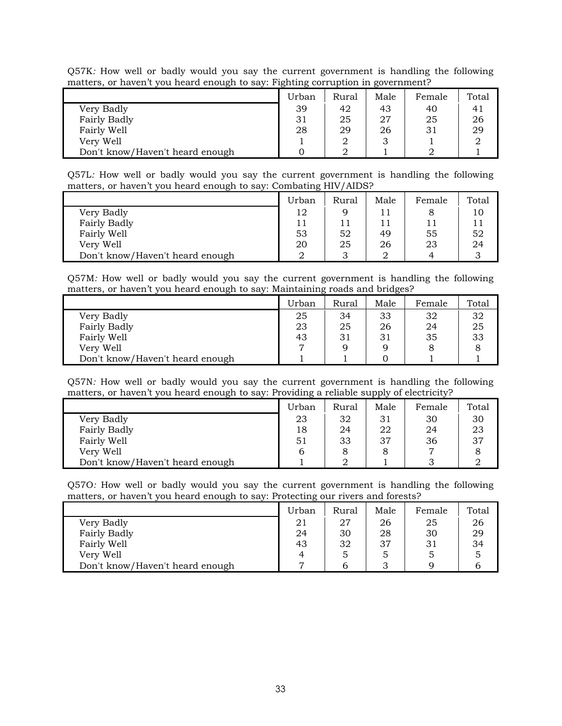|                                 | $\cdot$ $\cdot$ |       |      |        |       |
|---------------------------------|-----------------|-------|------|--------|-------|
|                                 | Urban           | Rural | Male | Female | Total |
| Very Badly                      | 39              | 42    | 43   | 40     |       |
| Fairly Badly                    | 31              | 25    | 27   | 25     | 26    |
| Fairly Well                     | 28              | 29    | 26   | 31     | 29    |
| Very Well                       |                 |       |      |        |       |
| Don't know/Haven't heard enough |                 |       |      |        |       |

Q57K*:* How well or badly would you say the current government is handling the following matters, or haven't you heard enough to say: Fighting corruption in government?

Q57L*:* How well or badly would you say the current government is handling the following matters, or haven't you heard enough to say: Combating HIV/AIDS?

|                                 | Urban | Rural  | Male | Female | Total |
|---------------------------------|-------|--------|------|--------|-------|
| Very Badly                      | 12    |        |      |        | 10    |
| Fairly Badly                    |       |        |      | 11     | 11    |
| Fairly Well                     | 53    | 52     | 49   | 55     | 52    |
| Very Well                       | 20    | 25     | 26   | 23     | 24    |
| Don't know/Haven't heard enough |       | հ<br>J |      | Δ      |       |

Q57M*:* How well or badly would you say the current government is handling the following matters, or haven't you heard enough to say: Maintaining roads and bridges?

|                                 | ີ     |       |      |        |       |
|---------------------------------|-------|-------|------|--------|-------|
|                                 | Urban | Rural | Male | Female | Total |
| Very Badly                      | 25    | 34    | 33   | 32     | 32    |
| Fairly Badly                    | 23    | 25    | 26   | 24     | 25    |
| Fairly Well                     | 43    | 31    | 31   | 35     | 33    |
| Very Well                       |       |       |      |        |       |
| Don't know/Haven't heard enough |       |       |      |        |       |

Q57N*:* How well or badly would you say the current government is handling the following matters, or haven't you heard enough to say: Providing a reliable supply of electricity?

|                                 | Urban | Rural | Male | Female | Total |
|---------------------------------|-------|-------|------|--------|-------|
| Very Badly                      | 23    | 32    | 31   | 30     | 30    |
| <b>Fairly Badly</b>             | 18    | 24    | 22   | 24     | 23    |
| Fairly Well                     | 51    | 33    | 37   | 36     | 37    |
| Very Well                       | b     |       |      |        |       |
| Don't know/Haven't heard enough |       |       |      |        |       |

Q57O*:* How well or badly would you say the current government is handling the following matters, or haven't you heard enough to say: Protecting our rivers and forests?

|                                 | Urban | Rural | Male | Female | Total |
|---------------------------------|-------|-------|------|--------|-------|
| Very Badly                      | 21    | 27    | 26   | 25     | 26    |
| Fairly Badly                    | 24    | 30    | 28   | 30     | 29    |
| Fairly Well                     | 43    | 32    | 37   | 31     | 34    |
| Very Well                       | 4     | ১     |      |        |       |
| Don't know/Haven't heard enough |       |       |      |        |       |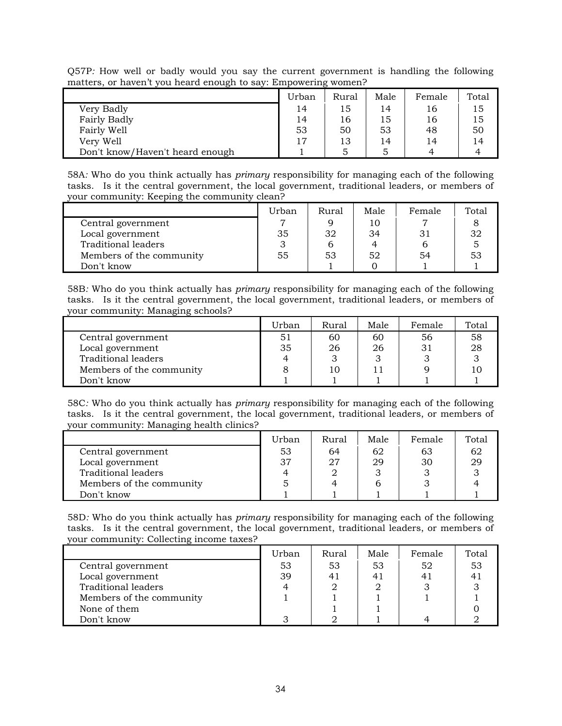|                                 | Urban | Rural | Male | Female | Total |  |  |  |
|---------------------------------|-------|-------|------|--------|-------|--|--|--|
| Very Badly                      | 14    | 15    | 14   | 16     | 15    |  |  |  |
| <b>Fairly Badly</b>             | 14    | 16    | 15   | 16     | 15    |  |  |  |
| Fairly Well                     | 53    | 50    | 53   | 48     | 50    |  |  |  |
| Very Well                       | 17    | 13    | 14   | 14     | 14    |  |  |  |
| Don't know/Haven't heard enough |       |       |      |        |       |  |  |  |

Q57P*:* How well or badly would you say the current government is handling the following matters, or haven't you heard enough to say: Empowering women?

58A*:* Who do you think actually has *primary* responsibility for managing each of the following tasks. Is it the central government, the local government, traditional leaders, or members of your community: Keeping the community clean?

|                            | Urban | Rural | Male | Female | Total |
|----------------------------|-------|-------|------|--------|-------|
| Central government         |       |       | 10   |        |       |
| Local government           | 35    | 32    | 34   | 31     |       |
| <b>Traditional leaders</b> |       |       |      |        |       |
| Members of the community   | 55    | 53    | 52   | 54     |       |
| Don't know                 |       |       |      |        |       |

58B*:* Who do you think actually has *primary* responsibility for managing each of the following tasks. Is it the central government, the local government, traditional leaders, or members of your community: Managing schools?

|                            | Urban | Rural | Male | Female | Total |
|----------------------------|-------|-------|------|--------|-------|
| Central government         | 51    | 60    | 60   | 56     | 58    |
| Local government           | 35    | 26    | 26   | 31     | 28    |
| <b>Traditional leaders</b> |       |       |      |        |       |
| Members of the community   |       | 10    |      |        |       |
| Don't know                 |       |       |      |        |       |

58C*:* Who do you think actually has *primary* responsibility for managing each of the following tasks. Is it the central government, the local government, traditional leaders, or members of your community: Managing health clinics?

|                          | Urban | Rural | Male | Female | Total |
|--------------------------|-------|-------|------|--------|-------|
| Central government       | 53    | 64    | 62   | 63     |       |
| Local government         | 37    | 27    | 29   | 30     | 29    |
| Traditional leaders      |       |       |      |        |       |
| Members of the community |       |       |      |        |       |
| Don't know               |       |       |      |        |       |

58D*:* Who do you think actually has *primary* responsibility for managing each of the following tasks. Is it the central government, the local government, traditional leaders, or members of your community: Collecting income taxes?

|                          | Urban | Rural | Male | Female | Total |
|--------------------------|-------|-------|------|--------|-------|
| Central government       | 53    | 53    | 53   | 52     | 53    |
| Local government         | 39    | 41    | 41   | 41     |       |
| Traditional leaders      |       |       |      |        |       |
| Members of the community |       |       |      |        |       |
| None of them             |       |       |      |        |       |
| Don't know               | っ     |       |      |        |       |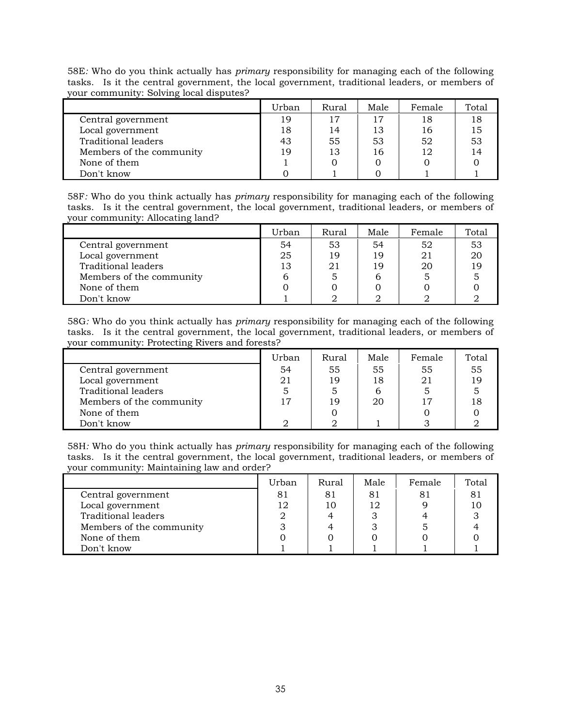58E*:* Who do you think actually has *primary* responsibility for managing each of the following tasks. Is it the central government, the local government, traditional leaders, or members of your community: Solving local disputes?

|                          | Urban | Rural | Male | Female | Total |
|--------------------------|-------|-------|------|--------|-------|
| Central government       | 19    | 17    | 17   | 18     | 18    |
| Local government         | 18    | 14    | 13   | 16     | 15    |
| Traditional leaders      | 43    | 55    | 53   | 52     | 53    |
| Members of the community | 19    | 13    | 16   | 12     | 14    |
| None of them             |       |       |      |        |       |
| Don't know               |       |       |      |        |       |

58F*:* Who do you think actually has *primary* responsibility for managing each of the following tasks. Is it the central government, the local government, traditional leaders, or members of your community: Allocating land?

|                          | Urban | Rural | Male | Female | Total |
|--------------------------|-------|-------|------|--------|-------|
| Central government       | 54    | 53    | 54   | 52     | 53    |
| Local government         | 25    | 19    | 19   | 21     |       |
| Traditional leaders      | 13    | 21    | 19   | 20     |       |
| Members of the community |       |       |      |        |       |
| None of them             |       |       |      |        |       |
| Don't know               |       |       |      |        |       |

58G*:* Who do you think actually has *primary* responsibility for managing each of the following tasks. Is it the central government, the local government, traditional leaders, or members of your community: Protecting Rivers and forests?

|                          | Urban | Rural | Male | Female | Total |
|--------------------------|-------|-------|------|--------|-------|
| Central government       | 54    | 55    | 55   | 55     | 55    |
| Local government         | 21    | 19    | 18   | 21     |       |
| Traditional leaders      |       |       | b    |        |       |
| Members of the community | 17    | 19    | 20   |        |       |
| None of them             |       |       |      |        |       |
| Don't know               |       |       |      |        |       |

58H*:* Who do you think actually has *primary* responsibility for managing each of the following tasks. Is it the central government, the local government, traditional leaders, or members of your community: Maintaining law and order?

|                            | Urban | Rural | Male | Female | Total |
|----------------------------|-------|-------|------|--------|-------|
| Central government         |       | 81    | 81   | 81     |       |
| Local government           | 12    | 10    | 12   |        |       |
| <b>Traditional leaders</b> |       |       |      |        |       |
| Members of the community   |       |       |      |        |       |
| None of them               |       |       |      |        |       |
| Don't know                 |       |       |      |        |       |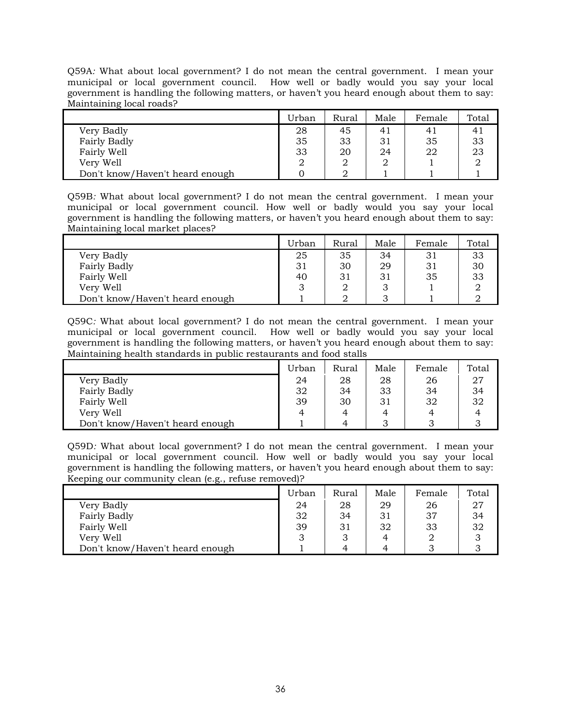Q59A*:* What about local government? I do not mean the central government. I mean your municipal or local government council. How well or badly would you say your local government is handling the following matters, or haven't you heard enough about them to say: Maintaining local roads?

|                                 | Urban | Rural | Male | Female | Total |
|---------------------------------|-------|-------|------|--------|-------|
| Very Badly                      | 28    | 45    | 41   |        |       |
| Fairly Badly                    | 35    | 33    | 31   | 35     | 33    |
| Fairly Well                     | 33    | 20    | 24   | 22     | 23    |
| Very Well                       |       |       |      |        |       |
| Don't know/Haven't heard enough |       |       |      |        |       |

Q59B*:* What about local government? I do not mean the central government. I mean your municipal or local government council. How well or badly would you say your local government is handling the following matters, or haven't you heard enough about them to say: Maintaining local market places?

|                                 | Urban | Rural | Male | Female | Total |
|---------------------------------|-------|-------|------|--------|-------|
| Very Badly                      | 25    | 35    | 34   | 31     | 33    |
| Fairly Badly                    | 31    | 30    | 29   |        | 30    |
| Fairly Well                     | 40    | 31    | 31   | 35     | 33    |
| Very Well                       |       |       |      |        |       |
| Don't know/Haven't heard enough |       |       |      |        |       |

Q59C*:* What about local government? I do not mean the central government. I mean your municipal or local government council. How well or badly would you say your local government is handling the following matters, or haven't you heard enough about them to say: Maintaining health standards in public restaurants and food stalls

|                                 | Urban | Rural | Male | Female | Total |
|---------------------------------|-------|-------|------|--------|-------|
| Very Badly                      | 24    | 28    | 28   | 26     | 27    |
| Fairly Badly                    | 32    | 34    | 33   | 34     | 34    |
| Fairly Well                     | 39    | 30    | 31   | 32     | 32    |
| Very Well                       | 4     |       |      |        |       |
| Don't know/Haven't heard enough |       | 4     |      |        |       |

Q59D*:* What about local government? I do not mean the central government. I mean your municipal or local government council. How well or badly would you say your local government is handling the following matters, or haven't you heard enough about them to say: Keeping our community clean (e.g., refuse removed)?

|                                 | Urban | Rural | Male | Female | Total |
|---------------------------------|-------|-------|------|--------|-------|
| Very Badly                      | 24    | 28    | 29   | 26     | 27    |
| Fairly Badly                    | 32    | 34    | 31   | 37     | 34    |
| Fairly Well                     | 39    | 31    | 32   | 33     | 32    |
| Very Well                       |       | w     | 4    |        |       |
| Don't know/Haven't heard enough |       | 4     | 4    |        |       |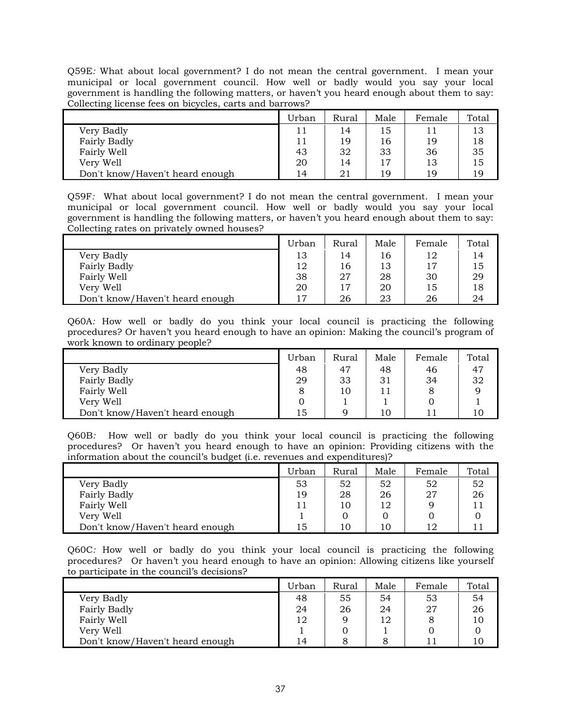Q59E*:* What about local government? I do not mean the central government. I mean your municipal or local government council. How well or badly would you say your local government is handling the following matters, or haven't you heard enough about them to say: Collecting license fees on bicycles, carts and barrows?

|                                 | Urban | Rural | Male | Female | Total |
|---------------------------------|-------|-------|------|--------|-------|
| Very Badly                      |       | 14    | 15   |        | 13    |
| Fairly Badly                    |       | 19    | 16   | 19     | 18    |
| Fairly Well                     | 43    | 32    | 33   | 36     | 35    |
| Very Well                       | 20    | 14    | 17   | 13     | 15    |
| Don't know/Haven't heard enough | 14    | 21    | 19   | 19     | 19    |

Q59F*:* What about local government? I do not mean the central government. I mean your municipal or local government council. How well or badly would you say your local government is handling the following matters, or haven't you heard enough about them to say: Collecting rates on privately owned houses?

|                                 | Urban | Rural | Male | Female | Total |
|---------------------------------|-------|-------|------|--------|-------|
| Very Badly                      | 13    | 14    | 16   | 12     | 14    |
| <b>Fairly Badly</b>             | 12    | 16    | 13   | 17     | 15    |
| Fairly Well                     | 38    | 27    | 28   | 30     | 29    |
| Very Well                       | 20    | 17    | 20   | 15     | 18    |
| Don't know/Haven't heard enough |       | 26    | 23   | 26     | 24    |

Q60A*:* How well or badly do you think your local council is practicing the following procedures? Or haven't you heard enough to have an opinion: Making the council's program of work known to ordinary people?

|                                 | Urban | Rural | Male | Female | Total |
|---------------------------------|-------|-------|------|--------|-------|
| Very Badly                      | 48    | 47    | 48   | 46     | 47    |
| Fairly Badly                    | 29    | 33    | 31   | 34     | 32    |
| Fairly Well                     |       | 10    |      |        | q     |
| Very Well                       |       |       |      |        |       |
| Don't know/Haven't heard enough | 15    | Q     | 10   |        | 10    |

Q60B*:* How well or badly do you think your local council is practicing the following procedures? Or haven't you heard enough to have an opinion: Providing citizens with the information about the council's budget (i.e. revenues and expenditures)?

|                                 | Urban | Rural | Male | Female | Total |
|---------------------------------|-------|-------|------|--------|-------|
| Very Badly                      | 53    | 52    | 52   | 52     | 52    |
| Fairly Badly                    | 19    | 28    | 26   | 27     | 26    |
| Fairly Well                     |       | 10    | 12   |        |       |
| Very Well                       |       |       |      |        |       |
| Don't know/Haven't heard enough | 15    | 10    | 10   | 12     |       |

Q60C*:* How well or badly do you think your local council is practicing the following procedures? Or haven't you heard enough to have an opinion: Allowing citizens like yourself to participate in the council's decisions?

|                                 | Urban          | Rural | Male | Female | Total |
|---------------------------------|----------------|-------|------|--------|-------|
| Very Badly                      | 48             | 55    | 54   | 53     | 54    |
| Fairly Badly                    | 24             | 26    | 24   | 27     | 26    |
| Fairly Well                     | 12             |       | 12   |        | 10    |
| Very Well                       |                |       |      |        |       |
| Don't know/Haven't heard enough | $\overline{4}$ |       |      |        | 10    |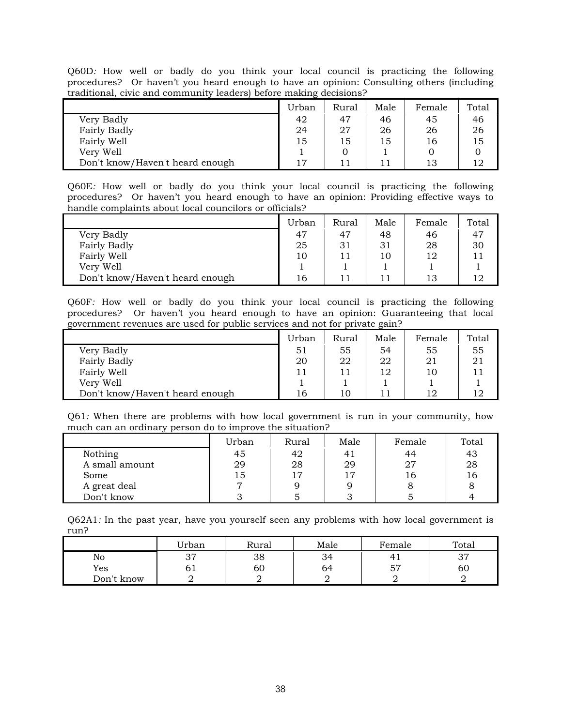Q60D*:* How well or badly do you think your local council is practicing the following procedures? Or haven't you heard enough to have an opinion: Consulting others (including traditional, civic and community leaders) before making decisions?

|                                 | Urban | Rural | Male | Female | Total |
|---------------------------------|-------|-------|------|--------|-------|
| Very Badly                      | 42    | 47    | 46   | 45     | 46    |
| Fairly Badly                    | 24    | 27    | 26   | 26     | 26    |
| Fairly Well                     | 15    | 15    | 15   | 16     | 15    |
| Very Well                       |       |       |      |        |       |
| Don't know/Haven't heard enough |       |       |      | 13     |       |

Q60E*:* How well or badly do you think your local council is practicing the following procedures? Or haven't you heard enough to have an opinion: Providing effective ways to handle complaints about local councilors or officials?

|                                 | Urban | Rural | Male | Female | Total |
|---------------------------------|-------|-------|------|--------|-------|
| Very Badly                      | 47    | 47    | 48   | 46     | 47    |
| Fairly Badly                    | 25    | 31    | 31   | 28     | 30    |
| Fairly Well                     | 10    | 11    | 10   | 12     |       |
| Very Well                       |       |       |      |        |       |
| Don't know/Haven't heard enough | 16    | 11    |      | 13     |       |

Q60F*:* How well or badly do you think your local council is practicing the following procedures? Or haven't you heard enough to have an opinion: Guaranteeing that local government revenues are used for public services and not for private gain?

|                                 | Urban | Rural | Male | Female | Total |
|---------------------------------|-------|-------|------|--------|-------|
| Very Badly                      | 51    | 55    | 54   | 55     | 55    |
| Fairly Badly                    | 20    | 22    | 22   | 21     | 21    |
| Fairly Well                     |       |       | 12   | 10     |       |
| Very Well                       |       |       |      |        |       |
| Don't know/Haven't heard enough | Ιb    | 10    |      | 12     | 12    |

Q61*:* When there are problems with how local government is run in your community, how much can an ordinary person do to improve the situation?

|                | Urban | Rural | Male | Female | Total |
|----------------|-------|-------|------|--------|-------|
| Nothing        | 45    | 42    |      | 44     | 43    |
| A small amount | 29    | 28    | 29   | 27     | 28    |
| Some           | 15    | 17    | 17   | l 6    | 16    |
| A great deal   | ┍     |       |      |        |       |
| Don't know     |       |       |      |        |       |

Q62A1*:* In the past year, have you yourself seen any problems with how local government is run?

|            | <b>Urban</b> | Rural | Male | Female    | Total                 |
|------------|--------------|-------|------|-----------|-----------------------|
| No         | つワ<br>◡ ៸    | 38    | 34   |           | $\mathcal{D}$<br>. v. |
| Yes        | υı           | 60    | 64   | 57<br>◡ ៸ | 60                    |
| Don't know |              |       |      |           |                       |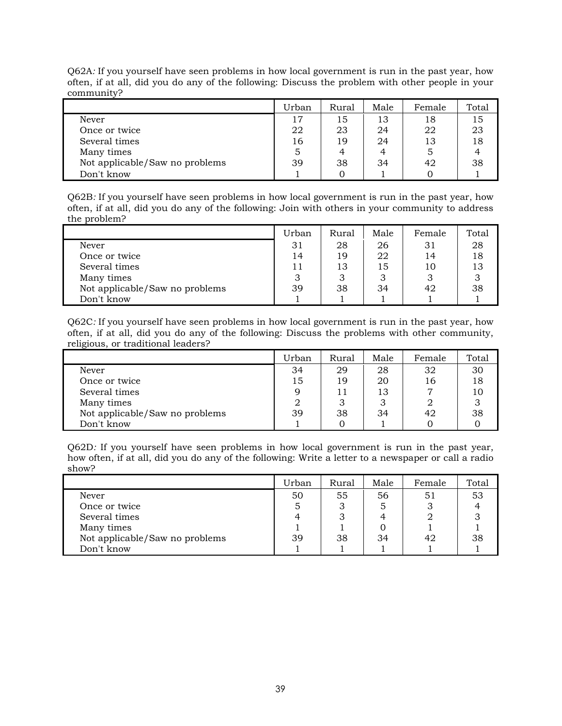|                                | Urban | Rural | Male | Female | Total |
|--------------------------------|-------|-------|------|--------|-------|
| Never                          | 17    | 15    | 13   | 18     | 15    |
| Once or twice                  | 22    | 23    | 24   | 22     | 23    |
| Several times                  | 16    | 19    | 24   | 13     | 18    |
| Many times                     | 5     | 4     | 4    |        |       |
| Not applicable/Saw no problems | 39    | 38    | 34   | 42     | 38    |
| Don't know                     |       |       |      |        |       |

Q62A*:* If you yourself have seen problems in how local government is run in the past year, how often, if at all, did you do any of the following: Discuss the problem with other people in your community?

Q62B*:* If you yourself have seen problems in how local government is run in the past year, how often, if at all, did you do any of the following: Join with others in your community to address the problem?

|                                | Urban | Rural | Male | Female | Total |
|--------------------------------|-------|-------|------|--------|-------|
| Never                          | 31    | 28    | 26   | 31     | 28    |
| Once or twice                  | 14    | 19    | 22   | 14     | 18    |
| Several times                  | 11    | 13    | 15   | 10     | 13    |
| Many times                     | З     | 3     |      |        |       |
| Not applicable/Saw no problems | 39    | 38    | 34   | 42     | 38    |
| Don't know                     |       |       |      |        |       |

Q62C*:* If you yourself have seen problems in how local government is run in the past year, how often, if at all, did you do any of the following: Discuss the problems with other community, religious, or traditional leaders?

|                                | Urban | Rural | Male | Female | Total |
|--------------------------------|-------|-------|------|--------|-------|
| Never                          | 34    | 29    | 28   | 32     | 30    |
| Once or twice                  | 15    | 19    | 20   | 16     | 18    |
| Several times                  | Q     | 11    | 13   |        |       |
| Many times                     |       | 3     |      |        |       |
| Not applicable/Saw no problems | 39    | 38    | 34   | 42     | 38    |
| Don't know                     |       |       |      |        |       |

Q62D*:* If you yourself have seen problems in how local government is run in the past year, how often, if at all, did you do any of the following: Write a letter to a newspaper or call a radio show?

|                                | Urban | Rural | Male | Female | Total |
|--------------------------------|-------|-------|------|--------|-------|
| Never                          | 50    | 55    | 56   | 51     | 53    |
| Once or twice                  | 5     | 3     |      |        |       |
| Several times                  |       |       | Δ    |        |       |
| Many times                     |       |       |      |        |       |
| Not applicable/Saw no problems | 39    | 38    | 34   | 42     | 38    |
| Don't know                     |       |       |      |        |       |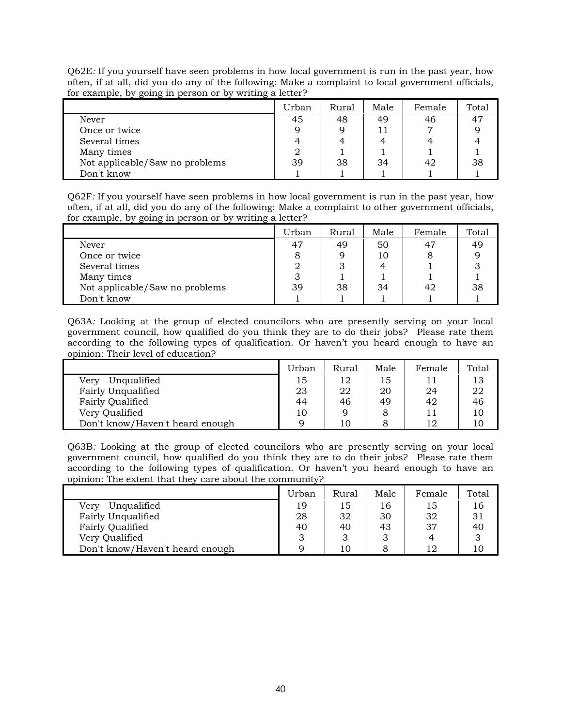Q62E*:* If you yourself have seen problems in how local government is run in the past year, how often, if at all, did you do any of the following: Make a complaint to local government officials, for example, by going in person or by writing a letter?

|                                | Urban | Rural | Male | Female | Total |
|--------------------------------|-------|-------|------|--------|-------|
| Never                          | 45    | 48    | 49   | 46     | 47    |
| Once or twice                  | q     |       |      |        |       |
| Several times                  |       |       |      |        |       |
| Many times                     |       |       |      |        |       |
| Not applicable/Saw no problems | 39    | 38    | 34   | 42     | 38    |
| Don't know                     |       |       |      |        |       |

Q62F*:* If you yourself have seen problems in how local government is run in the past year, how often, if at all, did you do any of the following: Make a complaint to other government officials, for example, by going in person or by writing a letter?

|                                | Urban | Rural | Male | Female | Total |
|--------------------------------|-------|-------|------|--------|-------|
| Never                          | 47    | 49    | 50   | 47     | 49    |
| Once or twice                  |       | Q     | 10   |        |       |
| Several times                  |       |       |      |        |       |
| Many times                     | З     |       |      |        |       |
| Not applicable/Saw no problems | 39    | 38    | 34   | 42     | 38    |
| Don't know                     |       |       |      |        |       |

Q63A*:* Looking at the group of elected councilors who are presently serving on your local government council, how qualified do you think they are to do their jobs? Please rate them according to the following types of qualification. Or haven't you heard enough to have an opinion: Their level of education?

|                                 | Urban | Rural | Male | Female | Total |
|---------------------------------|-------|-------|------|--------|-------|
| Unqualified<br>Verv             | 15    | 12    | 15   | 11     | 13    |
| Fairly Unqualified              | 23    | 22    | 20   | 24     | 22    |
| Fairly Qualified                | 44    | 46    | 49   | 42     | 46    |
| Very Qualified                  | 10    |       |      | 11     | 10    |
| Don't know/Haven't heard enough |       | 10    |      | 12     | 10    |

Q63B*:* Looking at the group of elected councilors who are presently serving on your local government council, how qualified do you think they are to do their jobs? Please rate them according to the following types of qualification. Or haven't you heard enough to have an opinion: The extent that they care about the community?

|                                 | Urban | Rural | Male | Female | Total |
|---------------------------------|-------|-------|------|--------|-------|
| Unqualified<br>Very             | 19    | 15    | 16   | 15     | 16    |
| Fairly Unqualified              | 28    | 32    | 30   | 32     | 31    |
| Fairly Qualified                | 40    | 40    | 43   | 37     | 40    |
| Very Qualified                  |       | З     |      |        |       |
| Don't know/Haven't heard enough |       |       |      | 12     | 10    |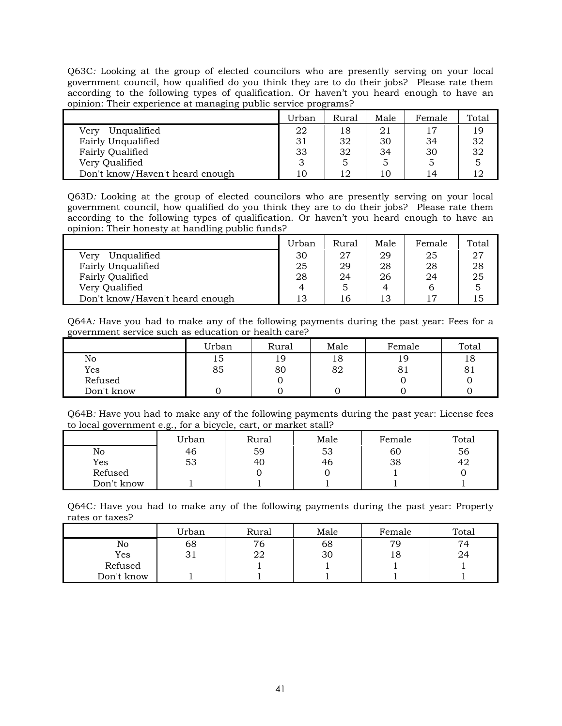Q63C*:* Looking at the group of elected councilors who are presently serving on your local government council, how qualified do you think they are to do their jobs? Please rate them according to the following types of qualification. Or haven't you heard enough to have an opinion: Their experience at managing public service programs?

|                                 | Urban | Rural | Male | Female | Total |
|---------------------------------|-------|-------|------|--------|-------|
| Unqualified<br>Very             | 22    | 18    | 21   | 17     | 19    |
| Fairly Unqualified              | 31    | 32    | 30   | 34     | 32    |
| Fairly Qualified                | 33    | 32    | 34   | 30     | 32    |
| Very Qualified                  |       | 5     |      |        |       |
| Don't know/Haven't heard enough |       | 12    | 10   | 14     |       |

Q63D*:* Looking at the group of elected councilors who are presently serving on your local government council, how qualified do you think they are to do their jobs? Please rate them according to the following types of qualification. Or haven't you heard enough to have an opinion: Their honesty at handling public funds?

|                                 | Urban | Rural | Male | Female | Total |
|---------------------------------|-------|-------|------|--------|-------|
| Unqualified<br>Verv             | 30    | 27    | 29   | 25     | 27    |
| Fairly Unqualified              | 25    | 29    | 28   | 28     | 28    |
| Fairly Qualified                | 28    | 24    | 26   | 24     | 25    |
| Very Qualified                  |       | 5     |      |        |       |
| Don't know/Haven't heard enough | 13    | 16    | 13   |        | LЬ    |

Q64A*:* Have you had to make any of the following payments during the past year: Fees for a government service such as education or health care?

|            | Urban | Rural | Male | Female | Total |
|------------|-------|-------|------|--------|-------|
| No         | 15    | 19    | 18   | 19     | 18    |
| Yes        | 85    | 80    | 82   | 81     | 81    |
| Refused    |       |       |      |        |       |
| Don't know |       |       |      |        |       |

Q64B*:* Have you had to make any of the following payments during the past year: License fees to local government e.g., for a bicycle, cart, or market stall?

|            | Urban | Rural | Male | Female | Total |
|------------|-------|-------|------|--------|-------|
| No         | 46    | 59    | 53   | 60     | 56    |
| Yes        | 53    | 40    | 46   | 38     | 42    |
| Refused    |       |       |      |        |       |
| Don't know |       |       |      |        |       |

Q64C*:* Have you had to make any of the following payments during the past year: Property rates or taxes?

|            | Urban | Rural | Male | Female | Total |
|------------|-------|-------|------|--------|-------|
| No         | 68    | 76    | 68   | 79     | 74    |
| Yes        | 31    | 22    | 30   | 18     | 24    |
| Refused    |       |       |      |        |       |
| Don't know |       |       |      |        |       |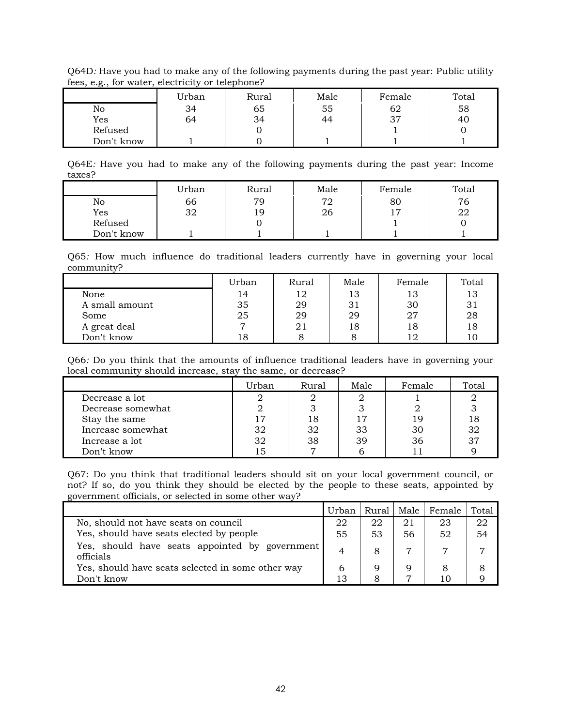Q64D*:* Have you had to make any of the following payments during the past year: Public utility fees, e.g., for water, electricity or telephone?

|            | Urban | Rural | Male | Female | Total |
|------------|-------|-------|------|--------|-------|
| No         | 34    | 65    | 55   | 62     | 58    |
| Yes        | 64    | 34    | 44   | 37     | 40    |
| Refused    |       |       |      |        |       |
| Don't know |       |       |      |        |       |

Q64E*:* Have you had to make any of the following payments during the past year: Income taxes?

|            | Urban | Rural | Male | Female | Total |
|------------|-------|-------|------|--------|-------|
| No         | 66    | 79    | 72   | 80     | 76    |
| Yes        | 32    | 19    | 26   |        | 22    |
| Refused    |       |       |      |        |       |
| Don't know |       |       |      |        |       |

Q65*:* How much influence do traditional leaders currently have in governing your local community?

|                | Urban | Rural | Male | Female | Total |
|----------------|-------|-------|------|--------|-------|
| None           | 14    | 12    | 13   | 13     | 13    |
| A small amount | 35    | 29    | 31   | 30     | 31    |
| Some           | 25    | 29    | 29   | 27     | 28    |
| A great deal   |       | 21    | 18   | 18     | 18    |
| Don't know     | 18    |       |      |        | 1 C   |

Q66*:* Do you think that the amounts of influence traditional leaders have in governing your local community should increase, stay the same, or decrease?

|                   | Urban | Rural | Male | Female | Total |
|-------------------|-------|-------|------|--------|-------|
| Decrease a lot    |       |       |      |        |       |
| Decrease somewhat |       |       |      |        |       |
| Stay the same     | 17    | 18    | 17   |        |       |
| Increase somewhat | 32    | 32    | 33   | 30     | 32    |
| Increase a lot    | 32    | 38    | 39   | 36     | 37    |
| Don't know        | 15    |       |      |        |       |

Q67: Do you think that traditional leaders should sit on your local government council, or not? If so, do you think they should be elected by the people to these seats, appointed by government officials, or selected in some other way?

|                                                             | Urban | Rural | Male | Female | Total |
|-------------------------------------------------------------|-------|-------|------|--------|-------|
| No, should not have seats on council                        | 22    | 22    | 21   | 23     | 22    |
| Yes, should have seats elected by people                    | 55    | 53    | 56   | 52     | 54    |
| Yes, should have seats appointed by government<br>officials | 4     | 8     |      |        |       |
| Yes, should have seats selected in some other way           |       |       |      |        |       |
| Don't know                                                  | 13    |       |      | 10     |       |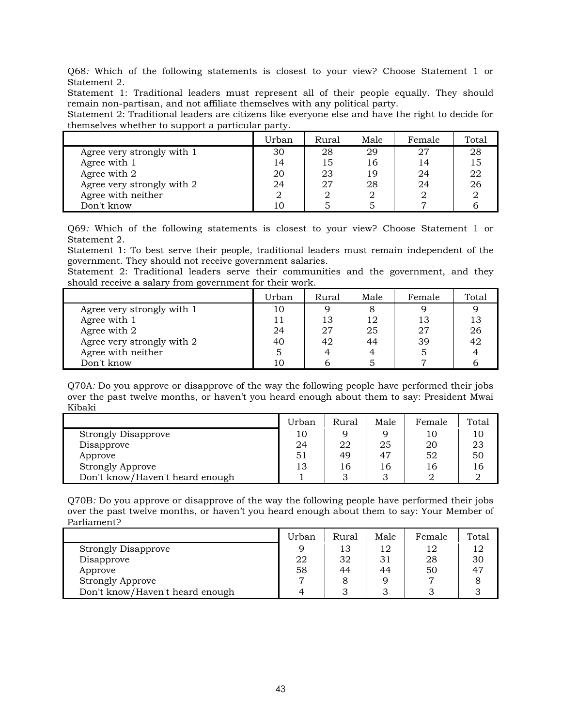Q68*:* Which of the following statements is closest to your view? Choose Statement 1 or Statement 2.

Statement 1: Traditional leaders must represent all of their people equally. They should remain non-partisan, and not affiliate themselves with any political party.

Statement 2: Traditional leaders are citizens like everyone else and have the right to decide for themselves whether to support a particular party.

|                            | Urban | Rural | Male | Female | Total |
|----------------------------|-------|-------|------|--------|-------|
| Agree very strongly with 1 | 30    | 28    | 29   | 27     | 28    |
| Agree with 1               | 14    | 15    | 16   | 14     | 15    |
| Agree with 2               | 20    | 23    | 19   | 24     | 22    |
| Agree very strongly with 2 | 24    | 27    | 28   | 24     | 26    |
| Agree with neither         |       |       |      |        |       |
| Don't know                 |       |       |      |        |       |

Q69*:* Which of the following statements is closest to your view? Choose Statement 1 or Statement 2.

Statement 1: To best serve their people, traditional leaders must remain independent of the government. They should not receive government salaries.

Statement 2: Traditional leaders serve their communities and the government, and they should receive a salary from government for their work.

|                            | Urban | <b>Rural</b> | Male | Female | Total |
|----------------------------|-------|--------------|------|--------|-------|
| Agree very strongly with 1 | 10    |              |      |        |       |
| Agree with 1               |       | 13           | 12   | 13     | 13    |
| Agree with 2               | 24    | 27           | 25   | 27     | 26    |
| Agree very strongly with 2 | 40    | 42           | 44   | 39     | 42    |
| Agree with neither         |       |              |      |        |       |
| Don't know                 | 10    |              |      |        |       |

Q70A*:* Do you approve or disapprove of the way the following people have performed their jobs over the past twelve months, or haven't you heard enough about them to say: President Mwai Kibaki

|                                 | Urban | Rural | Male | Female | Total |
|---------------------------------|-------|-------|------|--------|-------|
| <b>Strongly Disapprove</b>      | 10    |       |      |        | 10    |
| Disapprove                      | 24    | 22    | 25   | 20     | 23    |
| Approve                         | 51    | 49    | 47   | 52     | 50    |
| <b>Strongly Approve</b>         | 13    | 16    | 16   |        | 16    |
| Don't know/Haven't heard enough |       |       |      |        |       |

Q70B*:* Do you approve or disapprove of the way the following people have performed their jobs over the past twelve months, or haven't you heard enough about them to say: Your Member of Parliament?

|                                 | Urban | Rural | Male | Female | Total |
|---------------------------------|-------|-------|------|--------|-------|
| <b>Strongly Disapprove</b>      |       | 13    | 12   | 12     | 12    |
| Disapprove                      | 22    | 32    | 31   | 28     | 30    |
| Approve                         | 58    | 44    | 44   | 50     |       |
| <b>Strongly Approve</b>         |       |       |      |        |       |
| Don't know/Haven't heard enough |       |       |      |        |       |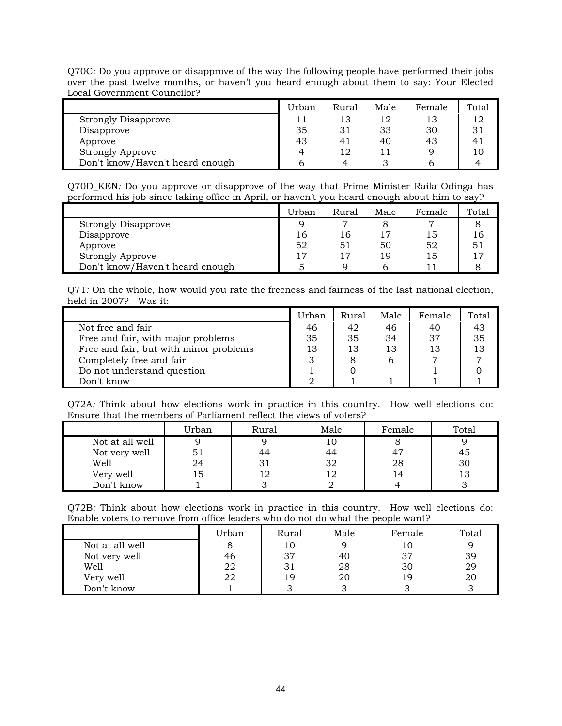Q70C*:* Do you approve or disapprove of the way the following people have performed their jobs over the past twelve months, or haven't you heard enough about them to say: Your Elected Local Government Councilor?

|                                 | Urban | Rural | Male | Female | Total |
|---------------------------------|-------|-------|------|--------|-------|
| <b>Strongly Disapprove</b>      |       |       | 12   |        | 12    |
| Disapprove                      | 35    | 31    | 33   | 30     |       |
| Approve                         | 43    | 41    | 40   | 43     |       |
| <b>Strongly Approve</b>         |       | 12    |      |        | 10    |
| Don't know/Haven't heard enough |       |       |      |        |       |

Q70D\_KEN*:* Do you approve or disapprove of the way that Prime Minister Raila Odinga has performed his job since taking office in April, or haven't you heard enough about him to say?

|                                 | Urban | Rural          | Male | Female | Total |
|---------------------------------|-------|----------------|------|--------|-------|
| <b>Strongly Disapprove</b>      | a     | $\overline{ }$ |      |        |       |
| Disapprove                      | 16    | 16             |      | 15     | ı6.   |
| Approve                         | 52    | 51             | 50   | 52     |       |
| Strongly Approve                | 17    | 17             | 19   | 15     |       |
| Don't know/Haven't heard enough |       |                |      |        |       |

Q71*:* On the whole, how would you rate the freeness and fairness of the last national election, held in 2007? Was it:

|                                        | Urban | Rural | Male | Female | Total |
|----------------------------------------|-------|-------|------|--------|-------|
| Not free and fair                      | 46    | 42    | 46   | 40     | 43    |
| Free and fair, with major problems     | 35    | 35    | 34   | 37     | 35    |
| Free and fair, but with minor problems | 13    | 13    | 13   | 13     | 13    |
| Completely free and fair               |       | 8     | 6    |        |       |
| Do not understand question             |       |       |      |        |       |
| Don't know                             |       |       |      |        |       |

Q72A*:* Think about how elections work in practice in this country. How well elections do: Ensure that the members of Parliament reflect the views of voters?

|                 | Urban | Rural | Male | Female | Total |
|-----------------|-------|-------|------|--------|-------|
| Not at all well |       |       |      |        |       |
| Not very well   | נכ    | 44    | 44   |        | 45    |
| Well            | 24    | 31    | 32   | 28     | 30    |
| Very well       | Lэ    |       |      | 14     |       |
| Don't know      |       |       |      |        |       |

Q72B*:* Think about how elections work in practice in this country. How well elections do: Enable voters to remove from office leaders who do not do what the people want?

|                 | Urban | Rural | Male | Female | Total |
|-----------------|-------|-------|------|--------|-------|
| Not at all well |       | 10    |      |        |       |
| Not very well   | 46    | 37    | 40   | 37     | 39    |
| Well            | 22    |       | 28   | 30     | 29    |
| Very well       | 22    | 19    | 20   | 19     | 20    |
| Don't know      |       |       |      |        |       |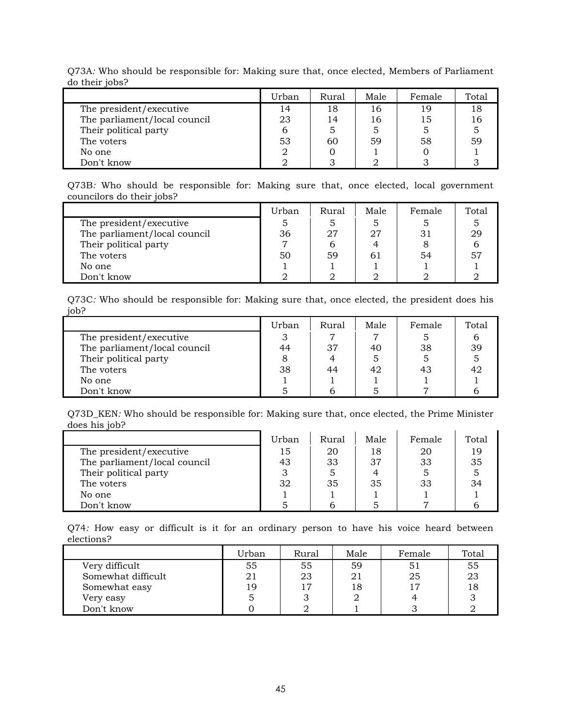|                              | Urban | Rural | Male | Female | Total |
|------------------------------|-------|-------|------|--------|-------|
| The president/executive      | 14    | 18    | 16   | 19     | 18    |
| The parliament/local council | 23    | 14    | 16   | 15     | 16    |
| Their political party        | b     | 5     | 5    |        |       |
| The voters                   | 53    | 60    | 59   | 58     | 59    |
| No one                       |       |       |      |        |       |
| Don't know                   |       |       |      |        |       |

Q73A*:* Who should be responsible for: Making sure that, once elected, Members of Parliament do their jobs?

Q73B*:* Who should be responsible for: Making sure that, once elected, local government councilors do their jobs?

|                              | Urban | Rural | Male | Female | Total |
|------------------------------|-------|-------|------|--------|-------|
| The president/executive      |       |       |      |        |       |
| The parliament/local council | 36    | 27    | 27   | 31     | 29    |
| Their political party        |       |       |      |        |       |
| The voters                   | 50    | 59    |      | 54     | 51    |
| No one                       |       |       |      |        |       |
| Don't know                   |       |       |      |        |       |

Q73C*:* Who should be responsible for: Making sure that, once elected, the president does his job?

|                              | Urban | Rural | Male | Female | Total |
|------------------------------|-------|-------|------|--------|-------|
| The president/executive      |       |       |      |        |       |
| The parliament/local council | 44    | 37    | 40   | 38     | 39    |
| Their political party        |       |       |      |        |       |
| The voters                   | 38    | 44    | 42   | 43     | 42    |
| No one                       |       |       |      |        |       |
| Don't know                   |       |       |      |        |       |

Q73D\_KEN*:* Who should be responsible for: Making sure that, once elected, the Prime Minister does his job?

|                              | Urban | Rural | Male | Female | Total |
|------------------------------|-------|-------|------|--------|-------|
| The president/executive      | 15    | 20    | 18   | 20     | 19    |
| The parliament/local council | 43    | 33    | 37   | 33     | 35    |
| Their political party        |       |       |      |        |       |
| The voters                   | 32    | 35    | 35   | 33     | 34    |
| No one                       |       |       |      |        |       |
| Don't know                   |       |       |      |        |       |

Q74*:* How easy or difficult is it for an ordinary person to have his voice heard between elections?

|                    | Urban | Rural | Male | Female | Total |
|--------------------|-------|-------|------|--------|-------|
| Very difficult     | 55    | 55    | 59   | 51     | 55    |
| Somewhat difficult | 21    | 23    | 21   | 25     | 23    |
| Somewhat easy      | 19    | ר ו   | 18   | 17     |       |
| Very easy          |       |       |      |        |       |
| Don't know         |       |       |      |        |       |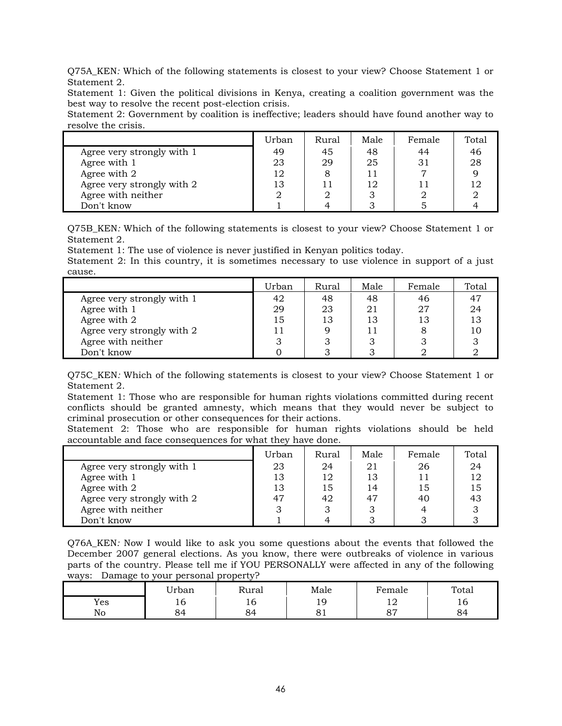Q75A\_KEN*:* Which of the following statements is closest to your view? Choose Statement 1 or Statement 2.

Statement 1: Given the political divisions in Kenya, creating a coalition government was the best way to resolve the recent post-election crisis.

Statement 2: Government by coalition is ineffective; leaders should have found another way to resolve the crisis.

|                            | Urban | Rural | Male | Female | Total |
|----------------------------|-------|-------|------|--------|-------|
| Agree very strongly with 1 | 49    | 45    | 48   | 44     | 46    |
| Agree with 1               | 23    | 29    | 25   | 31     | 28    |
| Agree with 2               | 12    |       |      |        |       |
| Agree very strongly with 2 | 13    |       | 12   |        |       |
| Agree with neither         |       |       |      |        |       |
| Don't know                 |       |       |      |        |       |

Q75B\_KEN*:* Which of the following statements is closest to your view? Choose Statement 1 or Statement 2.

Statement 1: The use of violence is never justified in Kenyan politics today.

Statement 2: In this country, it is sometimes necessary to use violence in support of a just cause.

|                            | Urban     | Rural | Male | Female | Total |
|----------------------------|-----------|-------|------|--------|-------|
| Agree very strongly with 1 | 42        | 48    | 48   | 46     | 47    |
| Agree with 1               | 29        | 23    | 21   | 27     | 24    |
| Agree with 2               | 15        | 13    | 13   | 13     |       |
| Agree very strongly with 2 |           |       |      |        |       |
| Agree with neither         | $\bullet$ |       |      |        |       |
| Don't know                 |           |       |      |        |       |

Q75C\_KEN*:* Which of the following statements is closest to your view? Choose Statement 1 or Statement 2.

Statement 1: Those who are responsible for human rights violations committed during recent conflicts should be granted amnesty, which means that they would never be subject to criminal prosecution or other consequences for their actions.

Statement 2: Those who are responsible for human rights violations should be held accountable and face consequences for what they have done.

|                            | Urban | Rural | Male | Female | Total |
|----------------------------|-------|-------|------|--------|-------|
| Agree very strongly with 1 | 23    | 24    | 21   | 26     | 24    |
| Agree with 1               | 13    | 12    | 13   |        |       |
| Agree with 2               | 13    | 15    | 14   | 15     | 15    |
| Agree very strongly with 2 | 47    | 42    | 47   | 40     | 43    |
| Agree with neither         |       |       |      |        |       |
| Don't know                 |       |       |      |        |       |

Q76A\_KEN*:* Now I would like to ask you some questions about the events that followed the December 2007 general elections. As you know, there were outbreaks of violence in various parts of the country. Please tell me if YOU PERSONALLY were affected in any of the following ways:Damage to your personal property?

|     | Urban | Rural | Male             | Female                     | Total |
|-----|-------|-------|------------------|----------------------------|-------|
| Yes | 10    | τÓ    | $\epsilon$<br>12 | 1 $\cap$<br>$\overline{1}$ | ⊥∪    |
| No  | 84    | 84    | ◡▴               | $\Omega$<br>ິ              | 84    |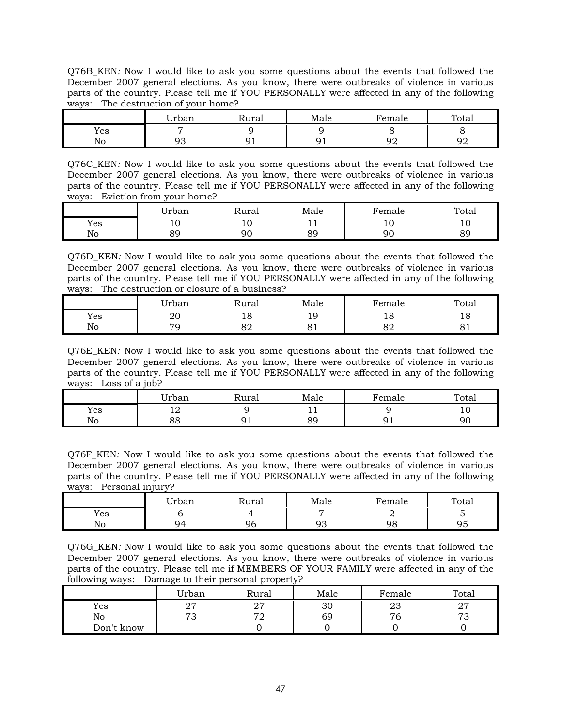Q76B\_KEN*:* Now I would like to ask you some questions about the events that followed the December 2007 general elections. As you know, there were outbreaks of violence in various parts of the country. Please tell me if YOU PERSONALLY were affected in any of the following ways:The destruction of your home?

|     | <b>TT 1</b><br>Urban | ∽<br>Rural | Male    | ∵emale   | Total    |
|-----|----------------------|------------|---------|----------|----------|
| Yes |                      |            |         |          |          |
| No  | ົ້າ <i>ຕ</i><br>╯    | ╯          | u<br>╯∸ | ∩∩<br>⊃∠ | O۲<br>৴∠ |

Q76C\_KEN*:* Now I would like to ask you some questions about the events that followed the December 2007 general elections. As you know, there were outbreaks of violence in various parts of the country. Please tell me if YOU PERSONALLY were affected in any of the following ways:Eviction from your home?

|     | Urban          | Rural | Male          | $F$ emale | Total   |
|-----|----------------|-------|---------------|-----------|---------|
| Yes | ᅶ              | ∸     | . .           | ᅶ         | ∸       |
| No  | QΟ<br><u>。</u> | 90    | $\circ$<br>ర≿ | ar        | яc<br>ັ |

Q76D\_KEN*:* Now I would like to ask you some questions about the events that followed the December 2007 general elections. As you know, there were outbreaks of violence in various parts of the country. Please tell me if YOU PERSONALLY were affected in any of the following ways:The destruction or closure of a business?

|     | Urban | Rural    | Male     | Female         | Total    |
|-----|-------|----------|----------|----------------|----------|
| Yes | 20    | ⊥⊖       | 1 Q<br>ᅩ | ŦΟ             | 10       |
| No  | 70    | oη<br>ΟZ | Ω<br>◡▴  | $\Omega$<br>oΖ | C.<br>◡▴ |

Q76E\_KEN*:* Now I would like to ask you some questions about the events that followed the December 2007 general elections. As you know, there were outbreaks of violence in various parts of the country. Please tell me if YOU PERSONALLY were affected in any of the following ways:Loss of a job?

|     | Urban          | Rural | Male             | ∙`emale | Total |
|-----|----------------|-------|------------------|---------|-------|
| Yes | $\overline{ }$ |       | . .              |         | ∸     |
| No  | o o<br>00      |       | $_{\alpha}$<br>ັ |         | ar    |

Q76F\_KEN*:* Now I would like to ask you some questions about the events that followed the December 2007 general elections. As you know, there were outbreaks of violence in various parts of the country. Please tell me if YOU PERSONALLY were affected in any of the following ways:Personal injury?

|     | Urban | Rural | Male     | Female | Total    |
|-----|-------|-------|----------|--------|----------|
| Yes |       |       | -        | ∽      |          |
| No  | 94    | 96    | ∩∩<br>ッっ | 98     | Q۵<br>ンジ |

Q76G\_KEN*:* Now I would like to ask you some questions about the events that followed the December 2007 general elections. As you know, there were outbreaks of violence in various parts of the country. Please tell me if MEMBERS OF YOUR FAMILY were affected in any of the following ways:Damage to their personal property?

|            | Urban    | Rural     | Male | Female | Total                |
|------------|----------|-----------|------|--------|----------------------|
| Yes        | ∩⊓<br>41 | ∩⊓<br>، ہ | 30   | ∠⊾     | n7<br>$\overline{a}$ |
| No         | 72<br>ഄ  | חדי<br>◢  | 69   | 76     | 70<br>ັ              |
| Don't know |          |           |      |        |                      |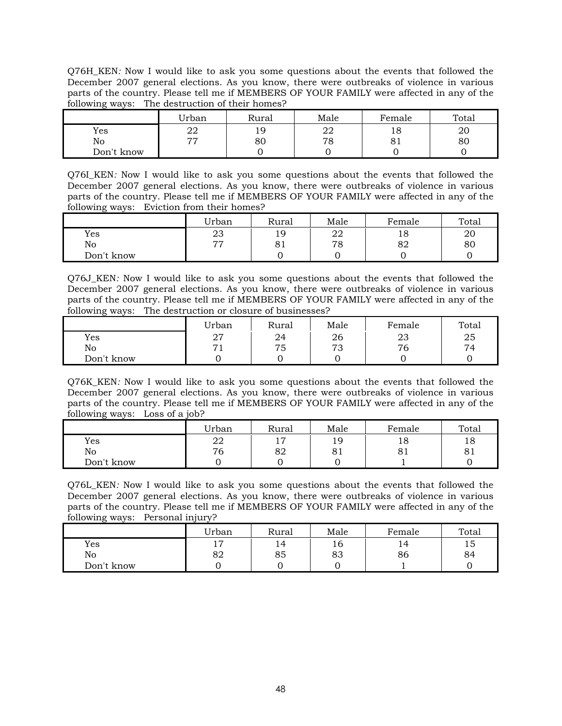Q76H\_KEN*:* Now I would like to ask you some questions about the events that followed the December 2007 general elections. As you know, there were outbreaks of violence in various parts of the country. Please tell me if MEMBERS OF YOUR FAMILY were affected in any of the following ways:The destruction of their homes?

|            | Urban | Rural | Male     | Female | Total |
|------------|-------|-------|----------|--------|-------|
| Yes        | 22    | 19    | า∩<br>44 | 18     | 20    |
| No         | 77    | 80    | 78       | ΟI     | 80    |
| Don't know |       |       |          |        |       |

Q76I\_KEN*:* Now I would like to ask you some questions about the events that followed the December 2007 general elections. As you know, there were outbreaks of violence in various parts of the country. Please tell me if MEMBERS OF YOUR FAMILY were affected in any of the following ways:Eviction from their homes?

|            | Urban | Rural | Male | Female | Total |
|------------|-------|-------|------|--------|-------|
| Yes        | 23    | Q     | 22   | 18     | 20    |
| No         | 77    | UΙ    | 78   | 82     | 80    |
| Don't know |       |       |      |        |       |

Q76J\_KEN*:* Now I would like to ask you some questions about the events that followed the December 2007 general elections. As you know, there were outbreaks of violence in various parts of the country. Please tell me if MEMBERS OF YOUR FAMILY were affected in any of the following ways:The destruction or closure of businesses?

|            | Urban          | Rural | Male    | Female | Total |
|------------|----------------|-------|---------|--------|-------|
| Yes        | 27             | 24    | 26      | 23     | 25    |
| No         | $\overline{ }$ | 75    | 70<br>◡ | 76     | 74    |
| Don't know |                |       |         |        |       |

Q76K\_KEN*:* Now I would like to ask you some questions about the events that followed the December 2007 general elections. As you know, there were outbreaks of violence in various parts of the country. Please tell me if MEMBERS OF YOUR FAMILY were affected in any of the following ways:Loss of a job?

|            | Urban | Rural          | Male | Female | Total |
|------------|-------|----------------|------|--------|-------|
| Yes        | 22    | $\overline{ }$ | ١q   | 18     | 18    |
| No         | 76    | 82             | ОI   | 81     | ОI    |
| Don't know |       |                |      |        |       |

Q76L\_KEN*:* Now I would like to ask you some questions about the events that followed the December 2007 general elections. As you know, there were outbreaks of violence in various parts of the country. Please tell me if MEMBERS OF YOUR FAMILY were affected in any of the following ways:Personal injury?

|            | Urban    | Rural | Male | Female | Total |
|------------|----------|-------|------|--------|-------|
| Yes        | -<br>* ' | 14    | ⊥O.  | 14     | 15    |
| No         | 82       | 85    | 83   | 86     | 84    |
| Don't know |          |       |      |        |       |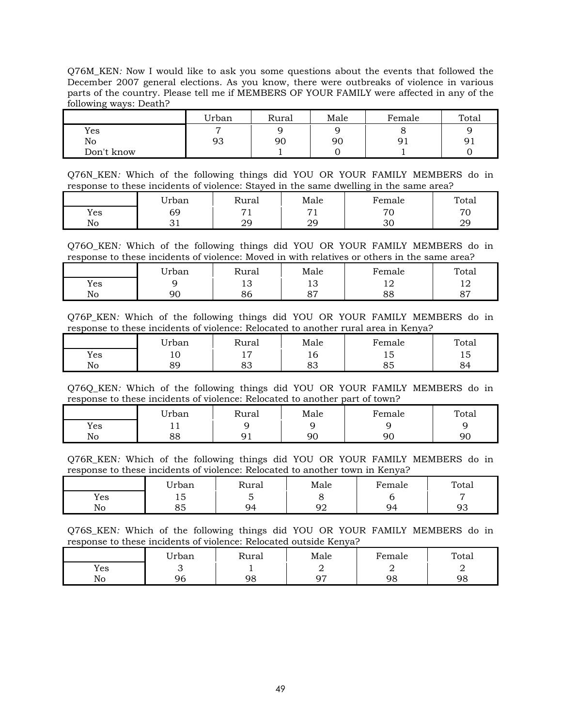Q76M\_KEN*:* Now I would like to ask you some questions about the events that followed the December 2007 general elections. As you know, there were outbreaks of violence in various parts of the country. Please tell me if MEMBERS OF YOUR FAMILY were affected in any of the following ways: Death?

|            | Urban          | Rural | Male | Female | Total |
|------------|----------------|-------|------|--------|-------|
| Yes        | $\overline{ }$ |       |      |        |       |
| No         | 93             | 90    | 90   | 91     | 91    |
| Don't know |                |       |      |        |       |

Q76N\_KEN*:* Which of the following things did YOU OR YOUR FAMILY MEMBERS do in response to these incidents of violence: Stayed in the same dwelling in the same area?

|     | Urban | Rural      | Male           | $F$ emale                | Total                         |
|-----|-------|------------|----------------|--------------------------|-------------------------------|
| Yes | 69    | ⇁          | $\overline{ }$ | $\overline{\phantom{a}}$ | $\overline{\phantom{a}}$<br>◡ |
| No  | ັັ    | ററ<br>ر رے | ററ<br>42       | υU                       | റ<br>ر رے                     |

Q76O\_KEN*:* Which of the following things did YOU OR YOUR FAMILY MEMBERS do in response to these incidents of violence: Moved in with relatives or others in the same area?

|     | Urban | Rural    | Male      | Female | Total         |
|-----|-------|----------|-----------|--------|---------------|
| Yes |       | ∸        | ∸         | ∸      | ∸∸            |
| No  | 90    | oς<br>oυ | o H<br>ັັ | 88     | $\Omega$<br>ັ |

Q76P\_KEN*:* Which of the following things did YOU OR YOUR FAMILY MEMBERS do in response to these incidents of violence: Relocated to another rural area in Kenya?

|     | Urban | Rural    | Male           | Female | Total |
|-----|-------|----------|----------------|--------|-------|
| Yes | ᅶ     | -<br>-   | ᅭ              | ⊥∪     | ᅩ     |
| No  | 89    | റി<br>ഄഄ | $\Omega$<br>ou | ൦ഄ     | ັ     |

Q76Q\_KEN*:* Which of the following things did YOU OR YOUR FAMILY MEMBERS do in response to these incidents of violence: Relocated to another part of town?

|     | Urban | Rural | Male | –<br>Female | Total |
|-----|-------|-------|------|-------------|-------|
| Yes | . .   |       |      |             |       |
| No  | 88    |       | 90   | 90          | ۹ſ    |

Q76R\_KEN*:* Which of the following things did YOU OR YOUR FAMILY MEMBERS do in response to these incidents of violence: Relocated to another town in Kenya?

|     | Urban            | Rural | Male     | Female | Total    |
|-----|------------------|-------|----------|--------|----------|
| Yes | -<br>⊥◡          |       |          |        |          |
| No  | $\sim$ $-$<br>ပပ | 94    | nr<br>⊃∠ | Q4     | o۰<br>ンソ |

Q76S\_KEN*:* Which of the following things did YOU OR YOUR FAMILY MEMBERS do in response to these incidents of violence: Relocated outside Kenya?

|     | <b>'</b> Irban | Rural | Male | Female | Total |
|-----|----------------|-------|------|--------|-------|
| Yes |                |       | ∸    | ∸      | ∸     |
| No  | ነሪ<br>yu       | 98    | n5   | 98     | 98    |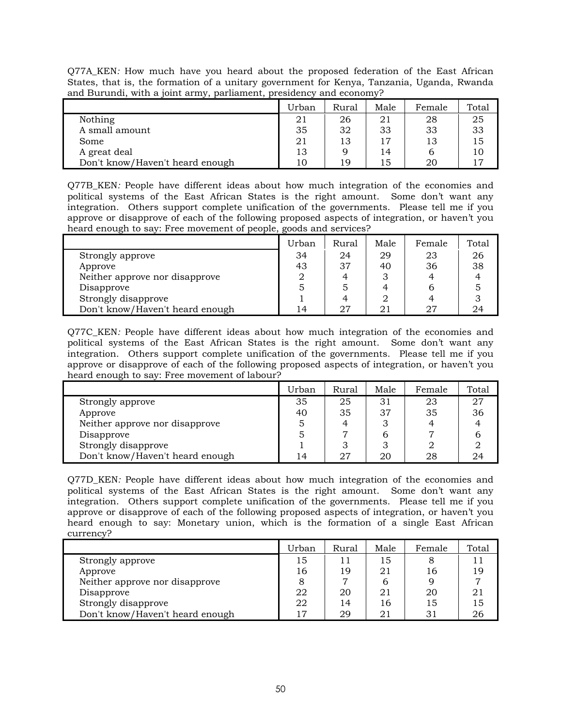Q77A\_KEN*:* How much have you heard about the proposed federation of the East African States, that is, the formation of a unitary government for Kenya, Tanzania, Uganda, Rwanda and Burundi, with a joint army, parliament, presidency and economy?

|                                 | Urban | Rural | Male | Female | Total |
|---------------------------------|-------|-------|------|--------|-------|
| Nothing                         | 21    | 26    | 21   | 28     | 25    |
| A small amount                  | 35    | 32    | 33   | 33     | 33    |
| Some                            | 21    | 13    | 17   | 13     | 15    |
| A great deal                    | 13    |       | 14   |        | 10    |
| Don't know/Haven't heard enough | 10    | 19    | 15   | 20     |       |

Q77B\_KEN*:* People have different ideas about how much integration of the economies and political systems of the East African States is the right amount. Some don't want any integration. Others support complete unification of the governments. Please tell me if you approve or disapprove of each of the following proposed aspects of integration, or haven't you heard enough to say: Free movement of people, goods and services?

|                                 | Urban | Rural | Male | Female | Total |
|---------------------------------|-------|-------|------|--------|-------|
| Strongly approve                | 34    | 24    | 29   | 23     | 26    |
| Approve                         | 43    | 37    | 40   | 36     | 38    |
| Neither approve nor disapprove  |       |       |      |        |       |
| Disapprove                      |       |       |      |        |       |
| Strongly disapprove             |       |       |      |        |       |
| Don't know/Haven't heard enough | 4     | 27    |      |        | 14    |

Q77C\_KEN*:* People have different ideas about how much integration of the economies and political systems of the East African States is the right amount. Some don't want any integration. Others support complete unification of the governments. Please tell me if you approve or disapprove of each of the following proposed aspects of integration, or haven't you heard enough to say: Free movement of labour?

|                                 | Urban | Rural | Male | Female | Total |
|---------------------------------|-------|-------|------|--------|-------|
| Strongly approve                | 35    | 25    | 31   | 23     | 27    |
| Approve                         | 40    | 35    | 37   | 35     | 36    |
| Neither approve nor disapprove  |       |       |      |        |       |
| Disapprove                      |       |       |      |        |       |
| Strongly disapprove             |       |       |      |        |       |
| Don't know/Haven't heard enough | 14    | 27    | 20   | 28     |       |

Q77D\_KEN*:* People have different ideas about how much integration of the economies and political systems of the East African States is the right amount. Some don't want any integration. Others support complete unification of the governments. Please tell me if you approve or disapprove of each of the following proposed aspects of integration, or haven't you heard enough to say: Monetary union, which is the formation of a single East African currency?

|                                 | Urban | Rural | Male | Female | Total |
|---------------------------------|-------|-------|------|--------|-------|
| Strongly approve                | 15    |       | 15   |        | 11    |
| Approve                         | 16    | 19    | 21   | 16     | 19    |
| Neither approve nor disapprove  |       | ┍     |      |        |       |
| Disapprove                      | 22    | 20    | 21   | 20     | 21    |
| Strongly disapprove             | 22    | 14    | 16   | 15     | 15    |
| Don't know/Haven't heard enough |       | 29    | 21   | 31     | 26    |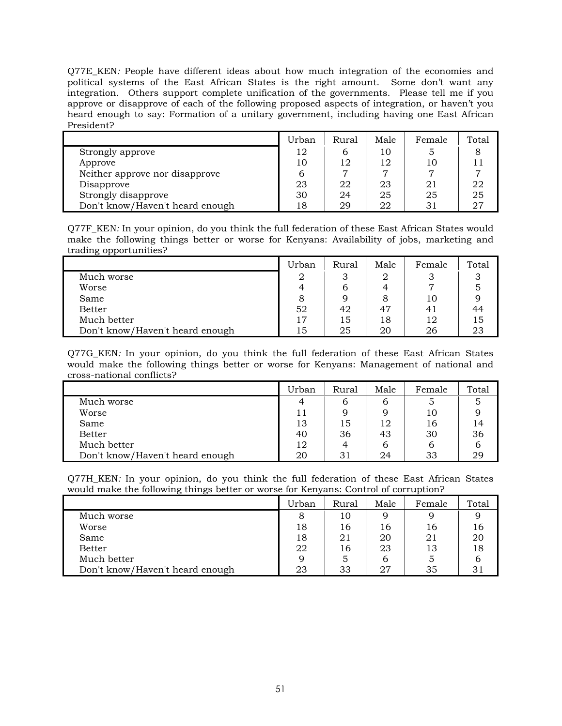Q77E\_KEN*:* People have different ideas about how much integration of the economies and political systems of the East African States is the right amount. Some don't want any integration. Others support complete unification of the governments. Please tell me if you approve or disapprove of each of the following proposed aspects of integration, or haven't you heard enough to say: Formation of a unitary government, including having one East African President?

|                                 | Urban | Rural | Male | Female | Total |
|---------------------------------|-------|-------|------|--------|-------|
| Strongly approve                | 12    | n     | 10   |        |       |
| Approve                         | 10    | 12    | 12   | 10     |       |
| Neither approve nor disapprove  |       | 7     |      |        |       |
| Disapprove                      | 23    | 22    | 23   | 21     | 22    |
| Strongly disapprove             | 30    | 24    | 25   | 25     | 25    |
| Don't know/Haven't heard enough | 18    | 29    | 22   | 31     | 27    |

Q77F\_KEN*:* In your opinion, do you think the full federation of these East African States would make the following things better or worse for Kenyans: Availability of jobs, marketing and trading opportunities?

|                                 | Urban | Rural | Male | Female | Total |
|---------------------------------|-------|-------|------|--------|-------|
| Much worse                      | 2     |       | 2    |        |       |
| Worse                           |       | b     |      |        |       |
| Same                            |       | 9     | 8    | 10     |       |
| <b>Better</b>                   | 52    | 42    | 47   | 41     | 44    |
| Much better                     | 17    | 15    | 18   | 12     | 15    |
| Don't know/Haven't heard enough | ב ז   | 25    | 20   | 26     |       |

Q77G\_KEN*:* In your opinion, do you think the full federation of these East African States would make the following things better or worse for Kenyans: Management of national and cross-national conflicts?

|                                 | Urban          | Rural | Male | Female | Total |
|---------------------------------|----------------|-------|------|--------|-------|
| Much worse                      | $\overline{4}$ | b     | b    |        | 5     |
| Worse                           | 11             | 9     |      | 10     |       |
| Same                            | 13             | 15    | 12   | 16     | 14    |
| <b>Better</b>                   | 40             | 36    | 43   | 30     | 36    |
| Much better                     | 12             | 4     | b    |        | b     |
| Don't know/Haven't heard enough | 20             | 31    | 24   | 33     | 29    |

Q77H\_KEN*:* In your opinion, do you think the full federation of these East African States would make the following things better or worse for Kenyans: Control of corruption?

|                                 | Urban | Rural | Male | Female | Total |
|---------------------------------|-------|-------|------|--------|-------|
| Much worse                      | 8     | 10    |      |        |       |
| Worse                           | 18    | 16    | 16   | 16     | 16    |
| Same                            | 18    | 21    | 20   | 21     | 20    |
| <b>Better</b>                   | 22    | 16    | 23   | 13     | 18    |
| Much better                     | Q     | 5     | 6    |        | 6     |
| Don't know/Haven't heard enough | 23    | 33    | 27   | 35     |       |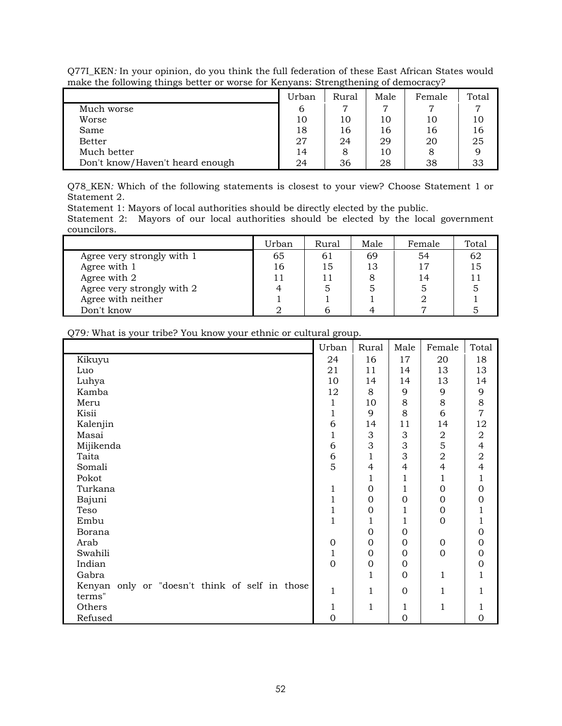|                                 | Urban | Rural | Male | Female | Total |
|---------------------------------|-------|-------|------|--------|-------|
| Much worse                      | b     |       |      |        |       |
| Worse                           | 10    | 10    | 10   | 10     | 10    |
| Same                            | 18    | 16    | 16   | 16     | 16    |
| <b>Better</b>                   | 27    | 24    | 29   | 20     | 25    |
| Much better                     | 14    | 8     | 10   |        |       |
| Don't know/Haven't heard enough | 24    | 36    | 28   | 38     |       |

Q77I\_KEN*:* In your opinion, do you think the full federation of these East African States would make the following things better or worse for Kenyans: Strengthening of democracy?

Q78\_KEN*:* Which of the following statements is closest to your view? Choose Statement 1 or Statement 2.

Statement 1: Mayors of local authorities should be directly elected by the public.

Statement 2: Mayors of our local authorities should be elected by the local government councilors.

|                            | Urban | Rural | Male | Female | Total |
|----------------------------|-------|-------|------|--------|-------|
| Agree very strongly with 1 | 65    | 61    | 69   | 54     |       |
| Agree with 1               | 16    | 15    | 13   | 17     |       |
| Agree with 2               |       |       |      | 14     |       |
| Agree very strongly with 2 |       |       |      |        |       |
| Agree with neither         |       |       |      |        |       |
| Don't know                 |       |       |      |        |       |

 $\mathcal{L}$  and  $\mathcal{L}$ 

|                                                | Urban          | Rural          | Male         | Female           | Total            |
|------------------------------------------------|----------------|----------------|--------------|------------------|------------------|
| Kikuyu                                         | 24             | 16             | 17           | 20               | 18               |
| Luo                                            | 21             | 11             | 14           | 13               | 13               |
| Luhya                                          | 10             | 14             | 14           | 13               | 14               |
| Kamba                                          | 12             | 8              | 9            | 9                | 9                |
| Meru                                           | 1              | 10             | 8            | 8                | 8                |
| Kisii                                          | $\mathbf 1$    | 9              | 8            | 6                | $\overline{7}$   |
| Kalenjin                                       | 6              | 14             | 11           | 14               | 12               |
| Masai                                          | $\mathbf{1}$   | 3              | 3            | $\boldsymbol{2}$ | $\boldsymbol{2}$ |
| Mijikenda                                      | 6              | 3              | 3            | 5                | $\overline{4}$   |
| Taita                                          | $\sqrt{6}$     | 1              | 3            | $\mathbf 2$      | $\boldsymbol{2}$ |
| Somali                                         | 5              | 4              | 4            | $\overline{4}$   | $\overline{4}$   |
| Pokot                                          |                | 1              | 1            | 1                | 1                |
| Turkana                                        | 1              | $\Omega$       | 1            | $\mathbf 0$      | 0                |
| Bajuni                                         | $\mathbf 1$    | $\Omega$       | $\Omega$     | $\Omega$         | 0                |
| Teso                                           | $\mathbf{1}$   | $\Omega$       | 1            | $\Omega$         | 1                |
| Embu                                           | $\overline{1}$ | 1              | 1            | $\Omega$         | 1                |
| Borana                                         |                | $\overline{0}$ | $\mathbf{0}$ |                  | 0                |
| Arab                                           | $\mathbf 0$    | $\mathbf{0}$   | $\mathbf{0}$ | $\mathbf{0}$     | $\Omega$         |
| Swahili                                        | $\mathbf 1$    | $\mathbf{0}$   | $\mathbf{0}$ | $\mathbf{0}$     | $\Omega$         |
| Indian                                         | $\overline{0}$ | $\overline{0}$ | $\mathbf{0}$ |                  | 0                |
| Gabra                                          |                | 1              | $\mathbf{0}$ | 1                | 1                |
| Kenyan only or "doesn't think of self in those | 1              | 1              | $\mathbf{0}$ |                  | 1                |
| terms"                                         |                |                |              |                  |                  |
| Others                                         | 1              | 1              | $\mathbf{1}$ | 1                | 1                |
| Refused                                        | $\mathbf 0$    |                | $\mathbf 0$  |                  | 0                |

Q79*:* What is your tribe? You know your ethnic or cultural group.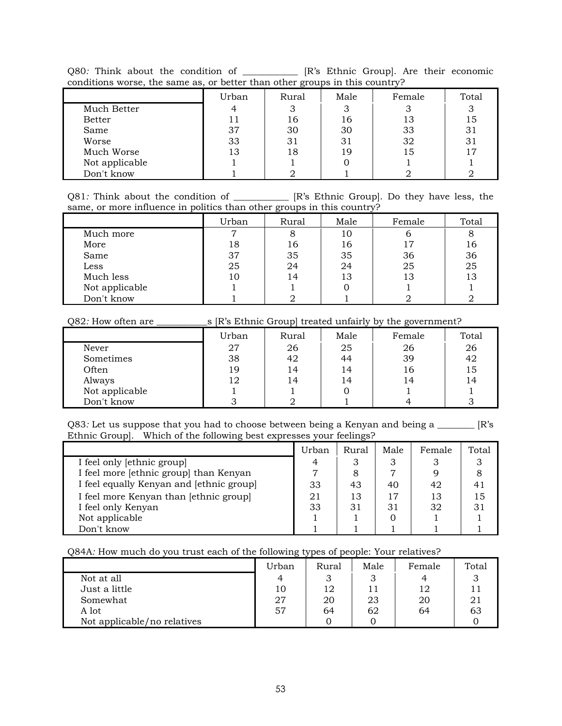| Q80. Think about the condition of                                           |  |  | [R's Ethnic Group]. Are their economic |
|-----------------------------------------------------------------------------|--|--|----------------------------------------|
| conditions worse, the same as, or better than other groups in this country? |  |  |                                        |

|                | Urban | Rural | Male | Female | Total |
|----------------|-------|-------|------|--------|-------|
| Much Better    |       |       | З    |        |       |
| <b>Better</b>  |       | 16    | 16   | 13     | 15    |
| Same           | 37    | 30    | 30   | 33     | 31    |
| Worse          | 33    | 31    | 31   | 32     | 31    |
| Much Worse     | 13    | 18    | 19   | 15     | 17    |
| Not applicable |       |       |      |        |       |
| Don't know     |       |       |      |        |       |

Q81*:* Think about the condition of \_\_\_\_\_\_\_\_\_\_\_ [R's Ethnic Group]. Do they have less, the same, or more influence in politics than other groups in this country?

|                | Urban | Rural | Male | Female | Total |
|----------------|-------|-------|------|--------|-------|
| Much more      |       |       | 10   |        | 8     |
| More           | 18    | 16    | 16   | 17     | 16    |
| Same           | 37    | 35    | 35   | 36     | 36    |
| Less           | 25    | 24    | 24   | 25     | 25    |
| Much less      | 10    | 14    | 13   | 13     | 13    |
| Not applicable |       |       |      |        |       |
| Don't know     |       |       |      |        |       |

Q82*:* How often are \_\_\_\_\_\_\_\_\_\_\_s [R's Ethnic Group] treated unfairly by the government?

|                | Urban | Rural | Male | Female | Total |
|----------------|-------|-------|------|--------|-------|
| Never          | 27    | 26    | 25   | 26     | 26    |
| Sometimes      | 38    | 42    | 44   | 39     | 42    |
| Often          | 19    | 14    | 14   | 16     | 15    |
| Always         | 12    | 14    | 14   | 14     | 14    |
| Not applicable |       |       |      |        |       |
| Don't know     |       |       |      |        |       |

Q83: Let us suppose that you had to choose between being a Kenyan and being a \_\_\_\_\_\_\_\_ [R's Ethnic Group]. Which of the following best expresses your feelings?

|                                          | Urban | Rural | Male | Female | Total |
|------------------------------------------|-------|-------|------|--------|-------|
| I feel only [ethnic group]               |       |       | З    |        |       |
| I feel more [ethnic group] than Kenyan   |       | 8     |      |        |       |
| I feel equally Kenyan and [ethnic group] | 33    | 43    | 40   | 42     | 41    |
| I feel more Kenyan than [ethnic group]   | 21    | 13    | 17   | 13     | 15    |
| I feel only Kenyan                       | 33    | 31    | 31   | 32     | 31    |
| Not applicable                           |       |       |      |        |       |
| Don't know                               |       |       |      |        |       |

#### Q84A*:* How much do you trust each of the following types of people: Your relatives?

|                             | Urban | Rural | Male | Female | Total |
|-----------------------------|-------|-------|------|--------|-------|
| Not at all                  | 4     |       |      |        |       |
| Just a little               | 10    | 12    |      | 12     |       |
| Somewhat                    | 27    | 20    | 23   | 20     |       |
| A lot                       | 57    | 64    | 62   | 64     | 63    |
| Not applicable/no relatives |       |       |      |        |       |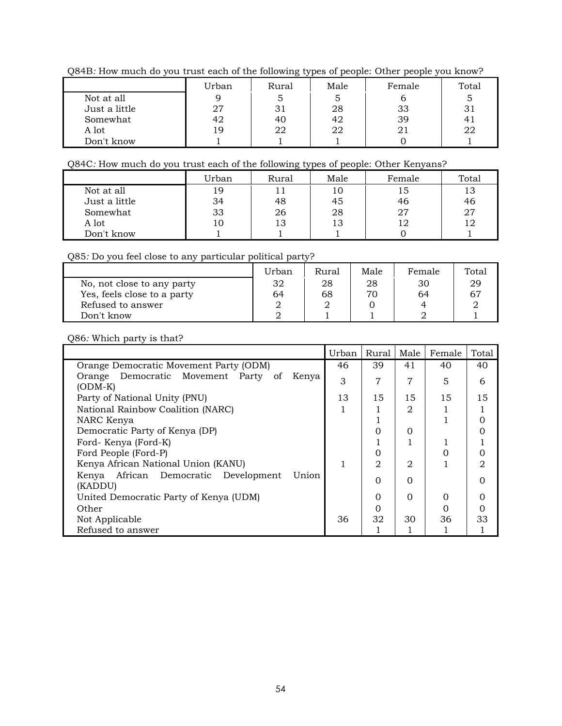Q84B*:* How much do you trust each of the following types of people: Other people you know?

|               | Urban | Rural | Male | Female | Total |
|---------------|-------|-------|------|--------|-------|
| Not at all    |       |       |      |        |       |
| Just a little | 27    |       | 28   | 33     |       |
| Somewhat      | 42    | 40    | 42   | 39     |       |
| A lot         | 19    | 22    | 22   | 21     | 22    |
| Don't know    |       |       |      |        |       |

## Q84C*:* How much do you trust each of the following types of people: Other Kenyans?

|               | Urban | Rural | Male | Female | Total |
|---------------|-------|-------|------|--------|-------|
| Not at all    | 19    |       | 10   | 15     | 13    |
| Just a little | 34    | 48    | 45   | 46     | 46    |
| Somewhat      | 33    | 26    | 28   | 27     | 27    |
| A lot         | 10    | 13    | 13   |        | 12    |
| Don't know    |       |       |      |        |       |

## Q85*:* Do you feel close to any particular political party?

|                             | Urban | Rural | Male | Female | Total       |
|-----------------------------|-------|-------|------|--------|-------------|
| No, not close to any party  | 32    | 28    | 28   | 30     | 29          |
| Yes, feels close to a party | 64    | 68    | 70.  | 64     | $6^{\circ}$ |
| Refused to answer           |       |       |      |        |             |
| Don't know                  |       |       |      |        |             |

## Q86*:* Which party is that?

|                                                             | Urban | Rural         | Male           | Female | Total                       |
|-------------------------------------------------------------|-------|---------------|----------------|--------|-----------------------------|
| Orange Democratic Movement Party (ODM)                      | 46    | 39            | 41             | 40     | 40                          |
| Orange Democratic Movement Party of<br>Kenya<br>$(ODM-K)$   | 3     | 7             | 7              | 5      | 6                           |
| Party of National Unity (PNU)                               | 13    | 15            | 15             | 15     | 15                          |
| National Rainbow Coalition (NARC)                           |       |               | 2              |        |                             |
| NARC Kenya                                                  |       |               |                |        | $\Omega$                    |
| Democratic Party of Kenya (DP)                              |       | 0             | $\Omega$       |        | 0                           |
| Ford-Kenya (Ford-K)                                         |       |               |                |        |                             |
| Ford People (Ford-P)                                        |       | Ω             |                | 0      | $\Omega$                    |
| Kenya African National Union (KANU)                         |       | $\mathcal{D}$ | $\mathfrak{D}$ |        | $\mathcal{D}_{\mathcal{L}}$ |
| African Democratic Development<br>Union<br>Kenya<br>(KADDU) |       | $\Omega$      | $\Omega$       |        | 0                           |
| United Democratic Party of Kenya (UDM)                      |       | $\Omega$      | $\Omega$       | Ω      | Ο                           |
| Other                                                       |       | 0             |                |        | 0                           |
| Not Applicable                                              | 36    | 32            | 30             | 36     | 33                          |
| Refused to answer                                           |       |               |                |        |                             |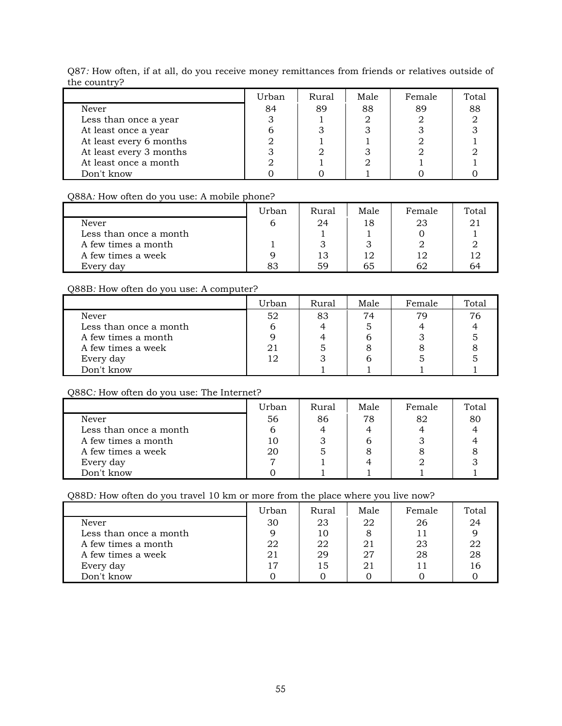|                         | Urban | <b>Rural</b> | Male | Female | Total |
|-------------------------|-------|--------------|------|--------|-------|
| Never                   | 84    | 89           | 88   | 89     | 88    |
| Less than once a year   |       |              |      |        |       |
| At least once a year    |       |              |      |        |       |
| At least every 6 months |       |              |      |        |       |
| At least every 3 months |       |              |      |        |       |
| At least once a month   |       |              |      |        |       |
| Don't know              |       |              |      |        |       |

Q87*:* How often, if at all, do you receive money remittances from friends or relatives outside of the country?

### Q88A*:* How often do you use: A mobile phone?

|                        | Urban | Rural | Male | Female | Total |
|------------------------|-------|-------|------|--------|-------|
| Never                  |       | 24    | 18   |        |       |
| Less than once a month |       |       |      |        |       |
| A few times a month    |       |       |      |        |       |
| A few times a week     |       | 13    | 12   |        |       |
| Every day              | 83    | 59    | 65   |        | 64    |

## Q88B*:* How often do you use: A computer?

|                        | Urban | Rural | Male | Female | Total |
|------------------------|-------|-------|------|--------|-------|
| Never                  | 52    | 83    | 74   | 79     | 76    |
| Less than once a month |       |       |      |        |       |
| A few times a month    |       |       |      |        |       |
| A few times a week     |       |       |      |        |       |
| Every day              | 12    |       |      |        |       |
| Don't know             |       |       |      |        |       |

## Q88C*:* How often do you use: The Internet?

|                        | Urban | Rural | Male | Female | Total |
|------------------------|-------|-------|------|--------|-------|
| Never                  | 56    | 86    | 78   | 82     | 80    |
| Less than once a month |       |       |      |        |       |
| A few times a month    |       |       |      |        |       |
| A few times a week     | 20    |       |      |        |       |
| Every day              |       |       |      |        |       |
| Don't know             |       |       |      |        |       |

## Q88D*:* How often do you travel 10 km or more from the place where you live now?

|                        | Urban | Rural | Male | Female | Total |
|------------------------|-------|-------|------|--------|-------|
| Never                  | 30    | 23    | 22   | 26     | 24    |
| Less than once a month |       | 10    |      |        |       |
| A few times a month    | 22    | 22    | 21   | 23     |       |
| A few times a week     | 21    | 29    | 27   | 28     | 28    |
| Every day              | 17    | 15    | 21   |        |       |
| Don't know             |       |       |      |        |       |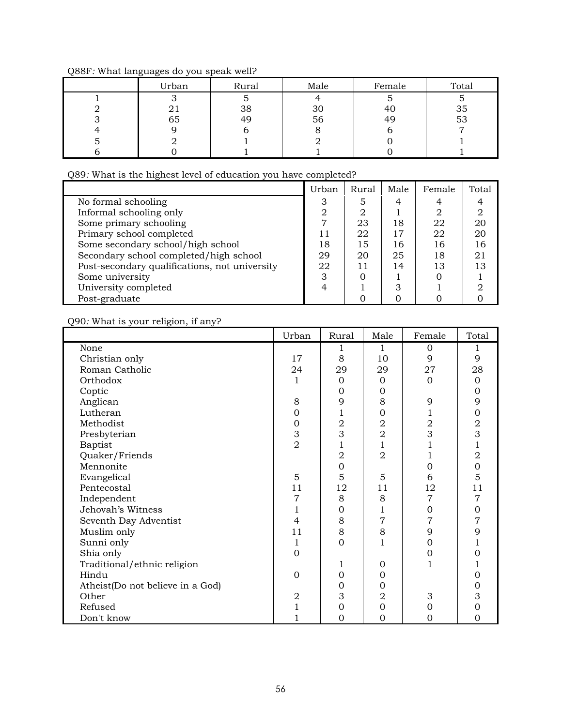|  |  | Q88F: What languages do you speak well? |
|--|--|-----------------------------------------|
|  |  |                                         |

| Urban           | Rural | Male | Female | Total |
|-----------------|-------|------|--------|-------|
|                 |       |      |        |       |
| $\overline{41}$ | 38    | 30   | 40     | 35    |
| 65              | 49    | 56   | 49     | 53    |
|                 |       |      |        |       |
|                 |       |      |        |       |
|                 |       |      |        |       |

Q89*:* What is the highest level of education you have completed?

|                                               | Urban | Rural | Male | Female | Total |
|-----------------------------------------------|-------|-------|------|--------|-------|
| No formal schooling                           | З     | 5     | 4    |        |       |
| Informal schooling only                       |       | റ     |      | ∩      |       |
| Some primary schooling                        |       | 23    | 18   | 22     | 20    |
| Primary school completed                      |       | 22    | 17   | 22     | 20    |
| Some secondary school/high school             | 18    | 15    | 16   | 16     | 16    |
| Secondary school completed/high school        | 29    | 20    | 25   | 18     | 21    |
| Post-secondary qualifications, not university | 22    |       | 14   | 13     | 13    |
| Some university                               | 3     |       |      |        |       |
| University completed                          |       |       |      |        |       |
| Post-graduate                                 |       |       |      |        |       |

Q90*:* What is your religion, if any?

|                                  | Urban          | Rural          | Male           | Female         | Total          |
|----------------------------------|----------------|----------------|----------------|----------------|----------------|
| None                             |                | 1              | 1              | $\Omega$       | 1              |
| Christian only                   | 17             | 8              | 10             | 9              | 9              |
| Roman Catholic                   | 24             | 29             | 29             | 27             | 28             |
| Orthodox                         | 1              | $\Omega$       | $\mathbf{0}$   | $\Omega$       | $\overline{0}$ |
| Coptic                           |                | $\Omega$       | 0              |                | $\mathbf 0$    |
| Anglican                         | 8              | 9              | 8              | 9              | 9              |
| Lutheran                         | $\overline{0}$ |                | $\mathbf 0$    |                | $\mathbf 0$    |
| Methodist                        | $\mathbf 0$    | $\overline{a}$ | $\mathbf 2$    | $\mathbf 2$    | $\sqrt{2}$     |
| Presbyterian                     | 3              | 3              | $\overline{a}$ | 3              | 3              |
| Baptist                          | $\overline{2}$ | 1              | $\mathbf 1$    | 1              | $\mathbf{1}$   |
| Quaker/Friends                   |                | $\overline{2}$ | $\overline{2}$ | 1              | $\overline{2}$ |
| Mennonite                        |                | $\overline{0}$ |                | $\overline{0}$ | $\mathbf 0$    |
| Evangelical                      | 5              | 5              | 5              | 6              | 5              |
| Pentecostal                      | 11             | 12             | 11             | 12             | 11             |
| Independent                      | 7              | 8              | 8              | 7              | $\overline{7}$ |
| Jehovah's Witness                |                | $\Omega$       | 1              | $\overline{0}$ | $\mathbf{0}$   |
| Seventh Day Adventist            | $\overline{4}$ | 8              | 7              | 7              | 7              |
| Muslim only                      | 11             | 8              | 8              | 9              | 9              |
| Sunni only                       | 1              | $\overline{0}$ | 1              | $\mathbf 0$    |                |
| Shia only                        | $\overline{0}$ |                |                | 0              | $\Omega$       |
| Traditional/ethnic religion      |                | 1              | $\overline{0}$ | 1              | 1              |
| Hindu                            | $\Omega$       | $\Omega$       | $\mathbf{0}$   |                | $\mathbf 0$    |
| Atheist(Do not believe in a God) |                | $\Omega$       | 0              |                | $\mathbf 0$    |
| Other                            | $\overline{2}$ | 3              | 2              | 3              | 3              |
| Refused                          | $\mathbf 1$    | $\Omega$       | $\mathbf 0$    | 0              | $\mathbf{0}$   |
| Don't know                       |                | $\Omega$       | $\mathbf 0$    | 0              | $\Omega$       |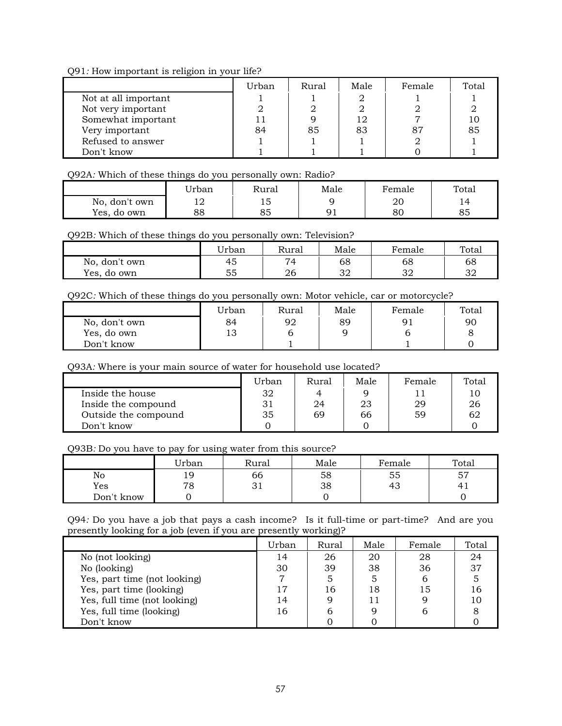Q91*:* How important is religion in your life?

|                      | Urban | Rural | Male | Female | Total |
|----------------------|-------|-------|------|--------|-------|
| Not at all important |       |       |      |        |       |
| Not very important   |       |       |      |        |       |
| Somewhat important   |       |       |      |        |       |
| Very important       | 84    | 85    | 83   |        | 85    |
| Refused to answer    |       |       |      |        |       |
| Don't know           |       |       |      |        |       |

#### Q92A*:* Which of these things do you personally own: Radio?

|                | Urban | Rural          | Male | Female | Total |
|----------------|-------|----------------|------|--------|-------|
| No, don't own  | ᅩ     | ⊥◡             |      | 20     |       |
| Yes,<br>do own | 88    | $\Omega$<br>oυ | n 1  | 80     | 85    |

#### Q92B*:* Which of these things do you personally own: Television?

|                | Urban | Rural    | Male     | Female   | Total |
|----------------|-------|----------|----------|----------|-------|
| No, don't own  | 45    | 74       | 68       | 68       | 68    |
| Yes,<br>do own | 55    | ገ6<br>40 | ∩כ<br>⊿ت | ററ<br>ັ້ | 32    |

#### Q92C*:* Which of these things do you personally own: Motor vehicle, car or motorcycle?

|               | Urban | Rural | Male | Female | Total |
|---------------|-------|-------|------|--------|-------|
| No, don't own | 84    | 92    | 89   | 91     | 90    |
| Yes, do own   | 13    |       |      |        |       |
| Don't know    |       |       |      |        |       |

### Q93A*:* Where is your main source of water for household use located?

|                      | Urban | Rural | Male | Female | Total |
|----------------------|-------|-------|------|--------|-------|
| Inside the house     | 32    |       |      |        |       |
| Inside the compound  | 31    | 24    | 23   | 29     | 26    |
| Outside the compound | 35    | 69    | 66   | 59     | 62    |
| Don't know           |       |       |      |        |       |

## Q93B*:* Do you have to pay for using water from this source?

|            | Urban   | Rural | Male | Female | Total |
|------------|---------|-------|------|--------|-------|
| No         | Q       | 66    | 58   | 55     | 57    |
| Yes        | 70<br>O | ◡▴    | 38   | 43     | 4.    |
| Don't know |         |       |      |        |       |

Q94*:* Do you have a job that pays a cash income? Is it full-time or part-time? And are you presently looking for a job (even if you are presently working)?

|                              | Urban | Rural | Male | Female | Total |
|------------------------------|-------|-------|------|--------|-------|
| No (not looking)             | 14    | 26    | 20   | 28     | 24    |
| No (looking)                 | 30    | 39    | 38   | 36     | 37    |
| Yes, part time (not looking) |       |       |      |        |       |
| Yes, part time (looking)     | ר ו   | 16    | 18   | 15     |       |
| Yes, full time (not looking) |       |       | 11   |        |       |
| Yes, full time (looking)     | 16    |       |      |        |       |
| Don't know                   |       |       |      |        |       |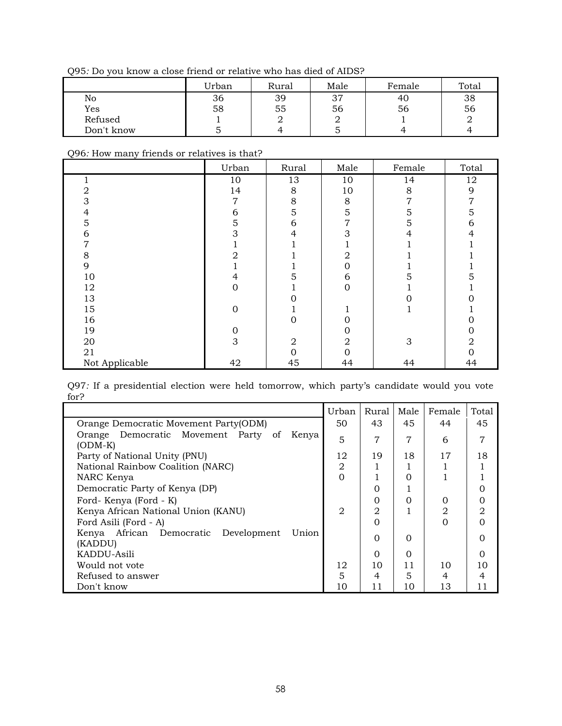Q95*:* Do you know a close friend or relative who has died of AIDS?

|            | Urban | Rural | Male            | Female | Total |
|------------|-------|-------|-----------------|--------|-------|
| No         | 36    | 39    | $\sigma$<br>، ب | 40     | 38    |
| Yes        | 58    | 55    | 56              | 56     | 56    |
| Refused    |       |       | ∸               |        |       |
| Don't know | ັ     |       | ີ               |        |       |

#### Q96*:* How many friends or relatives is that?

|                | Urban            | Rural          | Male     | Female | Total          |
|----------------|------------------|----------------|----------|--------|----------------|
|                | 10               | 13             | 10       | 14     | 12             |
| 2              | 14               | 8              | 10       | 8      | 9              |
| 3              | 7                | 8              | 8        | 7      | 7              |
|                | 6                | 5              | 5        | 5      | 5              |
| 5              | $\overline{5}$   | 6              | 7        | 5      | 6              |
| 6              | 3                | 4              | 3        |        | 4              |
|                |                  |                |          |        |                |
| 8              |                  |                | 2        |        |                |
| 9              |                  |                |          |        |                |
| 10             | 4                |                | 6        |        |                |
| 12             | $\Omega$         |                | $\Omega$ |        |                |
| 13             |                  |                |          |        |                |
| 15             | $\Omega$         |                |          |        |                |
| 16             |                  | O              |          |        |                |
| 19             | $\boldsymbol{0}$ |                |          |        | 0              |
| 20             | 3                | $\overline{2}$ | 2        | 3      | $\overline{2}$ |
| 21             |                  | ი              |          |        |                |
| Not Applicable | 42               | 45             | 44       | 44     | 44             |

Q97*:* If a presidential election were held tomorrow, which party's candidate would you vote for?

|                                                                | Urban          | Rural    | Male     | Female | Total |
|----------------------------------------------------------------|----------------|----------|----------|--------|-------|
| Orange Democratic Movement Party(ODM)                          | 50             | 43       | 45       | 44     | 45    |
| Orange Democratic Movement Party<br>Kenya<br>- of<br>$(ODM-K)$ | 5              | 7        | 7        | 6      |       |
| Party of National Unity (PNU)                                  | 12             | 19       | 18       | 17     | 18    |
| National Rainbow Coalition (NARC)                              | 2              |          |          |        |       |
| NARC Kenya                                                     | $\Omega$       |          | $\Omega$ |        |       |
| Democratic Party of Kenya (DP)                                 |                | 0        |          |        |       |
| Ford-Kenya (Ford - K)                                          |                | $\Omega$ | $\Omega$ | Ω      |       |
| Kenya African National Union (KANU)                            | $\mathfrak{D}$ | 2        |          | 2      | 2     |
| Ford Asili (Ford - A)                                          |                | $\Omega$ |          | 0      |       |
| Kenya African Democratic Development<br>Union<br>(KADDU)       |                | $\Omega$ | $\Omega$ |        |       |
| KADDU-Asili                                                    |                | $\Omega$ | $\Omega$ |        | Ω     |
| Would not vote                                                 | 12             | 10       | 11       | 10     | 10    |
| Refused to answer                                              | 5              | 4        | 5        | 4      |       |
| Don't know                                                     | 10             | 11       | 10       | 13     | 11    |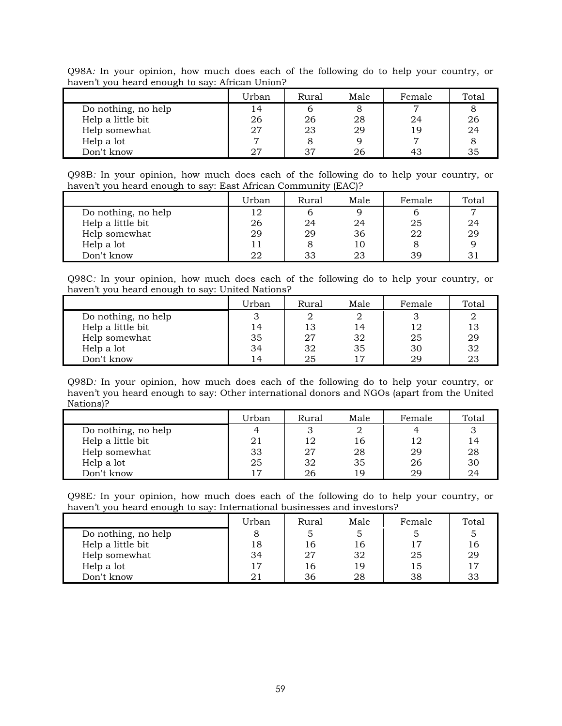Q98A*:* In your opinion, how much does each of the following do to help your country, or haven't you heard enough to say: African Union?

|                     | Urban | Rural | Male | Female | Total |
|---------------------|-------|-------|------|--------|-------|
| Do nothing, no help | 4     |       |      |        |       |
| Help a little bit   | 26    | 26    | 28   | 24     | 26    |
| Help somewhat       | 27    | 23    | 29   | 1 Q    | 24    |
| Help a lot          |       |       |      |        |       |
| Don't know          | רח    | 37    |      | 43     | 35    |

Q98B*:* In your opinion, how much does each of the following do to help your country, or haven't you heard enough to say: East African Community (EAC)?

|                     | Urban | Rural | Male | Female | Total          |
|---------------------|-------|-------|------|--------|----------------|
| Do nothing, no help | 12    |       |      |        | $\overline{ }$ |
| Help a little bit   | 26    | 24    | 24   | 25     | 24             |
| Help somewhat       | 29    | 29    | 36   | 22     | 29             |
| Help a lot          |       | 8     | 10   |        |                |
| Don't know          | 22    | 33    | 23   | 39     |                |

Q98C*:* In your opinion, how much does each of the following do to help your country, or haven't you heard enough to say: United Nations?

|                     | Urban | Rural | Male | Female | Total |
|---------------------|-------|-------|------|--------|-------|
| Do nothing, no help |       |       |      |        |       |
| Help a little bit   | 14    | 13    | 14   | 12     |       |
| Help somewhat       | 35    | 27    | 32   | 25     | 29    |
| Help a lot          | 34    | 32    | 35   | 30     | 32    |
| Don't know          | 14    | 25    |      | 29     | 23    |

Q98D*:* In your opinion, how much does each of the following do to help your country, or haven't you heard enough to say: Other international donors and NGOs (apart from the United Nations)?

|                     | Urban | Rural | Male | Female | Total |
|---------------------|-------|-------|------|--------|-------|
| Do nothing, no help |       |       |      |        |       |
| Help a little bit   |       | 12    | 16   | 12     | 14    |
| Help somewhat       | 33    | 27    | 28   | 29     | 28    |
| Help a lot          | 25    | 32    | 35   | 26     | 30    |
| Don't know          |       | 26    | 1 Q  | 29     | 24    |

Q98E*:* In your opinion, how much does each of the following do to help your country, or haven't you heard enough to say: International businesses and investors?

|                     | Urban | Rural | Male | Female | Total |
|---------------------|-------|-------|------|--------|-------|
| Do nothing, no help |       |       |      |        |       |
| Help a little bit   | 18    | 16    | 16   | 17     | 16    |
| Help somewhat       | 34    | 27    | 32   | 25     | 29    |
| Help a lot          | 17    | 16    | 19   | 15     | 17    |
| Don't know          |       | 36    | 28   | 38     | 33    |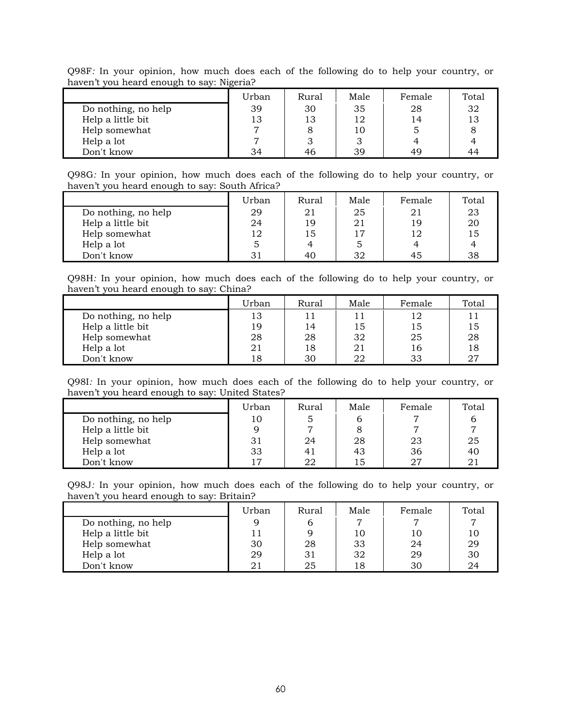Q98F*:* In your opinion, how much does each of the following do to help your country, or haven't you heard enough to say: Nigeria?

|                     | Urban | Rural | Male | Female | Total |
|---------------------|-------|-------|------|--------|-------|
| Do nothing, no help | 39    | 30    | 35   | 28     | 32    |
| Help a little bit   | 13    | 13    | 12   | 14     | 13    |
| Help somewhat       |       |       |      |        |       |
| Help a lot          |       |       |      |        |       |
| Don't know          | 34    | 46    | 39   | 49     | 44    |

Q98G*:* In your opinion, how much does each of the following do to help your country, or haven't you heard enough to say: South Africa?

|                     | Urban | Rural | Male | Female | Total |
|---------------------|-------|-------|------|--------|-------|
| Do nothing, no help | 29    | 21    | 25   | 21     | 23    |
| Help a little bit   | 24    | 19    | 21   | 19     | 20    |
| Help somewhat       | 12    | 15    |      | 12     | 15    |
| Help a lot          |       | 4     |      |        |       |
| Don't know          |       | 40    | 32   | 45     | 38    |

Q98H*:* In your opinion, how much does each of the following do to help your country, or haven't you heard enough to say: China?

|                     | Urban | Rural | Male | Female | Total |
|---------------------|-------|-------|------|--------|-------|
| Do nothing, no help | 13    | 11    |      | 12     |       |
| Help a little bit   | 19    | 14    | 15   | 15     | 15    |
| Help somewhat       | 28    | 28    | 32   | 25     | 28    |
| Help a lot          | 21    | 18    | 21   | 16     | 18    |
| Don't know          | 18    | 30    | 22   | 33     | 27    |

Q98I*:* In your opinion, how much does each of the following do to help your country, or haven't you heard enough to say: United States?

|                     | Urban | Rural | Male | Female | Total |
|---------------------|-------|-------|------|--------|-------|
| Do nothing, no help | 10    |       |      |        |       |
| Help a little bit   |       |       |      |        |       |
| Help somewhat       | 31    | 24    | 28   | -23    | 25    |
| Help a lot          | 33    | 41    | 43   | 36     | 40    |
| Don't know          | ר ו   | 22    | 15   | 27     | 21    |

Q98J*:* In your opinion, how much does each of the following do to help your country, or haven't you heard enough to say: Britain?

|                     | Urban | Rural | Male | Female | Total |
|---------------------|-------|-------|------|--------|-------|
| Do nothing, no help |       |       |      |        |       |
| Help a little bit   |       |       | 10   | 10     | 10    |
| Help somewhat       | 30    | 28    | 33   | 24     | 29    |
| Help a lot          | 29    | 31    | 32   | 29     | 30    |
| Don't know          |       | 25    | 18   | 30     | 24    |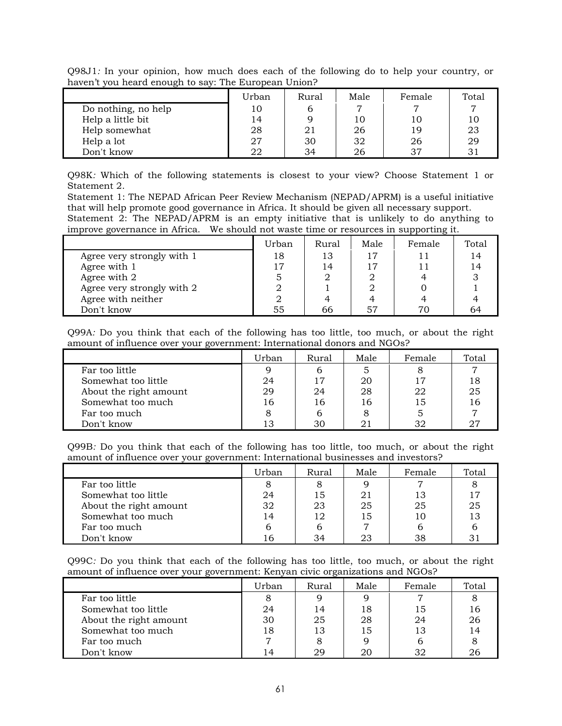|                     | Urban | Rural | Male | Female | Total |
|---------------------|-------|-------|------|--------|-------|
| Do nothing, no help | 10    | b     |      |        | ⇁     |
| Help a little bit   | 14    |       | 10   | 1 C    | 10    |
| Help somewhat       | 28    | 21    | 26   | 19     | 23    |
| Help a lot          | 27    | 30    | 32   | 26     | 29    |
| Don't know          | 22    | 34    | 26   | 37     |       |

Q98J1*:* In your opinion, how much does each of the following do to help your country, or haven't you heard enough to say: The European Union?

Q98K*:* Which of the following statements is closest to your view? Choose Statement 1 or Statement 2.

Statement 1: The NEPAD African Peer Review Mechanism (NEPAD/APRM) is a useful initiative that will help promote good governance in Africa. It should be given all necessary support. Statement 2: The NEPAD/APRM is an empty initiative that is unlikely to do anything to improve governance in Africa. We should not waste time or resources in supporting it.

|                            | ----  |       |      |        |       |  |  |  |
|----------------------------|-------|-------|------|--------|-------|--|--|--|
|                            | Urban | Rural | Male | Female | Total |  |  |  |
| Agree very strongly with 1 | 18    | 13    | 17   |        |       |  |  |  |
| Agree with 1               |       | 14    |      |        |       |  |  |  |
| Agree with 2               |       |       |      |        |       |  |  |  |
| Agree very strongly with 2 |       |       |      |        |       |  |  |  |
| Agree with neither         |       |       |      |        |       |  |  |  |
| Don't know                 | 55    | 66    |      |        |       |  |  |  |

Q99A*:* Do you think that each of the following has too little, too much, or about the right amount of influence over your government: International donors and NGOs?

|                        | Urban                | Rural | Male | Female | Total |
|------------------------|----------------------|-------|------|--------|-------|
| Far too little         |                      | 6     | 5    |        |       |
| Somewhat too little    | 17<br>24<br>20<br>17 |       | 18   |        |       |
| About the right amount | 29                   | 24    | 28   | 22     | 25    |
| Somewhat too much      | 16                   | 16    | 16   | 15     | 16    |
| Far too much           |                      |       | 8    |        |       |
| Don't know             |                      | 30    |      | つつ     |       |

Q99B*:* Do you think that each of the following has too little, too much, or about the right amount of influence over your government: International businesses and investors?

|                        | Urban | Rural | Male | Female | Total |
|------------------------|-------|-------|------|--------|-------|
| Far too little         |       |       |      | ⇁      |       |
| Somewhat too little    | 24    | 15    | 21   | 13     |       |
| About the right amount | 32    | 23    | 25   | 25     | 25    |
| Somewhat too much      | 14    | 12    | 15   |        | 13    |
| Far too much           |       |       |      |        |       |
| Don't know             |       | 34    | 23   | 38     |       |

Q99C*:* Do you think that each of the following has too little, too much, or about the right amount of influence over your government: Kenyan civic organizations and NGOs?

|                        | Urban | Rural | Male | Female | Total |
|------------------------|-------|-------|------|--------|-------|
| Far too little         |       |       | q    |        |       |
| Somewhat too little    | 24    | 14    | 18   | 15     | 16    |
| About the right amount | 30    | 25    | 28   | 24     | 26    |
| Somewhat too much      | 18    | 13    | 15   | 13     | 14    |
| Far too much           |       |       |      |        |       |
| Don't know             | 14    | 29    | 20   | 32     | 26    |